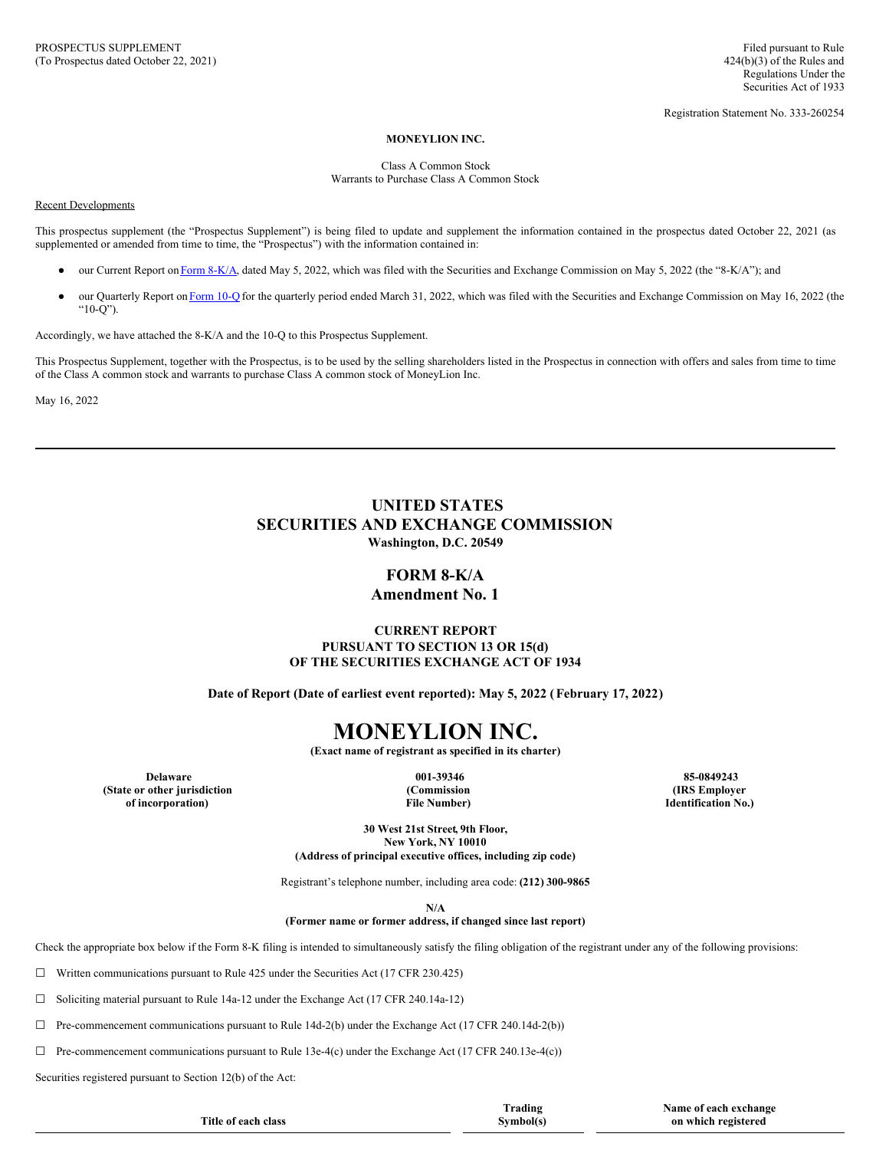Registration Statement No. 333-260254

#### **MONEYLION INC.**

Class A Common Stock Warrants to Purchase Class A Common Stock

#### Recent Developments

This prospectus supplement (the "Prospectus Supplement") is being filed to update and supplement the information contained in the prospectus dated October 22, 2021 (as supplemented or amended from time to time, the "Prospectus") with the information contained in:

- our Current Report on Form [8-K/A,](#page-0-0) dated May 5, 2022, which was filed with the Securities and Exchange Commission on May 5, 2022 (the "8-K/A"); and
- our Quarterly Report on [Form](#page-2-0) 10-Q for the quarterly period ended March 31, 2022, which was filed with the Securities and Exchange Commission on May 16, 2022 (the " $10-O$ ").

Accordingly, we have attached the 8-K/A and the 10-Q to this Prospectus Supplement.

This Prospectus Supplement, together with the Prospectus, is to be used by the selling shareholders listed in the Prospectus in connection with offers and sales from time to time of the Class A common stock and warrants to purchase Class A common stock of MoneyLion Inc.

May 16, 2022

## **UNITED STATES SECURITIES AND EXCHANGE COMMISSION Washington, D.C. 20549**

## <span id="page-0-0"></span>**FORM 8-K/A**

## **Amendment No. 1**

## **CURRENT REPORT PURSUANT TO SECTION 13 OR 15(d) OF THE SECURITIES EXCHANGE ACT OF 1934**

**Date of Report (Date of earliest event reported): May 5, 2022 (February 17, 2022)**

# **MONEYLION INC.**

**(Exact name of registrant as specified in its charter)**

**(State or other jurisdiction of incorporation)**

**(Commission File Number)**

**Delaware 001-39346 85-0849243 (IRS Employer Identification No.)**

 $\bf{exchange}$ 

**30 West 21st Street, 9th Floor, New York, NY 10010 (Address of principal executive offices, including zip code)**

Registrant's telephone number, including area code: **(212) 300-9865**

**N/A**

**(Former name or former address, if changed since last report)**

Check the appropriate box below if the Form 8-K filing is intended to simultaneously satisfy the filing obligation of the registrant under any of the following provisions:

☐ Written communications pursuant to Rule 425 under the Securities Act (17 CFR 230.425)

☐ Soliciting material pursuant to Rule 14a-12 under the Exchange Act (17 CFR 240.14a-12)

 $\Box$  Pre-commencement communications pursuant to Rule 14d-2(b) under the Exchange Act (17 CFR 240.14d-2(b))

 $\Box$  Pre-commencement communications pursuant to Rule 13e-4(c) under the Exchange Act (17 CFR 240.13e-4(c))

Securities registered pursuant to Section 12(b) of the Act:

|                     | Trading   | Name of each exchang |
|---------------------|-----------|----------------------|
| Title of each class | Symbol(s) | on which registered  |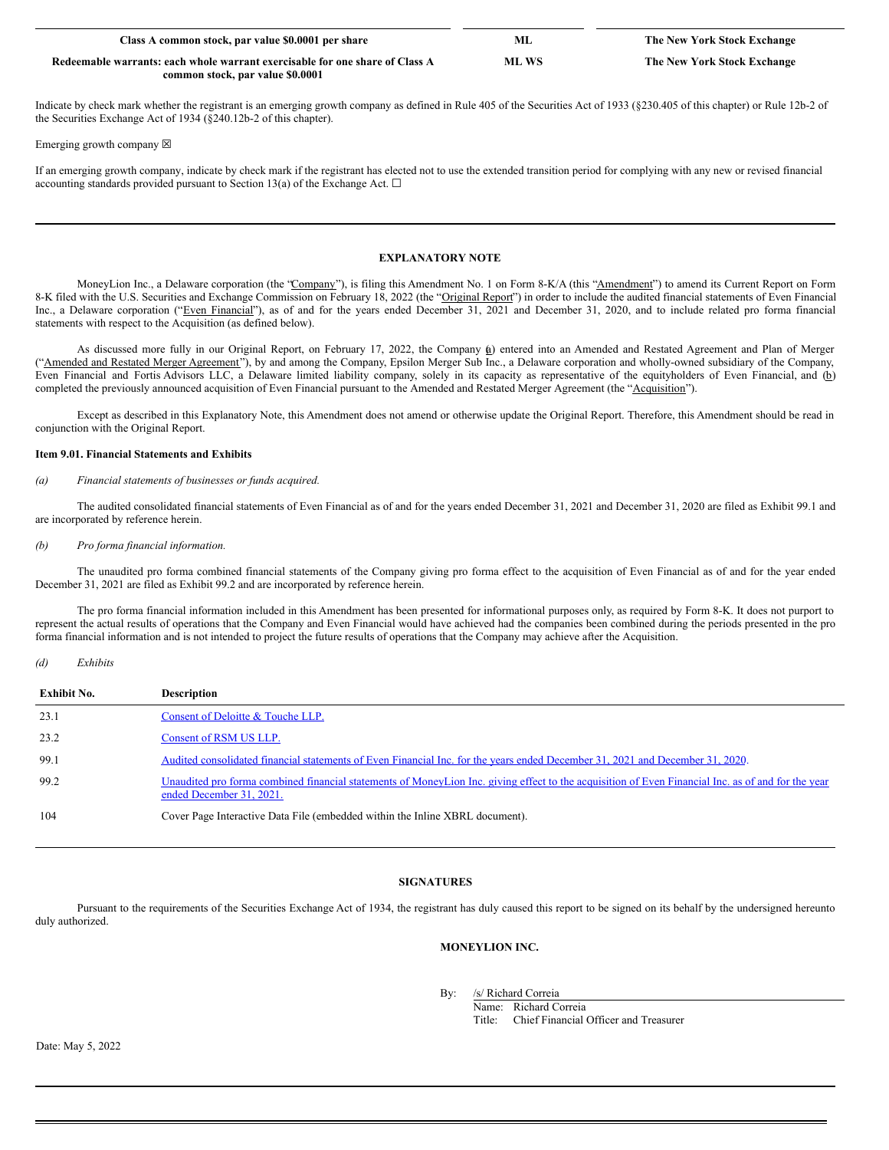| Class A common stock, par value \$0.0001 per share                           | Мl    | The New York Stock Exchange |
|------------------------------------------------------------------------------|-------|-----------------------------|
| Redeemable warrants: each whole warrant exercisable for one share of Class A | ML WS | The New York Stock Exchange |
| common stock, par value \$0,0001                                             |       |                             |

Indicate by check mark whether the registrant is an emerging growth company as defined in Rule 405 of the Securities Act of 1933 (§230.405 of this chapter) or Rule 12b-2 of the Securities Exchange Act of 1934 (§240.12b-2 of this chapter).

Emerging growth company  $\boxtimes$ 

If an emerging growth company, indicate by check mark if the registrant has elected not to use the extended transition period for complying with any new or revised financial accounting standards provided pursuant to Section 13(a) of the Exchange Act.  $\square$ 

## **EXPLANATORY NOTE**

MoneyLion Inc., a Delaware corporation (the "Company"), is filing this Amendment No. 1 on Form 8-K/A (this "Amendment") to amend its Current Report on Form 8-K filed with the U.S. Securities and Exchange Commission on February 18, 2022 (the "Original Report") in order to include the audited financial statements of Even Financial Inc., a Delaware corporation ("Even Financial"), as of and for the years ended December 31, 2021 and December 31, 2020, and to include related pro forma financial statements with respect to the Acquisition (as defined below).

As discussed more fully in our Original Report, on February 17, 2022, the Company (a) entered into an Amended and Restated Agreement and Plan of Merger ("Amended and Restated Merger Agreement"), by and among the Company, Epsilon Merger Sub Inc., a Delaware corporation and wholly-owned subsidiary of the Company, Even Financial and Fortis Advisors LLC, a Delaware limited liability company, solely in its capacity as representative of the equityholders of Even Financial, and (b) completed the previously announced acquisition of Even Financial pursuant to the Amended and Restated Merger Agreement (the "Acquisition").

Except as described in this Explanatory Note, this Amendment does not amend or otherwise update the Original Report. Therefore, this Amendment should be read in conjunction with the Original Report.

## **Item 9.01. Financial Statements and Exhibits**

## *(a) Financial statements of businesses or funds acquired.*

The audited consolidated financial statements of Even Financial as of and for the years ended December 31, 2021 and December 31, 2020 are filed as Exhibit 99.1 and are incorporated by reference herein.

## *(b) Pro forma financial information.*

The unaudited pro forma combined financial statements of the Company giving pro forma effect to the acquisition of Even Financial as of and for the year ended December 31, 2021 are filed as Exhibit 99.2 and are incorporated by reference herein.

The pro forma financial information included in this Amendment has been presented for informational purposes only, as required by Form 8-K. It does not purport to represent the actual results of operations that the Company and Even Financial would have achieved had the companies been combined during the periods presented in the pro forma financial information and is not intended to project the future results of operations that the Company may achieve after the Acquisition.

*(d) Exhibits*

| <b>Exhibit No.</b> | <b>Description</b>                                                                                                                                                             |
|--------------------|--------------------------------------------------------------------------------------------------------------------------------------------------------------------------------|
| 23.1               | Consent of Deloitte & Touche LLP.                                                                                                                                              |
| 23.2               | Consent of RSM US LLP.                                                                                                                                                         |
| 99.1               | Audited consolidated financial statements of Even Financial Inc. for the years ended December 31, 2021 and December 31, 2020.                                                  |
| 99.2               | Unaudited pro forma combined financial statements of MoneyLion Inc. giving effect to the acquisition of Even Financial Inc. as of and for the year<br>ended December 31, 2021. |
| 104                | Cover Page Interactive Data File (embedded within the Inline XBRL document).                                                                                                   |

## **SIGNATURES**

Pursuant to the requirements of the Securities Exchange Act of 1934, the registrant has duly caused this report to be signed on its behalf by the undersigned hereunto duly authorized.

## **MONEYLION INC.**

By: /s/ Richard Correia

Name: Richard Correia<br>Title: Chief Financial Chief Financial Officer and Treasurer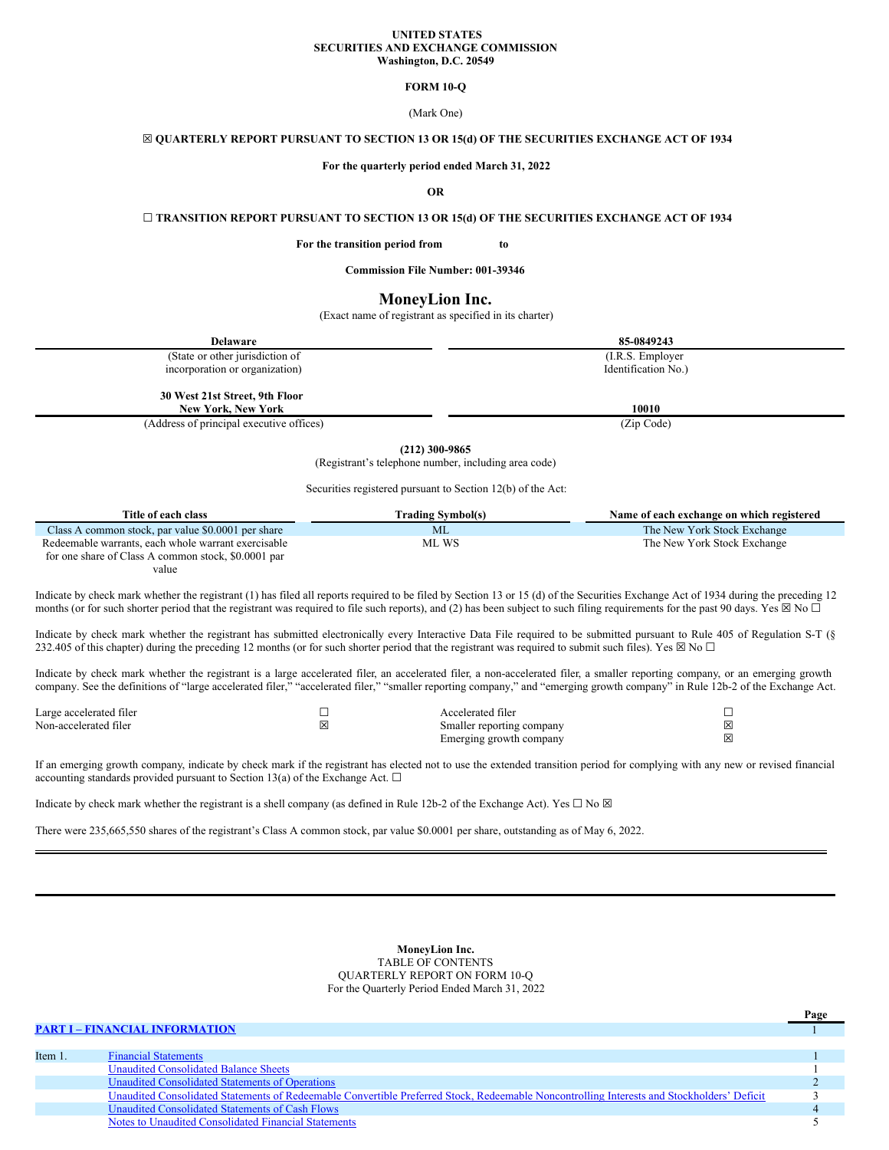#### **UNITED STATES SECURITIES AND EXCHANGE COMMISSION Washington, D.C. 20549**

## <span id="page-2-0"></span>**FORM 10-Q**

(Mark One)

## ☒ **QUARTERLY REPORT PURSUANT TO SECTION 13 OR 15(d) OF THE SECURITIES EXCHANGE ACT OF 1934**

**For the quarterly period ended March 31, 2022**

#### **OR**

**☐ TRANSITION REPORT PURSUANT TO SECTION 13 OR 15(d) OF THE SECURITIES EXCHANGE ACT OF 1934**

**For the transition period from to**

**Commission File Number: 001-39346**

## **MoneyLion Inc.**

(Exact name of registrant as specified in its charter)

| <b>Delaware</b>                          | 85-0849243          |  |  |  |  |  |  |
|------------------------------------------|---------------------|--|--|--|--|--|--|
| (State or other jurisdiction of          | (I.R.S. Employer)   |  |  |  |  |  |  |
| incorporation or organization)           | Identification No.) |  |  |  |  |  |  |
| 30 West 21st Street, 9th Floor           |                     |  |  |  |  |  |  |
| <b>New York, New York</b>                | 10010               |  |  |  |  |  |  |
| (Address of principal executive offices) | (Zip Code)          |  |  |  |  |  |  |
| $(0.18)$ 0.00 0.05 $\mu$                 |                     |  |  |  |  |  |  |

**(212) 300-9865**

(Registrant's telephone number, including area code)

Securities registered pursuant to Section 12(b) of the Act:

| Title of each class                                 | Trading Svmbol(s) | Name of each exchange on which registered |
|-----------------------------------------------------|-------------------|-------------------------------------------|
| Class A common stock, par value \$0,0001 per share  | ML                | The New York Stock Exchange               |
| Redeemable warrants, each whole warrant exercisable | ML WS             | The New York Stock Exchange               |
| for one share of Class A common stock, \$0,0001 par |                   |                                           |

value

Indicate by check mark whether the registrant (1) has filed all reports required to be filed by Section 13 or 15 (d) of the Securities Exchange Act of 1934 during the preceding 12 months (or for such shorter period that the registrant was required to file such reports), and (2) has been subject to such filing requirements for the past 90 days. Yes  $\boxtimes$  No  $\Box$ 

Indicate by check mark whether the registrant has submitted electronically every Interactive Data File required to be submitted pursuant to Rule 405 of Regulation S-T (§ 232.405 of this chapter) during the preceding 12 months (or for such shorter period that the registrant was required to submit such files). Yes  $\boxtimes$  No  $\Box$ 

Indicate by check mark whether the registrant is a large accelerated filer, an accelerated filer, a non-accelerated filer, a smaller reporting company, or an emerging growth company. See the definitions of "large accelerated filer," "accelerated filer," "smaller reporting company," and "emerging growth company" in Rule 12b-2 of the Exchange Act.

| Large accelerated filer | Accelerated filer         |  |
|-------------------------|---------------------------|--|
| Non-accelerated filer   | Smaller reporting company |  |
|                         | Emerging growth company   |  |

If an emerging growth company, indicate by check mark if the registrant has elected not to use the extended transition period for complying with any new or revised financial accounting standards provided pursuant to Section 13(a) of the Exchange Act.  $\Box$ 

Indicate by check mark whether the registrant is a shell company (as defined in Rule 12b-2 of the Exchange Act). Yes  $\Box$  No  $\boxtimes$ 

There were 235,665,550 shares of the registrant's Class A common stock, par value \$0.0001 per share, outstanding as of May 6, 2022.

**MoneyLion Inc.** TABLE OF CONTENTS QUARTERLY REPORT ON FORM 10-Q For the Quarterly Period Ended March 31, 2022

|         |                                                                                                                                            | Page |
|---------|--------------------------------------------------------------------------------------------------------------------------------------------|------|
|         | <b>PART I - FINANCIAL INFORMATION</b>                                                                                                      |      |
|         |                                                                                                                                            |      |
| Item 1. | <b>Financial Statements</b>                                                                                                                |      |
|         | <b>Unaudited Consolidated Balance Sheets</b>                                                                                               |      |
|         | Unaudited Consolidated Statements of Operations                                                                                            |      |
|         | Unaudited Consolidated Statements of Redeemable Convertible Preferred Stock, Redeemable Noncontrolling Interests and Stockholders' Deficit |      |
|         | Unaudited Consolidated Statements of Cash Flows                                                                                            |      |
|         | Notes to Unaudited Consolidated Financial Statements                                                                                       |      |
|         |                                                                                                                                            |      |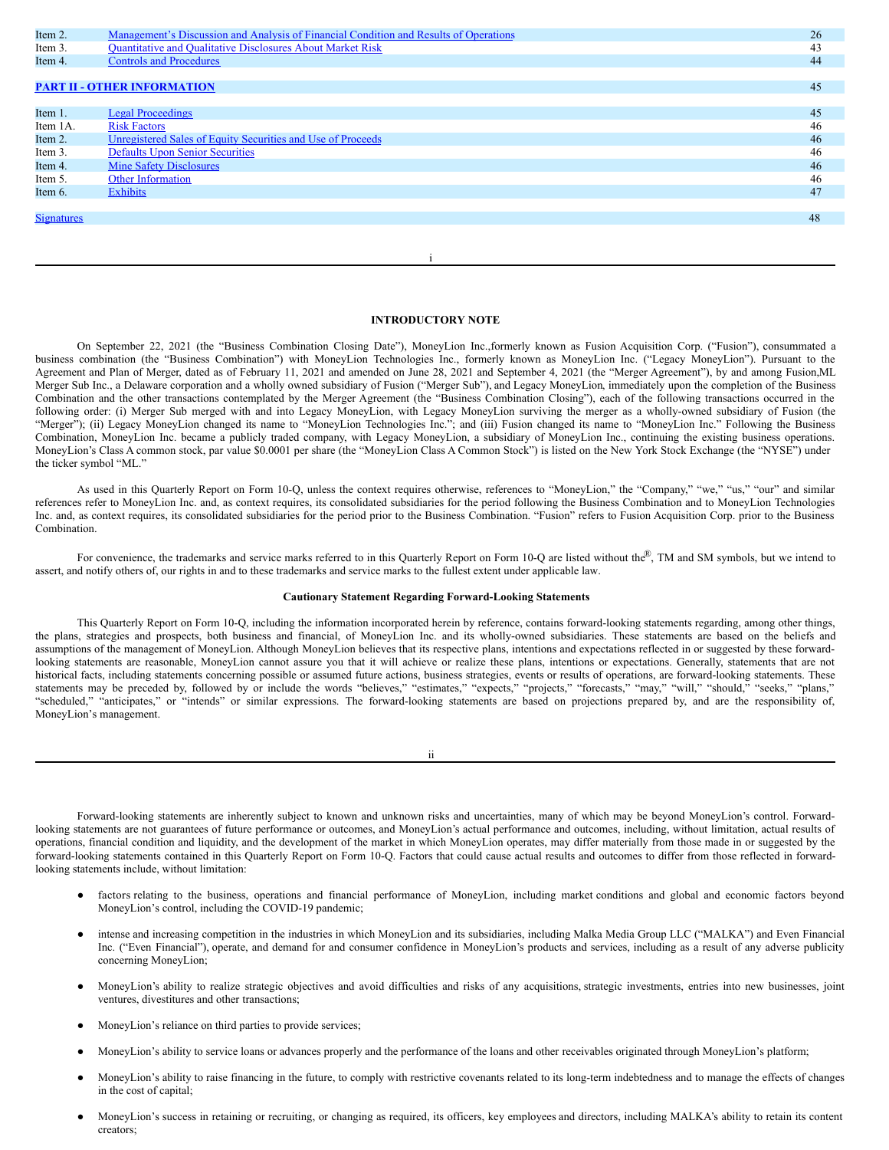| Item 2.           | Management's Discussion and Analysis of Financial Condition and Results of Operations | 26 |
|-------------------|---------------------------------------------------------------------------------------|----|
| Item 3.           | <b>Quantitative and Qualitative Disclosures About Market Risk</b>                     | 43 |
| Item 4.           | <b>Controls and Procedures</b>                                                        | 44 |
|                   |                                                                                       |    |
|                   | <b>PART II - OTHER INFORMATION</b>                                                    | 45 |
|                   |                                                                                       |    |
| Item 1.           | <b>Legal Proceedings</b>                                                              | 45 |
| Item 1A.          | <b>Risk Factors</b>                                                                   | 46 |
| Item 2.           | Unregistered Sales of Equity Securities and Use of Proceeds                           | 46 |
| Item 3.           | <b>Defaults Upon Senior Securities</b>                                                | 46 |
| Item 4.           | <b>Mine Safety Disclosures</b>                                                        | 46 |
| Item 5.           | <b>Other Information</b>                                                              | 46 |
| Item 6.           | <b>Exhibits</b>                                                                       | 47 |
|                   |                                                                                       |    |
| <b>Signatures</b> |                                                                                       | 48 |
|                   |                                                                                       |    |
|                   |                                                                                       |    |

## **INTRODUCTORY NOTE**

i

On September 22, 2021 (the "Business Combination Closing Date"), MoneyLion Inc.,formerly known as Fusion Acquisition Corp. ("Fusion"), consummated a business combination (the "Business Combination") with MoneyLion Technologies Inc., formerly known as MoneyLion Inc. ("Legacy MoneyLion"). Pursuant to the Agreement and Plan of Merger, dated as of February 11, 2021 and amended on June 28, 2021 and September 4, 2021 (the "Merger Agreement"), by and among Fusion,ML Merger Sub Inc., a Delaware corporation and a wholly owned subsidiary of Fusion ("Merger Sub"), and Legacy MoneyLion, immediately upon the completion of the Business Combination and the other transactions contemplated by the Merger Agreement (the "Business Combination Closing"), each of the following transactions occurred in the following order: (i) Merger Sub merged with and into Legacy MoneyLion, with Legacy MoneyLion surviving the merger as a wholly-owned subsidiary of Fusion (the "Merger"); (ii) Legacy MoneyLion changed its name to "MoneyLion Technologies Inc."; and (iii) Fusion changed its name to "MoneyLion Inc." Following the Business Combination, MoneyLion Inc. became a publicly traded company, with Legacy MoneyLion, a subsidiary of MoneyLion Inc., continuing the existing business operations. MoneyLion's Class A common stock, par value \$0.0001 per share (the "MoneyLion Class A Common Stock") is listed on the New York Stock Exchange (the "NYSE") under the ticker symbol "ML."

As used in this Quarterly Report on Form 10-Q, unless the context requires otherwise, references to "MoneyLion," the "Company," "we," "us," "our" and similar references refer to MoneyLion Inc. and, as context requires, its consolidated subsidiaries for the period following the Business Combination and to MoneyLion Technologies Inc. and, as context requires, its consolidated subsidiaries for the period prior to the Business Combination. "Fusion" refers to Fusion Acquisition Corp. prior to the Business Combination.

For convenience, the trademarks and service marks referred to in this Quarterly Report on Form 10-Q are listed without the®, TM and SM symbols, but we intend to assert, and notify others of, our rights in and to these trademarks and service marks to the fullest extent under applicable law.

## **Cautionary Statement Regarding Forward-Looking Statements**

This Quarterly Report on Form 10-Q, including the information incorporated herein by reference, contains forward-looking statements regarding, among other things, the plans, strategies and prospects, both business and financial, of MoneyLion Inc. and its wholly-owned subsidiaries. These statements are based on the beliefs and assumptions of the management of MoneyLion. Although MoneyLion believes that its respective plans, intentions and expectations reflected in or suggested by these forwardlooking statements are reasonable, MoneyLion cannot assure you that it will achieve or realize these plans, intentions or expectations. Generally, statements that are not historical facts, including statements concerning possible or assumed future actions, business strategies, events or results of operations, are forward-looking statements. These statements may be preceded by, followed by or include the words "believes," "estimates," "expects," "projects," "forecasts," "may," "will," "should," "seeks," "plans," "scheduled," "anticipates," or "intends" or similar expressions. The forward-looking statements are based on projections prepared by, and are the responsibility of, MoneyLion's management.

ii

Forward-looking statements are inherently subject to known and unknown risks and uncertainties, many of which may be beyond MoneyLion's control. Forwardlooking statements are not guarantees of future performance or outcomes, and MoneyLion's actual performance and outcomes, including, without limitation, actual results of operations, financial condition and liquidity, and the development of the market in which MoneyLion operates, may differ materially from those made in or suggested by the forward-looking statements contained in this Quarterly Report on Form 10-Q. Factors that could cause actual results and outcomes to differ from those reflected in forwardlooking statements include, without limitation:

- factors relating to the business, operations and financial performance of MoneyLion, including market conditions and global and economic factors beyond MoneyLion's control, including the COVID-19 pandemic;
- intense and increasing competition in the industries in which MoneyLion and its subsidiaries, including Malka Media Group LLC ("MALKA") and Even Financial Inc. ("Even Financial"), operate, and demand for and consumer confidence in MoneyLion's products and services, including as a result of any adverse publicity concerning MoneyLion;
- MoneyLion's ability to realize strategic objectives and avoid difficulties and risks of any acquisitions, strategic investments, entries into new businesses, joint ventures, divestitures and other transactions;
- MoneyLion's reliance on third parties to provide services;
- MoneyLion's ability to service loans or advances properly and the performance of the loans and other receivables originated through MoneyLion's platform;
- MoneyLion's ability to raise financing in the future, to comply with restrictive covenants related to its long-term indebtedness and to manage the effects of changes in the cost of capital;
- MoneyLion's success in retaining or recruiting, or changing as required, its officers, key employees and directors, including MALKA's ability to retain its content creators;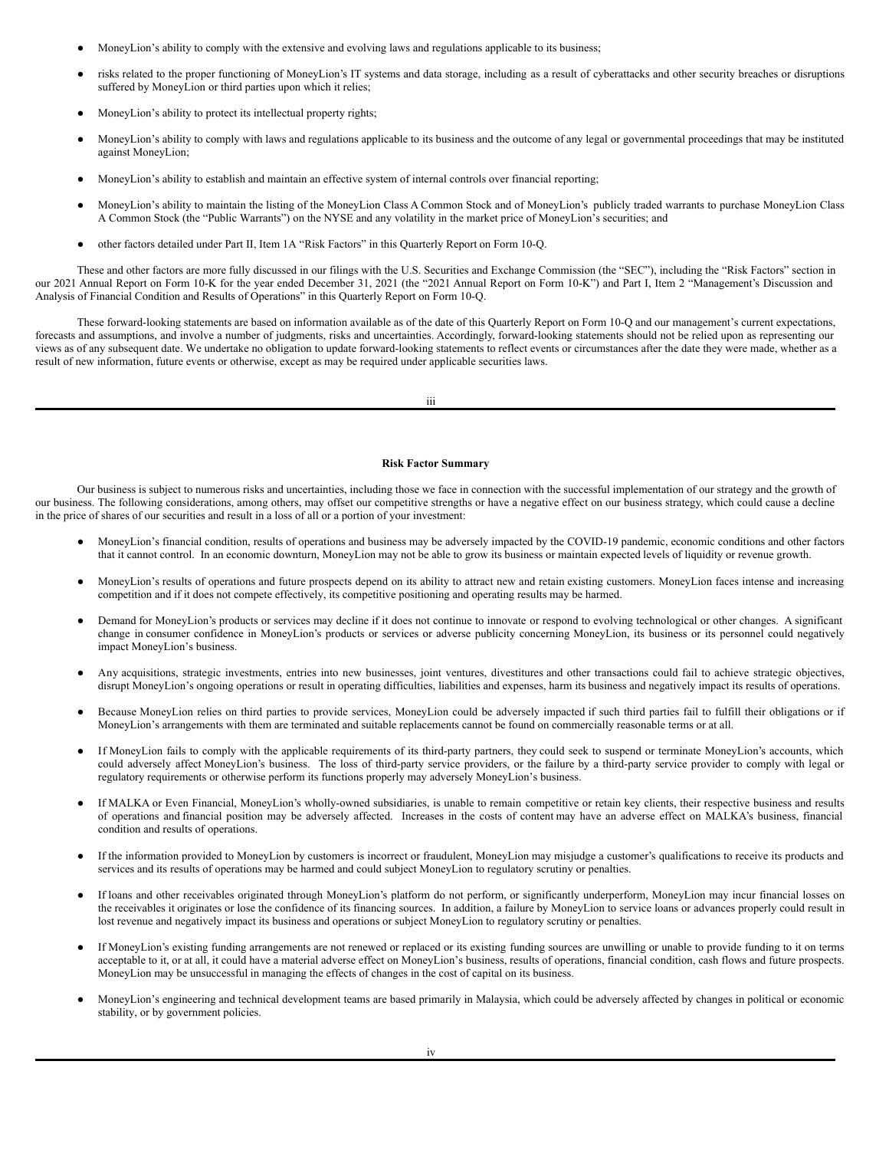- MoneyLion's ability to comply with the extensive and evolving laws and regulations applicable to its business;
- risks related to the proper functioning of MoneyLion's IT systems and data storage, including as a result of cyberattacks and other security breaches or disruptions suffered by MoneyLion or third parties upon which it relies;
- MoneyLion's ability to protect its intellectual property rights;
- MoneyLion's ability to comply with laws and regulations applicable to its business and the outcome of any legal or governmental proceedings that may be instituted against MoneyLion;
- MoneyLion's ability to establish and maintain an effective system of internal controls over financial reporting;
- MoneyLion's ability to maintain the listing of the MoneyLion Class A Common Stock and of MoneyLion's publicly traded warrants to purchase MoneyLion Class A Common Stock (the "Public Warrants") on the NYSE and any volatility in the market price of MoneyLion's securities; and
- other factors detailed under Part II, Item 1A "Risk Factors" in this Quarterly Report on Form 10-Q.

These and other factors are more fully discussed in our filings with the U.S. Securities and Exchange Commission (the "SEC"), including the "Risk Factors" section in our 2021 Annual Report on Form 10-K for the year ended December 31, 2021 (the "2021 Annual Report on Form 10-K") and Part I, Item 2 "Management's Discussion and Analysis of Financial Condition and Results of Operations" in this Quarterly Report on Form 10-Q.

These forward-looking statements are based on information available as of the date of this Quarterly Report on Form 10-Q and our management's current expectations, forecasts and assumptions, and involve a number of judgments, risks and uncertainties. Accordingly, forward-looking statements should not be relied upon as representing our views as of any subsequent date. We undertake no obligation to update forward-looking statements to reflect events or circumstances after the date they were made, whether as a result of new information, future events or otherwise, except as may be required under applicable securities laws.

iii

## **Risk Factor Summary**

Our business is subject to numerous risks and uncertainties, including those we face in connection with the successful implementation of our strategy and the growth of our business. The following considerations, among others, may offset our competitive strengths or have a negative effect on our business strategy, which could cause a decline in the price of shares of our securities and result in a loss of all or a portion of your investment:

- MoneyLion's financial condition, results of operations and business may be adversely impacted by the COVID-19 pandemic, economic conditions and other factors that it cannot control. In an economic downturn, MoneyLion may not be able to grow its business or maintain expected levels of liquidity or revenue growth.
- MoneyLion's results of operations and future prospects depend on its ability to attract new and retain existing customers. MoneyLion faces intense and increasing competition and if it does not compete effectively, its competitive positioning and operating results may be harmed.
- Demand for MoneyLion's products or services may decline if it does not continue to innovate or respond to evolving technological or other changes. A significant change in consumer confidence in MoneyLion's products or services or adverse publicity concerning MoneyLion, its business or its personnel could negatively impact MoneyLion's business.
- Any acquisitions, strategic investments, entries into new businesses, joint ventures, divestitures and other transactions could fail to achieve strategic objectives, disrupt MoneyLion's ongoing operations or result in operating difficulties, liabilities and expenses, harm its business and negatively impact its results of operations.
- Because MoneyLion relies on third parties to provide services, MoneyLion could be adversely impacted if such third parties fail to fulfill their obligations or if MoneyLion's arrangements with them are terminated and suitable replacements cannot be found on commercially reasonable terms or at all.
- If MoneyLion fails to comply with the applicable requirements of its third-party partners, they could seek to suspend or terminate MoneyLion's accounts, which could adversely affect MoneyLion's business. The loss of third-party service providers, or the failure by a third-party service provider to comply with legal or regulatory requirements or otherwise perform its functions properly may adversely MoneyLion's business.
- If MALKA or Even Financial, MoneyLion's wholly-owned subsidiaries, is unable to remain competitive or retain key clients, their respective business and results of operations and financial position may be adversely affected. Increases in the costs of content may have an adverse effect on MALKA's business, financial condition and results of operations.
- If the information provided to MoneyLion by customers is incorrect or fraudulent, MoneyLion may misjudge a customer's qualifications to receive its products and services and its results of operations may be harmed and could subject MoneyLion to regulatory scrutiny or penalties.
- If loans and other receivables originated through MoneyLion's platform do not perform, or significantly underperform, MoneyLion may incur financial losses on the receivables it originates or lose the confidence of its financing sources. In addition, a failure by MoneyLion to service loans or advances properly could result in lost revenue and negatively impact its business and operations or subject MoneyLion to regulatory scrutiny or penalties.
- If MoneyLion's existing funding arrangements are not renewed or replaced or its existing funding sources are unwilling or unable to provide funding to it on terms acceptable to it, or at all, it could have a material adverse effect on MoneyLion's business, results of operations, financial condition, cash flows and future prospects. MoneyLion may be unsuccessful in managing the effects of changes in the cost of capital on its business.
- MoneyLion's engineering and technical development teams are based primarily in Malaysia, which could be adversely affected by changes in political or economic stability, or by government policies.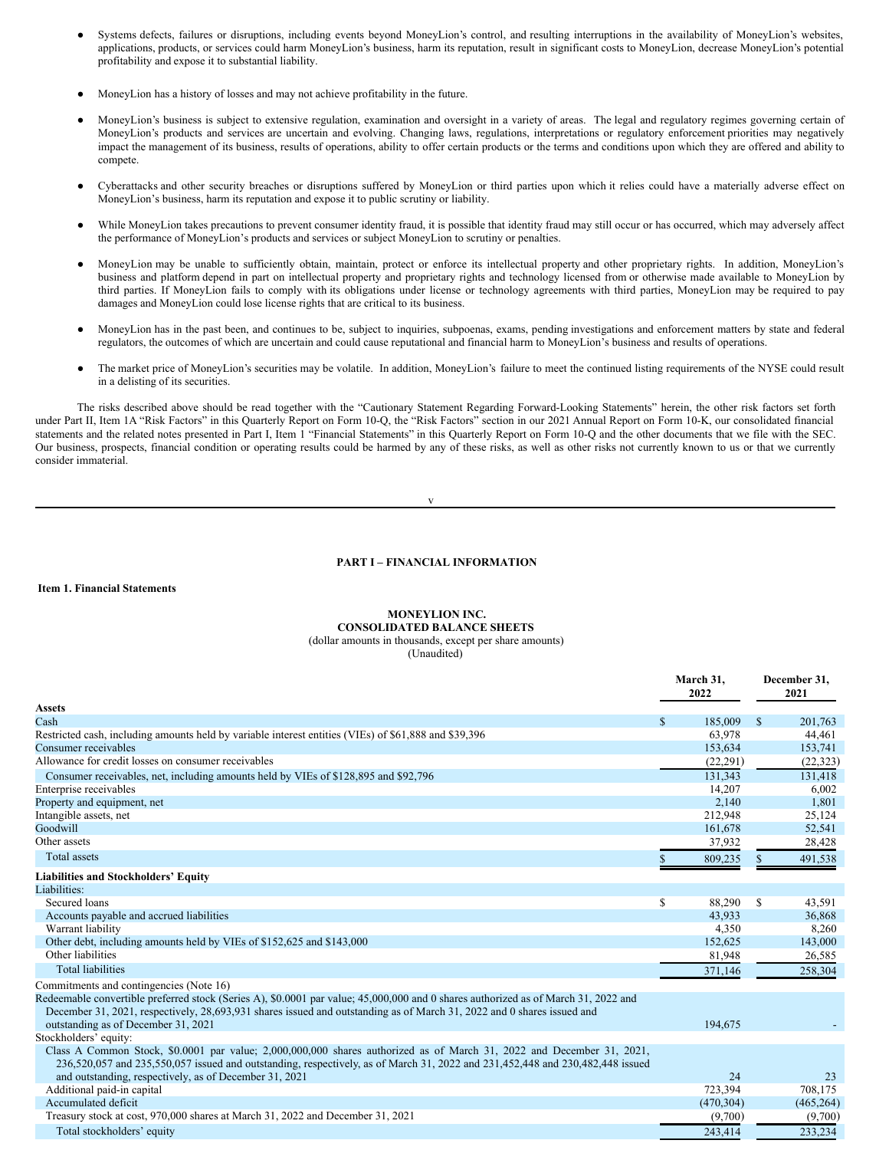- Systems defects, failures or disruptions, including events beyond MoneyLion's control, and resulting interruptions in the availability of MoneyLion's websites, applications, products, or services could harm MoneyLion's business, harm its reputation, result in significant costs to MoneyLion, decrease MoneyLion's potential profitability and expose it to substantial liability.
- MoneyLion has a history of losses and may not achieve profitability in the future.
- MoneyLion's business is subject to extensive regulation, examination and oversight in a variety of areas. The legal and regulatory regimes governing certain of MoneyLion's products and services are uncertain and evolving. Changing laws, regulations, interpretations or regulatory enforcement priorities may negatively impact the management of its business, results of operations, ability to offer certain products or the terms and conditions upon which they are offered and ability to compete.
- Cyberattacks and other security breaches or disruptions suffered by MoneyLion or third parties upon which it relies could have a materially adverse effect on MoneyLion's business, harm its reputation and expose it to public scrutiny or liability.
- While MoneyLion takes precautions to prevent consumer identity fraud, it is possible that identity fraud may still occur or has occurred, which may adversely affect the performance of MoneyLion's products and services or subject MoneyLion to scrutiny or penalties.
- MoneyLion may be unable to sufficiently obtain, maintain, protect or enforce its intellectual property and other proprietary rights. In addition, MoneyLion's business and platform depend in part on intellectual property and proprietary rights and technology licensed from or otherwise made available to MoneyLion by third parties. If MoneyLion fails to comply with its obligations under license or technology agreements with third parties, MoneyLion may be required to pay damages and MoneyLion could lose license rights that are critical to its business.
- MoneyLion has in the past been, and continues to be, subject to inquiries, subpoenas, exams, pending investigations and enforcement matters by state and federal regulators, the outcomes of which are uncertain and could cause reputational and financial harm to MoneyLion's business and results of operations.
- The market price of MoneyLion's securities may be volatile. In addition, MoneyLion's failure to meet the continued listing requirements of the NYSE could result in a delisting of its securities.

The risks described above should be read together with the "Cautionary Statement Regarding Forward-Looking Statements" herein, the other risk factors set forth under Part II, Item 1A "Risk Factors" in this Quarterly Report on Form 10-Q, the "Risk Factors" section in our 2021 Annual Report on Form 10-K, our consolidated financial statements and the related notes presented in Part I, Item 1 "Financial Statements" in this Quarterly Report on Form 10-Q and the other documents that we file with the SEC. Our business, prospects, financial condition or operating results could be harmed by any of these risks, as well as other risks not currently known to us or that we currently consider immaterial.

$$
\mathbf{V} =
$$

#### <span id="page-5-0"></span>**PART I – FINANCIAL INFORMATION**

## <span id="page-5-1"></span>**Item 1. Financial Statements**

## **MONEYLION INC. CONSOLIDATED BALANCE SHEETS**

(dollar amounts in thousands, except per share amounts)

<span id="page-5-2"></span>

|                                                                                                                                                                                                                                                        | March 31,<br>2022 | December 31,<br>2021 |            |  |
|--------------------------------------------------------------------------------------------------------------------------------------------------------------------------------------------------------------------------------------------------------|-------------------|----------------------|------------|--|
| <b>Assets</b>                                                                                                                                                                                                                                          |                   |                      |            |  |
| Cash                                                                                                                                                                                                                                                   | \$<br>185,009     | <sup>\$</sup>        | 201,763    |  |
| Restricted cash, including amounts held by variable interest entities (VIEs) of \$61,888 and \$39,396                                                                                                                                                  | 63,978            |                      | 44,461     |  |
| Consumer receivables                                                                                                                                                                                                                                   | 153,634           |                      | 153,741    |  |
| Allowance for credit losses on consumer receivables                                                                                                                                                                                                    | (22, 291)         |                      | (22, 323)  |  |
| Consumer receivables, net, including amounts held by VIEs of \$128,895 and \$92,796                                                                                                                                                                    | 131.343           |                      | 131,418    |  |
| Enterprise receivables                                                                                                                                                                                                                                 | 14,207            |                      | 6,002      |  |
| Property and equipment, net                                                                                                                                                                                                                            | 2,140             |                      | 1,801      |  |
| Intangible assets, net                                                                                                                                                                                                                                 | 212,948           |                      | 25,124     |  |
| Goodwill                                                                                                                                                                                                                                               | 161,678           |                      | 52,541     |  |
| Other assets                                                                                                                                                                                                                                           | 37,932            |                      | 28,428     |  |
| <b>Total</b> assets                                                                                                                                                                                                                                    | 809,235           |                      | 491,538    |  |
| <b>Liabilities and Stockholders' Equity</b>                                                                                                                                                                                                            |                   |                      |            |  |
| Liabilities:                                                                                                                                                                                                                                           |                   |                      |            |  |
| Secured loans                                                                                                                                                                                                                                          | \$<br>88,290      | -S                   | 43,591     |  |
| Accounts payable and accrued liabilities                                                                                                                                                                                                               | 43.933            |                      | 36,868     |  |
| Warrant liability                                                                                                                                                                                                                                      | 4,350             |                      | 8,260      |  |
| Other debt, including amounts held by VIEs of \$152,625 and \$143,000                                                                                                                                                                                  | 152,625           |                      | 143,000    |  |
| Other liabilities                                                                                                                                                                                                                                      | 81,948            |                      | 26,585     |  |
| <b>Total liabilities</b>                                                                                                                                                                                                                               | 371,146           |                      | 258,304    |  |
| Commitments and contingencies (Note 16)                                                                                                                                                                                                                |                   |                      |            |  |
| Redeemable convertible preferred stock (Series A), \$0.0001 par value; 45,000,000 and 0 shares authorized as of March 31, 2022 and                                                                                                                     |                   |                      |            |  |
| December 31, 2021, respectively, 28,693,931 shares issued and outstanding as of March 31, 2022 and 0 shares issued and                                                                                                                                 |                   |                      |            |  |
| outstanding as of December 31, 2021                                                                                                                                                                                                                    | 194,675           |                      |            |  |
| Stockholders' equity:                                                                                                                                                                                                                                  |                   |                      |            |  |
| Class A Common Stock, \$0.0001 par value; 2,000,000,000 shares authorized as of March 31, 2022 and December 31, 2021,<br>236,520,057 and 235,550,057 issued and outstanding, respectively, as of March 31, 2022 and 231,452,448 and 230,482,448 issued |                   |                      |            |  |
| and outstanding, respectively, as of December 31, 2021                                                                                                                                                                                                 | 24                |                      | 23         |  |
| Additional paid-in capital                                                                                                                                                                                                                             | 723,394           |                      | 708,175    |  |
| Accumulated deficit                                                                                                                                                                                                                                    | (470, 304)        |                      | (465, 264) |  |
| Treasury stock at cost, 970,000 shares at March 31, 2022 and December 31, 2021                                                                                                                                                                         | (9,700)           |                      | (9,700)    |  |
| Total stockholders' equity                                                                                                                                                                                                                             | 243,414           |                      | 233,234    |  |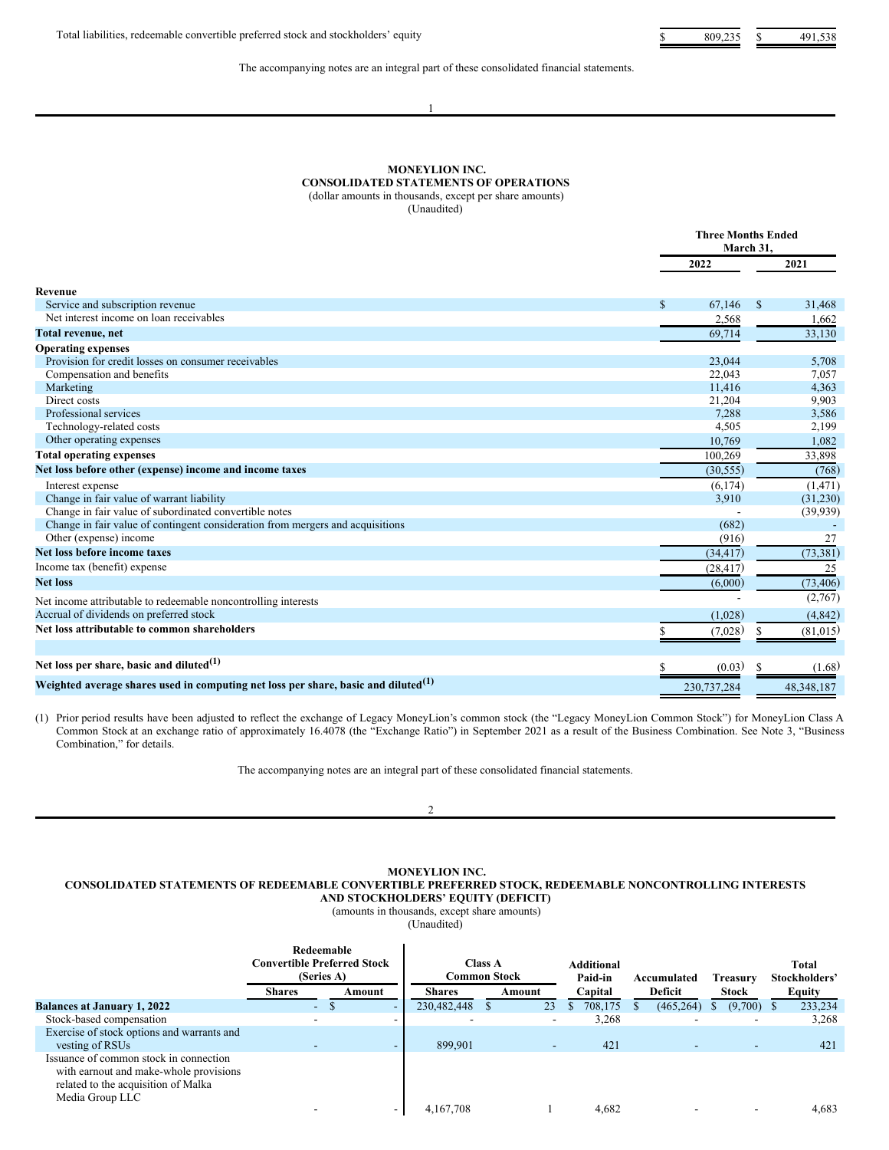The accompanying notes are an integral part of these consolidated financial statements.

#### 1

## **MONEYLION INC. CONSOLIDATED STATEMENTS OF OPERATIONS** (dollar amounts in thousands, except per share amounts)

<span id="page-6-0"></span>(Unaudited)

|                                                                                                |              | <b>Three Months Ended</b><br>March 31. |                 |  |  |
|------------------------------------------------------------------------------------------------|--------------|----------------------------------------|-----------------|--|--|
|                                                                                                |              | 2022                                   | 2021            |  |  |
| Revenue                                                                                        |              |                                        |                 |  |  |
| Service and subscription revenue                                                               | $\mathbb{S}$ | 67,146                                 | \$<br>31,468    |  |  |
| Net interest income on loan receivables                                                        |              | 2,568                                  | 1,662           |  |  |
| Total revenue, net                                                                             |              | 69,714                                 | 33,130          |  |  |
| <b>Operating expenses</b>                                                                      |              |                                        |                 |  |  |
| Provision for credit losses on consumer receivables                                            |              | 23,044                                 | 5,708           |  |  |
| Compensation and benefits                                                                      |              | 22,043                                 | 7,057           |  |  |
| Marketing                                                                                      |              | 11,416                                 | 4,363           |  |  |
| Direct costs                                                                                   |              | 21,204                                 | 9,903           |  |  |
| Professional services                                                                          |              | 7,288                                  | 3,586           |  |  |
| Technology-related costs                                                                       |              | 4,505                                  | 2,199           |  |  |
| Other operating expenses                                                                       |              | 10,769                                 | 1,082           |  |  |
| <b>Total operating expenses</b>                                                                |              | 100,269                                | 33,898          |  |  |
| Net loss before other (expense) income and income taxes                                        |              | (30, 555)                              | (768)           |  |  |
| Interest expense                                                                               |              | (6,174)                                | (1, 471)        |  |  |
| Change in fair value of warrant liability                                                      |              | 3,910                                  | (31,230)        |  |  |
| Change in fair value of subordinated convertible notes                                         |              |                                        | (39, 939)       |  |  |
| Change in fair value of contingent consideration from mergers and acquisitions                 |              | (682)                                  |                 |  |  |
| Other (expense) income                                                                         |              | (916)                                  | 27              |  |  |
| Net loss before income taxes                                                                   |              | (34, 417)                              | (73, 381)       |  |  |
| Income tax (benefit) expense                                                                   |              | (28, 417)                              | 25              |  |  |
| <b>Net loss</b>                                                                                |              | (6,000)                                | (73, 406)       |  |  |
| Net income attributable to redeemable noncontrolling interests                                 |              |                                        | (2,767)         |  |  |
| Accrual of dividends on preferred stock                                                        |              | (1,028)                                | (4, 842)        |  |  |
| Net loss attributable to common shareholders                                                   | S            | (7,028)                                | \$<br>(81, 015) |  |  |
|                                                                                                |              |                                        |                 |  |  |
| Net loss per share, basic and diluted $(1)$                                                    |              | (0.03)                                 | (1.68)          |  |  |
| Weighted average shares used in computing net loss per share, basic and diluted <sup>(1)</sup> |              | 230,737,284                            | 48, 348, 187    |  |  |

(1) Prior period results have been adjusted to reflect the exchange of Legacy MoneyLion's common stock (the "Legacy MoneyLion Common Stock") for MoneyLion Class A Common Stock at an exchange ratio of approximately 16.4078 (the "Exchange Ratio") in September 2021 as a result of the Business Combination. See Note 3, "Business Combination," for details.

The accompanying notes are an integral part of these consolidated financial statements.

2

## **MONEYLION INC. CONSOLIDATED STATEMENTS OF REDEEMABLE CONVERTIBLE PREFERRED STOCK, REDEEMABLE NONCONTROLLING INTERESTS AND STOCKHOLDERS' EQUITY (DEFICIT)**

(amounts in thousands, except share amounts) (Unaudited)

<span id="page-6-1"></span>

|                                                                                                                                            | Redeemable<br><b>Convertible Preferred Stock</b><br>(Series A)<br><b>Shares</b> | Amount                   | <b>Common Stock</b><br><b>Shares</b> | <b>Class A</b> | Amount                   | <b>Additional</b><br>Paid-in<br>Capital | Accumulated<br>Deficit   | <b>Treasury</b><br><b>Stock</b> | Total<br>Stockholders'<br>Equity |
|--------------------------------------------------------------------------------------------------------------------------------------------|---------------------------------------------------------------------------------|--------------------------|--------------------------------------|----------------|--------------------------|-----------------------------------------|--------------------------|---------------------------------|----------------------------------|
|                                                                                                                                            |                                                                                 |                          |                                      |                |                          |                                         |                          |                                 |                                  |
| <b>Balances at January 1, 2022</b>                                                                                                         | $\sim$                                                                          | $\overline{\phantom{a}}$ | 230,482,448                          | Ð              | 23                       | 708,175                                 | (465, 264)               | $(9,700)$ \$                    | 233,234                          |
| Stock-based compensation                                                                                                                   |                                                                                 | $\overline{\phantom{a}}$ | $\overline{\phantom{a}}$             |                | $\overline{\phantom{0}}$ | 3,268                                   |                          |                                 | 3,268                            |
| Exercise of stock options and warrants and                                                                                                 |                                                                                 |                          |                                      |                |                          |                                         |                          |                                 |                                  |
| vesting of RSUs                                                                                                                            |                                                                                 | $\overline{\phantom{0}}$ | 899.901                              |                | $\overline{\phantom{a}}$ | 421                                     | $\overline{\phantom{a}}$ |                                 | 421                              |
| Issuance of common stock in connection<br>with earnout and make-whole provisions<br>related to the acquisition of Malka<br>Media Group LLC |                                                                                 |                          |                                      |                |                          |                                         |                          |                                 |                                  |
|                                                                                                                                            |                                                                                 | $\overline{\phantom{a}}$ | 4.167.708                            |                |                          | 4.682                                   |                          |                                 | 4.683                            |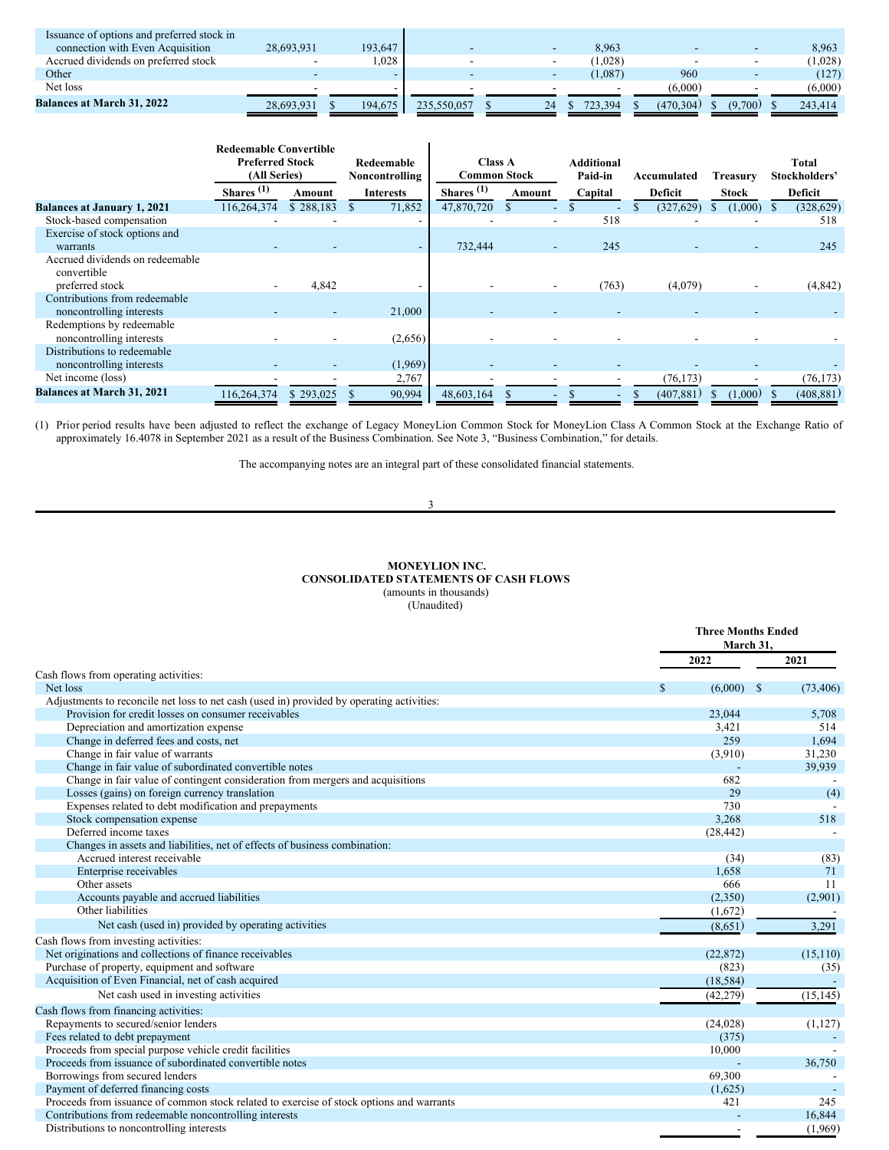| Issuance of options and preferred stock in |            |         |             |    |         |           |         |         |
|--------------------------------------------|------------|---------|-------------|----|---------|-----------|---------|---------|
| connection with Even Acquisition           | 28.693.931 | 193.647 |             |    | 8,963   |           |         | 8.963   |
| Accrued dividends on preferred stock       |            | ,028    |             |    | (1,028) |           |         | (1,028) |
| Other                                      |            |         |             |    | (1,087) | 960       |         | (127)   |
| Net loss                                   |            |         |             |    |         | (6.000)   |         | (6.000) |
| <b>Balances at March 31, 2022</b>          | 28.693.931 | 194,675 | 235,550,057 | 24 | 723.394 | (470.304) | (9.700) | 243.414 |

|                                                           | <b>Redeemable Convertible</b><br><b>Preferred Stock</b><br>(All Series) |           | Redeemable<br>Noncontrolling | <b>Class A</b><br><b>Common Stock</b> |                          | <b>Additional</b><br>Paid-in | Accumulated | Treasurv | Total<br>Stockholders' |
|-----------------------------------------------------------|-------------------------------------------------------------------------|-----------|------------------------------|---------------------------------------|--------------------------|------------------------------|-------------|----------|------------------------|
|                                                           | $\mathbf{Shares}^{(1)}$                                                 | Amount    | <b>Interests</b>             | Shares $(1)$                          | Amount                   | Capital                      | Deficit     | Stock    | Deficit                |
| <b>Balances at January 1, 2021</b>                        | 116,264,374                                                             | \$288,183 | 71,852                       | 47,870,720                            |                          |                              | (327, 629)  | (1,000)  | (328, 629)             |
| Stock-based compensation                                  |                                                                         |           |                              |                                       |                          | 518                          |             |          | 518                    |
| Exercise of stock options and                             |                                                                         |           |                              |                                       |                          |                              |             |          |                        |
| warrants                                                  |                                                                         |           | $\overline{\phantom{a}}$     | 732,444                               | $\overline{\phantom{a}}$ | 245                          |             |          | 245                    |
| Accrued dividends on redeemable<br>convertible            |                                                                         |           |                              |                                       |                          |                              |             |          |                        |
| preferred stock                                           |                                                                         | 4,842     |                              |                                       |                          | (763)                        | (4,079)     |          | (4,842)                |
| Contributions from redeemable<br>noncontrolling interests |                                                                         |           | 21,000                       |                                       |                          |                              |             |          |                        |
| Redemptions by redeemable<br>noncontrolling interests     |                                                                         |           | (2,656)                      |                                       |                          |                              |             |          |                        |
| Distributions to redeemable<br>noncontrolling interests   |                                                                         |           | (1,969)                      |                                       |                          |                              |             |          |                        |
| Net income (loss)                                         |                                                                         |           | 2,767                        |                                       |                          |                              | (76, 173)   |          | (76, 173)              |
| <b>Balances at March 31, 2021</b>                         | 16,264,374                                                              | \$293,025 | 90,994                       | 48,603,164                            |                          |                              | (407, 881)  | (1,000)  | (408, 881)             |

(1) Prior period results have been adjusted to reflect the exchange of Legacy MoneyLion Common Stock for MoneyLion Class A Common Stock at the Exchange Ratio of approximately 16.4078 in September 2021 as a result of the Business Combination. See Note 3, "Business Combination," for details.

The accompanying notes are an integral part of these consolidated financial statements.

3

## **MONEYLION INC. CONSOLIDATED STATEMENTS OF CASH FLOWS** (amounts in thousands)

<span id="page-7-0"></span>(Unaudited)

|                                                                                           |                        | <b>Three Months Ended</b><br>March 31, |
|-------------------------------------------------------------------------------------------|------------------------|----------------------------------------|
|                                                                                           | 2022                   | 2021                                   |
| Cash flows from operating activities:                                                     |                        |                                        |
| Net loss                                                                                  | $\mathbf S$<br>(6,000) | - \$<br>(73, 406)                      |
| Adjustments to reconcile net loss to net cash (used in) provided by operating activities: |                        |                                        |
| Provision for credit losses on consumer receivables                                       | 23,044                 | 5,708                                  |
| Depreciation and amortization expense                                                     | 3,421                  | 514                                    |
| Change in deferred fees and costs, net                                                    | 259                    | 1.694                                  |
| Change in fair value of warrants                                                          | (3,910)                | 31,230                                 |
| Change in fair value of subordinated convertible notes                                    |                        | 39,939                                 |
| Change in fair value of contingent consideration from mergers and acquisitions            | 682                    |                                        |
| Losses (gains) on foreign currency translation                                            | 29                     | (4)                                    |
| Expenses related to debt modification and prepayments                                     | 730                    |                                        |
| Stock compensation expense                                                                | 3,268                  | 518                                    |
| Deferred income taxes                                                                     | (28, 442)              |                                        |
| Changes in assets and liabilities, net of effects of business combination:                |                        |                                        |
| Accrued interest receivable                                                               | (34)                   | (83)                                   |
| Enterprise receivables                                                                    | 1,658                  | 71                                     |
| Other assets                                                                              | 666                    | 11                                     |
| Accounts payable and accrued liabilities                                                  | (2,350)                | (2,901)                                |
| Other liabilities                                                                         | (1,672)                |                                        |
| Net cash (used in) provided by operating activities                                       | (8,651)                | 3,291                                  |
| Cash flows from investing activities:                                                     |                        |                                        |
| Net originations and collections of finance receivables                                   | (22, 872)              | (15, 110)                              |
| Purchase of property, equipment and software                                              | (823)                  | (35)                                   |
| Acquisition of Even Financial, net of cash acquired                                       | (18, 584)              |                                        |
| Net cash used in investing activities                                                     | (42, 279)              | (15, 145)                              |
| Cash flows from financing activities:                                                     |                        |                                        |
| Repayments to secured/senior lenders                                                      | (24, 028)              | (1,127)                                |
| Fees related to debt prepayment                                                           | (375)                  |                                        |
| Proceeds from special purpose vehicle credit facilities                                   | 10,000                 |                                        |
| Proceeds from issuance of subordinated convertible notes                                  |                        | 36,750                                 |
| Borrowings from secured lenders                                                           | 69.300                 |                                        |
| Payment of deferred financing costs                                                       | (1,625)                |                                        |
| Proceeds from issuance of common stock related to exercise of stock options and warrants  | 421                    | 245                                    |
| Contributions from redeemable noncontrolling interests                                    |                        | 16,844                                 |
| Distributions to noncontrolling interests                                                 |                        | (1,969)                                |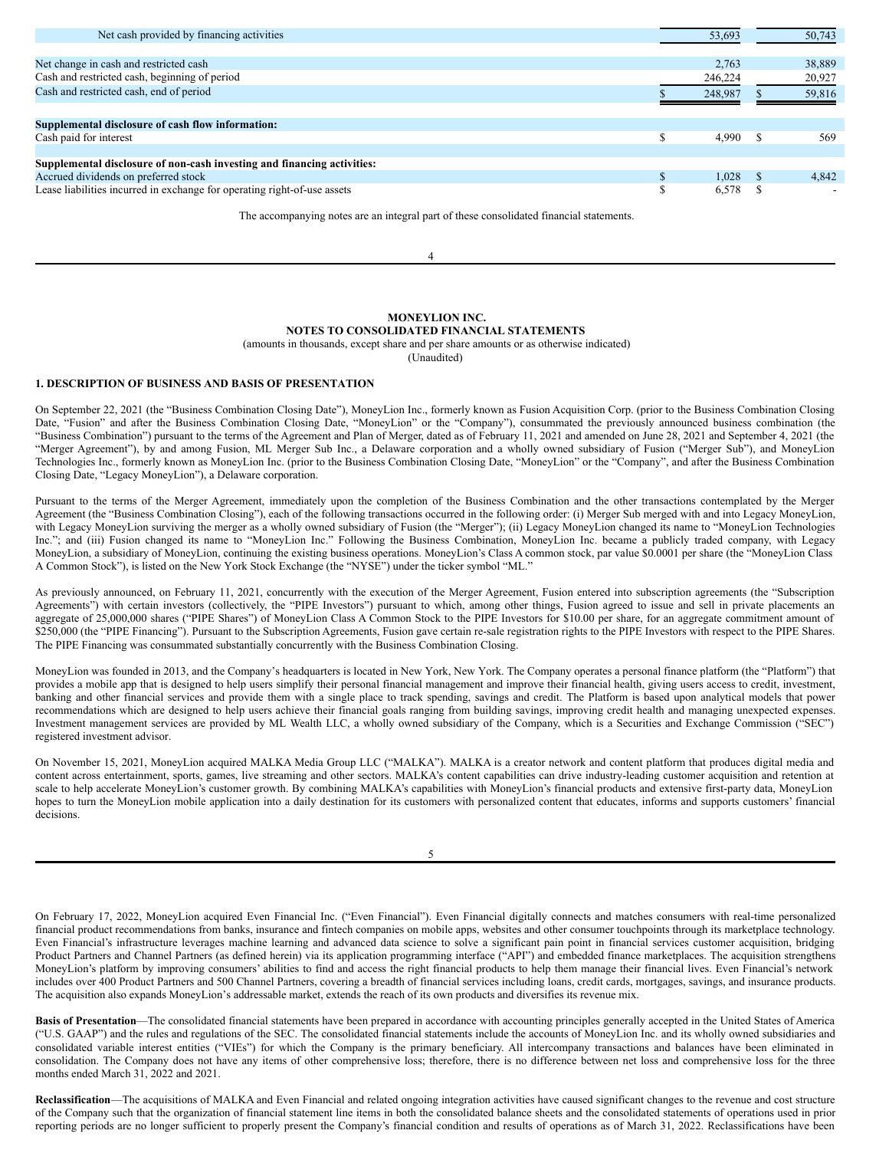| Net cash provided by financing activities                                | 53,693      | 50,743 |
|--------------------------------------------------------------------------|-------------|--------|
|                                                                          |             |        |
| Net change in cash and restricted cash                                   | 2.763       | 38,889 |
| Cash and restricted cash, beginning of period                            | 246,224     | 20,927 |
| Cash and restricted cash, end of period                                  | 248.987     | 59,816 |
|                                                                          |             |        |
| Supplemental disclosure of cash flow information:                        |             |        |
| Cash paid for interest                                                   | S<br>4.990  | 569    |
|                                                                          |             |        |
| Supplemental disclosure of non-cash investing and financing activities:  |             |        |
| Accrued dividends on preferred stock                                     | \$<br>1.028 | 4.842  |
| Lease liabilities incurred in exchange for operating right-of-use assets | S<br>6,578  |        |

The accompanying notes are an integral part of these consolidated financial statements.

4

## <span id="page-8-0"></span>**MONEYLION INC.**

**NOTES TO CONSOLIDATED FINANCIAL STATEMENTS** (amounts in thousands, except share and per share amounts or as otherwise indicated)

(Unaudited)

## **1. DESCRIPTION OF BUSINESS AND BASIS OF PRESENTATION**

On September 22, 2021 (the "Business Combination Closing Date"), MoneyLion Inc., formerly known as Fusion Acquisition Corp. (prior to the Business Combination Closing Date, "Fusion" and after the Business Combination Closing Date, "MoneyLion" or the "Company"), consummated the previously announced business combination (the "Business Combination") pursuant to the terms of the Agreement and Plan of Merger, dated as of February 11, 2021 and amended on June 28, 2021 and September 4, 2021 (the "Merger Agreement"), by and among Fusion, ML Merger Sub Inc., a Delaware corporation and a wholly owned subsidiary of Fusion ("Merger Sub"), and MoneyLion Technologies Inc., formerly known as MoneyLion Inc. (prior to the Business Combination Closing Date, "MoneyLion" or the "Company", and after the Business Combination Closing Date, "Legacy MoneyLion"), a Delaware corporation.

Pursuant to the terms of the Merger Agreement, immediately upon the completion of the Business Combination and the other transactions contemplated by the Merger Agreement (the "Business Combination Closing"), each of the following transactions occurred in the following order: (i) Merger Sub merged with and into Legacy MoneyLion, with Legacy MoneyLion surviving the merger as a wholly owned subsidiary of Fusion (the "Merger"); (ii) Legacy MoneyLion changed its name to "MoneyLion Technologies Inc."; and (iii) Fusion changed its name to "MoneyLion Inc." Following the Business Combination, MoneyLion Inc. became a publicly traded company, with Legacy MoneyLion, a subsidiary of MoneyLion, continuing the existing business operations. MoneyLion's Class A common stock, par value \$0.0001 per share (the "MoneyLion Class A Common Stock"), is listed on the New York Stock Exchange (the "NYSE") under the ticker symbol "ML."

As previously announced, on February 11, 2021, concurrently with the execution of the Merger Agreement, Fusion entered into subscription agreements (the "Subscription Agreements") with certain investors (collectively, the "PIPE Investors") pursuant to which, among other things, Fusion agreed to issue and sell in private placements an aggregate of 25,000,000 shares ("PIPE Shares") of MoneyLion Class A Common Stock to the PIPE Investors for \$10.00 per share, for an aggregate commitment amount of \$250,000 (the "PIPE Financing"). Pursuant to the Subscription Agreements, Fusion gave certain re-sale registration rights to the PIPE Investors with respect to the PIPE Shares. The PIPE Financing was consummated substantially concurrently with the Business Combination Closing.

MoneyLion was founded in 2013, and the Company's headquarters is located in New York, New York. The Company operates a personal finance platform (the "Platform") that provides a mobile app that is designed to help users simplify their personal financial management and improve their financial health, giving users access to credit, investment, banking and other financial services and provide them with a single place to track spending, savings and credit. The Platform is based upon analytical models that power recommendations which are designed to help users achieve their financial goals ranging from building savings, improving credit health and managing unexpected expenses. Investment management services are provided by ML Wealth LLC, a wholly owned subsidiary of the Company, which is a Securities and Exchange Commission ("SEC") registered investment advisor.

On November 15, 2021, MoneyLion acquired MALKA Media Group LLC ("MALKA"). MALKA is a creator network and content platform that produces digital media and content across entertainment, sports, games, live streaming and other sectors. MALKA's content capabilities can drive industry-leading customer acquisition and retention at scale to help accelerate MoneyLion's customer growth. By combining MALKA's capabilities with MoneyLion's financial products and extensive first-party data, MoneyLion hopes to turn the MoneyLion mobile application into a daily destination for its customers with personalized content that educates, informs and supports customers' financial decisions.

5

On February 17, 2022, MoneyLion acquired Even Financial Inc. ("Even Financial"). Even Financial digitally connects and matches consumers with real-time personalized financial product recommendations from banks, insurance and fintech companies on mobile apps, websites and other consumer touchpoints through its marketplace technology. Even Financial's infrastructure leverages machine learning and advanced data science to solve a significant pain point in financial services customer acquisition, bridging Product Partners and Channel Partners (as defined herein) via its application programming interface ("API") and embedded finance marketplaces. The acquisition strengthens MoneyLion's platform by improving consumers' abilities to find and access the right financial products to help them manage their financial lives. Even Financial's network includes over 400 Product Partners and 500 Channel Partners, covering a breadth of financial services including loans, credit cards, mortgages, savings, and insurance products. The acquisition also expands MoneyLion's addressable market, extends the reach of its own products and diversifies its revenue mix.

**Basis of Presentation**—The consolidated financial statements have been prepared in accordance with accounting principles generally accepted in the United States of America ("U.S. GAAP") and the rules and regulations of the SEC. The consolidated financial statements include the accounts of MoneyLion Inc. and its wholly owned subsidiaries and consolidated variable interest entities ("VIEs") for which the Company is the primary beneficiary. All intercompany transactions and balances have been eliminated in consolidation. The Company does not have any items of other comprehensive loss; therefore, there is no difference between net loss and comprehensive loss for the three months ended March 31, 2022 and 2021.

**Reclassification**—The acquisitions of MALKA and Even Financial and related ongoing integration activities have caused significant changes to the revenue and cost structure of the Company such that the organization of financial statement line items in both the consolidated balance sheets and the consolidated statements of operations used in prior reporting periods are no longer sufficient to properly present the Company's financial condition and results of operations as of March 31, 2022. Reclassifications have been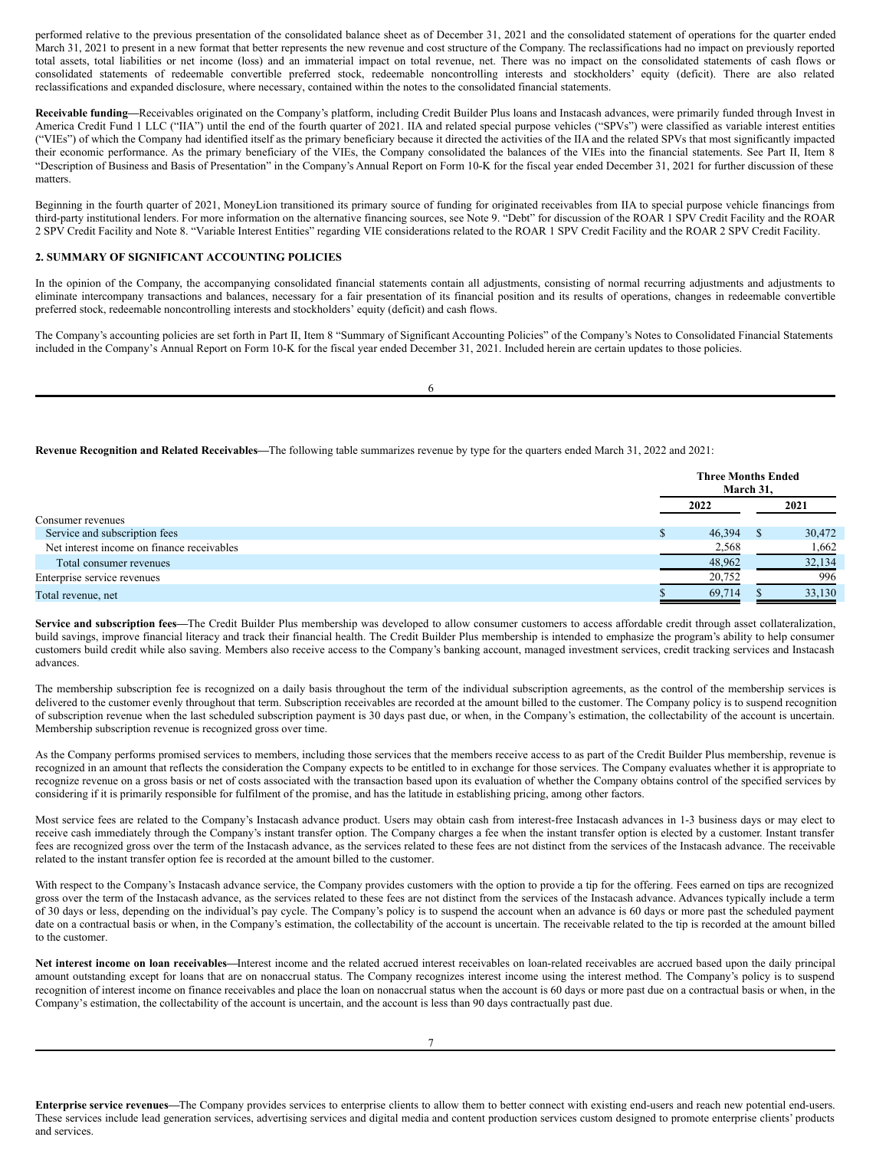performed relative to the previous presentation of the consolidated balance sheet as of December 31, 2021 and the consolidated statement of operations for the quarter ended March 31, 2021 to present in a new format that better represents the new revenue and cost structure of the Company. The reclassifications had no impact on previously reported total assets, total liabilities or net income (loss) and an immaterial impact on total revenue, net. There was no impact on the consolidated statements of cash flows or consolidated statements of redeemable convertible preferred stock, redeemable noncontrolling interests and stockholders' equity (deficit). There are also related reclassifications and expanded disclosure, where necessary, contained within the notes to the consolidated financial statements.

**Receivable funding—**Receivables originated on the Company's platform, including Credit Builder Plus loans and Instacash advances, were primarily funded through Invest in America Credit Fund 1 LLC ("IIA") until the end of the fourth quarter of 2021. IIA and related special purpose vehicles ("SPVs") were classified as variable interest entities ("VIEs") of which the Company had identified itself as the primary beneficiary because it directed the activities of the IIA and the related SPVs that most significantly impacted their economic performance. As the primary beneficiary of the VIEs, the Company consolidated the balances of the VIEs into the financial statements. See Part II, Item 8 "Description of Business and Basis of Presentation" in the Company's Annual Report on Form 10-K for the fiscal year ended December 31, 2021 for further discussion of these matters.

Beginning in the fourth quarter of 2021, MoneyLion transitioned its primary source of funding for originated receivables from IIA to special purpose vehicle financings from third-party institutional lenders. For more information on the alternative financing sources, see Note 9. "Debt" for discussion of the ROAR 1 SPV Credit Facility and the ROAR 2 SPV Credit Facility and Note 8. "Variable Interest Entities" regarding VIE considerations related to the ROAR 1 SPV Credit Facility and the ROAR 2 SPV Credit Facility.

### **2. SUMMARY OF SIGNIFICANT ACCOUNTING POLICIES**

In the opinion of the Company, the accompanying consolidated financial statements contain all adjustments, consisting of normal recurring adjustments and adjustments to eliminate intercompany transactions and balances, necessary for a fair presentation of its financial position and its results of operations, changes in redeemable convertible preferred stock, redeemable noncontrolling interests and stockholders' equity (deficit) and cash flows.

The Company's accounting policies are set forth in Part II, Item 8 "Summary of Significant Accounting Policies" of the Company's Notes to Consolidated Financial Statements included in the Company's Annual Report on Form 10-K for the fiscal year ended December 31, 2021. Included herein are certain updates to those policies.

6

#### **Revenue Recognition and Related Receivables—**The following table summarizes revenue by type for the quarters ended March 31, 2022 and 2021:

|                                            | <b>Three Months Ended</b><br>March 31, |        |
|--------------------------------------------|----------------------------------------|--------|
|                                            | 2022                                   | 2021   |
| Consumer revenues                          |                                        |        |
| Service and subscription fees              | 46,394                                 | 30,472 |
| Net interest income on finance receivables | 2,568                                  | 1,662  |
| Total consumer revenues                    | 48,962                                 | 32,134 |
| Enterprise service revenues                | 20,752                                 | 996    |
| Total revenue, net                         | 69,714                                 | 33,130 |

**Service and subscription fees—**The Credit Builder Plus membership was developed to allow consumer customers to access affordable credit through asset collateralization, build savings, improve financial literacy and track their financial health. The Credit Builder Plus membership is intended to emphasize the program's ability to help consumer customers build credit while also saving. Members also receive access to the Company's banking account, managed investment services, credit tracking services and Instacash advances.

The membership subscription fee is recognized on a daily basis throughout the term of the individual subscription agreements, as the control of the membership services is delivered to the customer evenly throughout that term. Subscription receivables are recorded at the amount billed to the customer. The Company policy is to suspend recognition of subscription revenue when the last scheduled subscription payment is 30 days past due, or when, in the Company's estimation, the collectability of the account is uncertain. Membership subscription revenue is recognized gross over time.

As the Company performs promised services to members, including those services that the members receive access to as part of the Credit Builder Plus membership, revenue is recognized in an amount that reflects the consideration the Company expects to be entitled to in exchange for those services. The Company evaluates whether it is appropriate to recognize revenue on a gross basis or net of costs associated with the transaction based upon its evaluation of whether the Company obtains control of the specified services by considering if it is primarily responsible for fulfilment of the promise, and has the latitude in establishing pricing, among other factors.

Most service fees are related to the Company's Instacash advance product. Users may obtain cash from interest-free Instacash advances in 1-3 business days or may elect to receive cash immediately through the Company's instant transfer option. The Company charges a fee when the instant transfer option is elected by a customer. Instant transfer fees are recognized gross over the term of the Instacash advance, as the services related to these fees are not distinct from the services of the Instacash advance. The receivable related to the instant transfer option fee is recorded at the amount billed to the customer.

With respect to the Company's Instacash advance service, the Company provides customers with the option to provide a tip for the offering. Fees earned on tips are recognized gross over the term of the Instacash advance, as the services related to these fees are not distinct from the services of the Instacash advance. Advances typically include a term of 30 days or less, depending on the individual's pay cycle. The Company's policy is to suspend the account when an advance is 60 days or more past the scheduled payment date on a contractual basis or when, in the Company's estimation, the collectability of the account is uncertain. The receivable related to the tip is recorded at the amount billed to the customer.

**Net interest income on loan receivables—**Interest income and the related accrued interest receivables on loan-related receivables are accrued based upon the daily principal amount outstanding except for loans that are on nonaccrual status. The Company recognizes interest income using the interest method. The Company's policy is to suspend recognition of interest income on finance receivables and place the loan on nonaccrual status when the account is 60 days or more past due on a contractual basis or when, in the Company's estimation, the collectability of the account is uncertain, and the account is less than 90 days contractually past due.

**Enterprise service revenues—**The Company provides services to enterprise clients to allow them to better connect with existing end-users and reach new potential end-users. These services include lead generation services, advertising services and digital media and content production services custom designed to promote enterprise clients' products and services.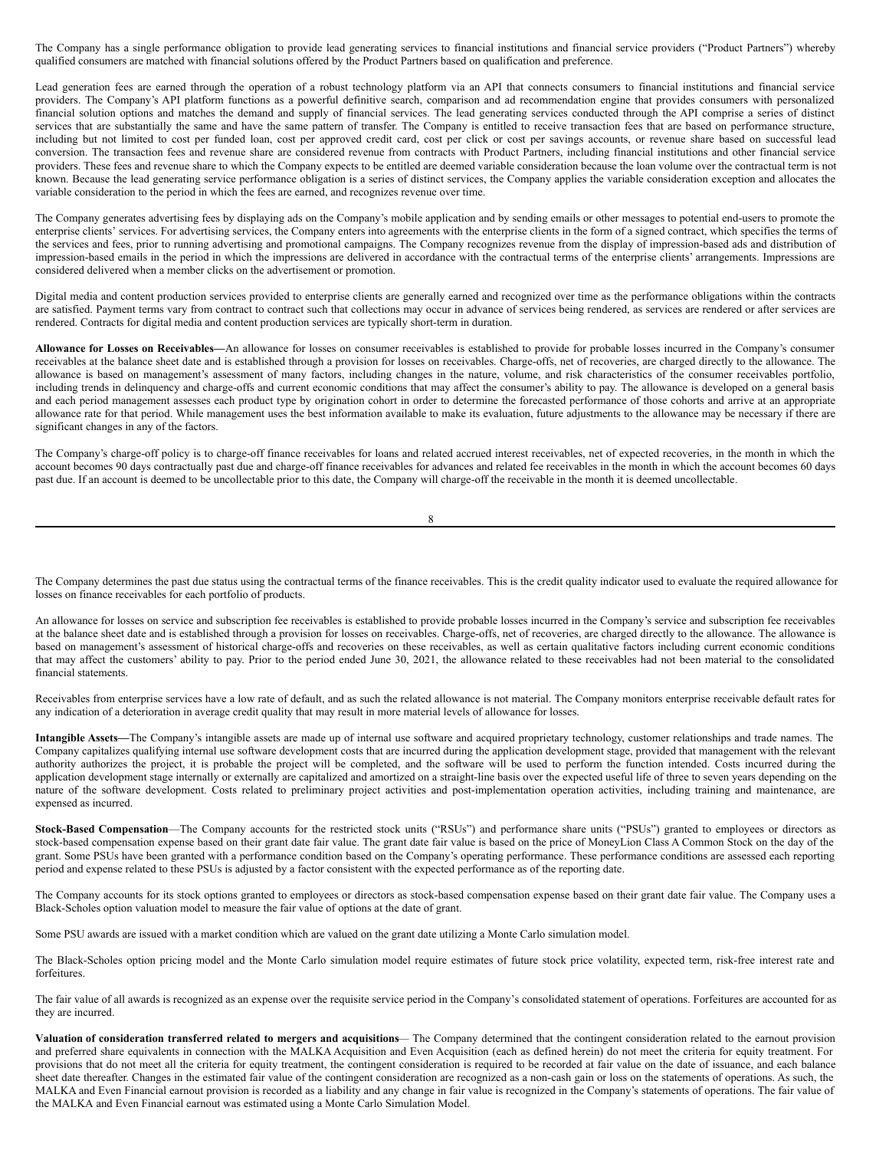The Company has a single performance obligation to provide lead generating services to financial institutions and financial service providers ("Product Partners") whereby qualified consumers are matched with financial solutions offered by the Product Partners based on qualification and preference.

Lead generation fees are earned through the operation of a robust technology platform via an API that connects consumers to financial institutions and financial service providers. The Company's API platform functions as a powerful definitive search, comparison and ad recommendation engine that provides consumers with personalized financial solution options and matches the demand and supply of financial services. The lead generating services conducted through the API comprise a series of distinct services that are substantially the same and have the same pattern of transfer. The Company is entitled to receive transaction fees that are based on performance structure, including but not limited to cost per funded loan, cost per approved credit card, cost per click or cost per savings accounts, or revenue share based on successful lead conversion. The transaction fees and revenue share are considered revenue from contracts with Product Partners, including financial institutions and other financial service providers. These fees and revenue share to which the Company expects to be entitled are deemed variable consideration because the loan volume over the contractual term is not known. Because the lead generating service performance obligation is a series of distinct services, the Company applies the variable consideration exception and allocates the variable consideration to the period in which the fees are earned, and recognizes revenue over time.

The Company generates advertising fees by displaying ads on the Company's mobile application and by sending emails or other messages to potential end-users to promote the enterprise clients' services. For advertising services, the Company enters into agreements with the enterprise clients in the form of a signed contract, which specifies the terms of the services and fees, prior to running advertising and promotional campaigns. The Company recognizes revenue from the display of impression-based ads and distribution of impression-based emails in the period in which the impressions are delivered in accordance with the contractual terms of the enterprise clients' arrangements. Impressions are considered delivered when a member clicks on the advertisement or promotion.

Digital media and content production services provided to enterprise clients are generally earned and recognized over time as the performance obligations within the contracts are satisfied. Payment terms vary from contract to contract such that collections may occur in advance of services being rendered, as services are rendered or after services are rendered. Contracts for digital media and content production services are typically short-term in duration.

**Allowance for Losses on Receivables—**An allowance for losses on consumer receivables is established to provide for probable losses incurred in the Company's consumer receivables at the balance sheet date and is established through a provision for losses on receivables. Charge-offs, net of recoveries, are charged directly to the allowance. The allowance is based on management's assessment of many factors, including changes in the nature, volume, and risk characteristics of the consumer receivables portfolio, including trends in delinquency and charge-offs and current economic conditions that may affect the consumer's ability to pay. The allowance is developed on a general basis and each period management assesses each product type by origination cohort in order to determine the forecasted performance of those cohorts and arrive at an appropriate allowance rate for that period. While management uses the best information available to make its evaluation, future adjustments to the allowance may be necessary if there are significant changes in any of the factors.

The Company's charge-off policy is to charge-off finance receivables for loans and related accrued interest receivables, net of expected recoveries, in the month in which the account becomes 90 days contractually past due and charge-off finance receivables for advances and related fee receivables in the month in which the account becomes 60 days past due. If an account is deemed to be uncollectable prior to this date, the Company will charge-off the receivable in the month it is deemed uncollectable.

8

The Company determines the past due status using the contractual terms of the finance receivables. This is the credit quality indicator used to evaluate the required allowance for losses on finance receivables for each portfolio of products.

An allowance for losses on service and subscription fee receivables is established to provide probable losses incurred in the Company's service and subscription fee receivables at the balance sheet date and is established through a provision for losses on receivables. Charge-offs, net of recoveries, are charged directly to the allowance. The allowance is based on management's assessment of historical charge-offs and recoveries on these receivables, as well as certain qualitative factors including current economic conditions that may affect the customers' ability to pay. Prior to the period ended June 30, 2021, the allowance related to these receivables had not been material to the consolidated financial statements.

Receivables from enterprise services have a low rate of default, and as such the related allowance is not material. The Company monitors enterprise receivable default rates for any indication of a deterioration in average credit quality that may result in more material levels of allowance for losses.

**Intangible Assets—**The Company's intangible assets are made up of internal use software and acquired proprietary technology, customer relationships and trade names. The Company capitalizes qualifying internal use software development costs that are incurred during the application development stage, provided that management with the relevant authority authorizes the project, it is probable the project will be completed, and the software will be used to perform the function intended. Costs incurred during the application development stage internally or externally are capitalized and amortized on a straight-line basis over the expected useful life of three to seven years depending on the nature of the software development. Costs related to preliminary project activities and post-implementation operation activities, including training and maintenance, are expensed as incurred.

**Stock-Based Compensation**—The Company accounts for the restricted stock units ("RSUs") and performance share units ("PSUs") granted to employees or directors as stock-based compensation expense based on their grant date fair value. The grant date fair value is based on the price of MoneyLion Class A Common Stock on the day of the grant. Some PSUs have been granted with a performance condition based on the Company's operating performance. These performance conditions are assessed each reporting period and expense related to these PSUs is adjusted by a factor consistent with the expected performance as of the reporting date.

The Company accounts for its stock options granted to employees or directors as stock-based compensation expense based on their grant date fair value. The Company uses a Black-Scholes option valuation model to measure the fair value of options at the date of grant.

Some PSU awards are issued with a market condition which are valued on the grant date utilizing a Monte Carlo simulation model.

The Black-Scholes option pricing model and the Monte Carlo simulation model require estimates of future stock price volatility, expected term, risk-free interest rate and forfeitures.

The fair value of all awards is recognized as an expense over the requisite service period in the Company's consolidated statement of operations. Forfeitures are accounted for as they are incurred.

Valuation of consideration transferred related to mergers and acquisitions— The Company determined that the contingent consideration related to the earnout provision and preferred share equivalents in connection with the MALKA Acquisition and Even Acquisition (each as defined herein) do not meet the criteria for equity treatment. For provisions that do not meet all the criteria for equity treatment, the contingent consideration is required to be recorded at fair value on the date of issuance, and each balance sheet date thereafter. Changes in the estimated fair value of the contingent consideration are recognized as a non-cash gain or loss on the statements of operations. As such, the MALKA and Even Financial earnout provision is recorded as a liability and any change in fair value is recognized in the Company's statements of operations. The fair value of the MALKA and Even Financial earnout was estimated using a Monte Carlo Simulation Model.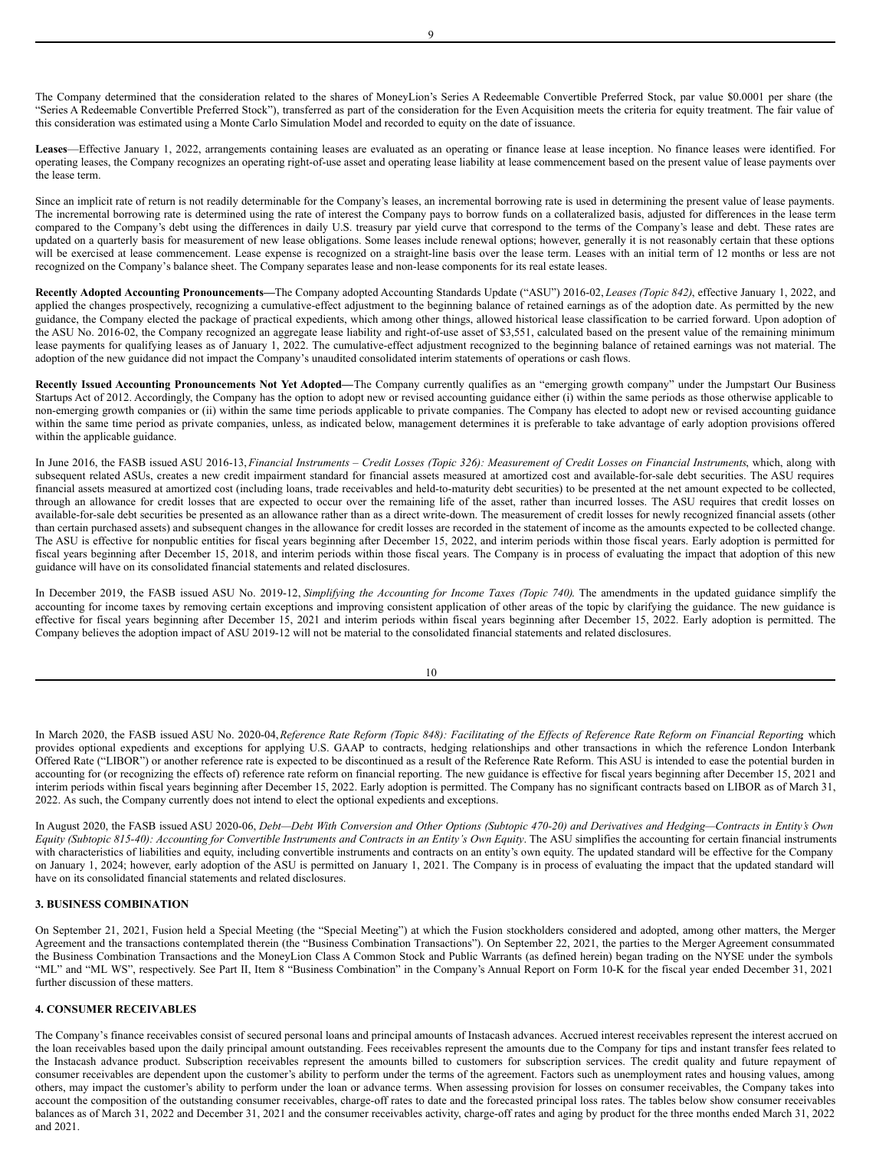The Company determined that the consideration related to the shares of MoneyLion's Series A Redeemable Convertible Preferred Stock, par value \$0.0001 per share (the "Series A Redeemable Convertible Preferred Stock"), transferred as part of the consideration for the Even Acquisition meets the criteria for equity treatment. The fair value of this consideration was estimated using a Monte Carlo Simulation Model and recorded to equity on the date of issuance.

**Leases**—Effective January 1, 2022, arrangements containing leases are evaluated as an operating or finance lease at lease inception. No finance leases were identified. For operating leases, the Company recognizes an operating right-of-use asset and operating lease liability at lease commencement based on the present value of lease payments over the lease term.

Since an implicit rate of return is not readily determinable for the Company's leases, an incremental borrowing rate is used in determining the present value of lease payments. The incremental borrowing rate is determined using the rate of interest the Company pays to borrow funds on a collateralized basis, adjusted for differences in the lease term compared to the Company's debt using the differences in daily U.S. treasury par yield curve that correspond to the terms of the Company's lease and debt. These rates are updated on a quarterly basis for measurement of new lease obligations. Some leases include renewal options; however, generally it is not reasonably certain that these options will be exercised at lease commencement. Lease expense is recognized on a straight-line basis over the lease term. Leases with an initial term of 12 months or less are not recognized on the Company's balance sheet. The Company separates lease and non-lease components for its real estate leases.

**Recently Adopted Accounting Pronouncements—**The Company adopted Accounting Standards Update ("ASU") 2016-02, *Leases (Topic 842)*, effective January 1, 2022, and applied the changes prospectively, recognizing a cumulative-effect adjustment to the beginning balance of retained earnings as of the adoption date. As permitted by the new guidance, the Company elected the package of practical expedients, which among other things, allowed historical lease classification to be carried forward. Upon adoption of the ASU No. 2016-02, the Company recognized an aggregate lease liability and right-of-use asset of \$3,551, calculated based on the present value of the remaining minimum lease payments for qualifying leases as of January 1, 2022. The cumulative-effect adjustment recognized to the beginning balance of retained earnings was not material. The adoption of the new guidance did not impact the Company's unaudited consolidated interim statements of operations or cash flows.

**Recently Issued Accounting Pronouncements Not Yet Adopted—**The Company currently qualifies as an "emerging growth company" under the Jumpstart Our Business Startups Act of 2012. Accordingly, the Company has the option to adopt new or revised accounting guidance either (i) within the same periods as those otherwise applicable to non-emerging growth companies or (ii) within the same time periods applicable to private companies. The Company has elected to adopt new or revised accounting guidance within the same time period as private companies, unless, as indicated below, management determines it is preferable to take advantage of early adoption provisions offered within the applicable guidance.

In June 2016, the FASB issued ASU 2016-13, Financial Instruments - Credit Losses (Topic 326): Measurement of Credit Losses on Financial Instruments, which, along with subsequent related ASUs, creates a new credit impairment standard for financial assets measured at amortized cost and available-for-sale debt securities. The ASU requires financial assets measured at amortized cost (including loans, trade receivables and held-to-maturity debt securities) to be presented at the net amount expected to be collected, through an allowance for credit losses that are expected to occur over the remaining life of the asset, rather than incurred losses. The ASU requires that credit losses on available-for-sale debt securities be presented as an allowance rather than as a direct write-down. The measurement of credit losses for newly recognized financial assets (other than certain purchased assets) and subsequent changes in the allowance for credit losses are recorded in the statement of income as the amounts expected to be collected change. The ASU is effective for nonpublic entities for fiscal years beginning after December 15, 2022, and interim periods within those fiscal years. Early adoption is permitted for fiscal years beginning after December 15, 2018, and interim periods within those fiscal years. The Company is in process of evaluating the impact that adoption of this new guidance will have on its consolidated financial statements and related disclosures.

In December 2019, the FASB issued ASU No. 2019-12, *Simplifying the Accounting for Income Taxes (Topic 740)*. The amendments in the updated guidance simplify the accounting for income taxes by removing certain exceptions and improving consistent application of other areas of the topic by clarifying the guidance. The new guidance is effective for fiscal years beginning after December 15, 2021 and interim periods within fiscal years beginning after December 15, 2022. Early adoption is permitted. The Company believes the adoption impact of ASU 2019-12 will not be material to the consolidated financial statements and related disclosures.

| I<br>۰.<br>×<br>۰. |  |
|--------------------|--|
|                    |  |

In March 2020, the FASB issued ASU No. 2020-04, Reference Rate Reform (Topic 848): Facilitating of the Effects of Reference Rate Reform on Financial Reporting which provides optional expedients and exceptions for applying U.S. GAAP to contracts, hedging relationships and other transactions in which the reference London Interbank Offered Rate ("LIBOR") or another reference rate is expected to be discontinued as a result of the Reference Rate Reform. This ASU is intended to ease the potential burden in accounting for (or recognizing the effects of) reference rate reform on financial reporting. The new guidance is effective for fiscal years beginning after December 15, 2021 and interim periods within fiscal years beginning after December 15, 2022. Early adoption is permitted. The Company has no significant contracts based on LIBOR as of March 31, 2022. As such, the Company currently does not intend to elect the optional expedients and exceptions.

In August 2020, the FASB issued ASU 2020-06, Debt-Debt With Conversion and Other Options (Subtopic 470-20) and Derivatives and Hedging-Contracts in Entity's Own Equity (Subtopic 815-40): Accounting for Convertible Instruments and Contracts in an Entity's Own Equity. The ASU simplifies the accounting for certain financial instruments with characteristics of liabilities and equity, including convertible instruments and contracts on an entity's own equity. The updated standard will be effective for the Company on January 1, 2024; however, early adoption of the ASU is permitted on January 1, 2021. The Company is in process of evaluating the impact that the updated standard will have on its consolidated financial statements and related disclosures.

## **3. BUSINESS COMBINATION**

On September 21, 2021, Fusion held a Special Meeting (the "Special Meeting") at which the Fusion stockholders considered and adopted, among other matters, the Merger Agreement and the transactions contemplated therein (the "Business Combination Transactions"). On September 22, 2021, the parties to the Merger Agreement consummated the Business Combination Transactions and the MoneyLion Class A Common Stock and Public Warrants (as defined herein) began trading on the NYSE under the symbols "ML" and "ML WS", respectively. See Part II, Item 8 "Business Combination" in the Company's Annual Report on Form 10-K for the fiscal year ended December 31, 2021 further discussion of these matters.

## **4. CONSUMER RECEIVABLES**

The Company's finance receivables consist of secured personal loans and principal amounts of Instacash advances. Accrued interest receivables represent the interest accrued on the loan receivables based upon the daily principal amount outstanding. Fees receivables represent the amounts due to the Company for tips and instant transfer fees related to the Instacash advance product. Subscription receivables represent the amounts billed to customers for subscription services. The credit quality and future repayment of consumer receivables are dependent upon the customer's ability to perform under the terms of the agreement. Factors such as unemployment rates and housing values, among others, may impact the customer's ability to perform under the loan or advance terms. When assessing provision for losses on consumer receivables, the Company takes into account the composition of the outstanding consumer receivables, charge-off rates to date and the forecasted principal loss rates. The tables below show consumer receivables balances as of March 31, 2022 and December 31, 2021 and the consumer receivables activity, charge-off rates and aging by product for the three months ended March 31, 2022 and 2021.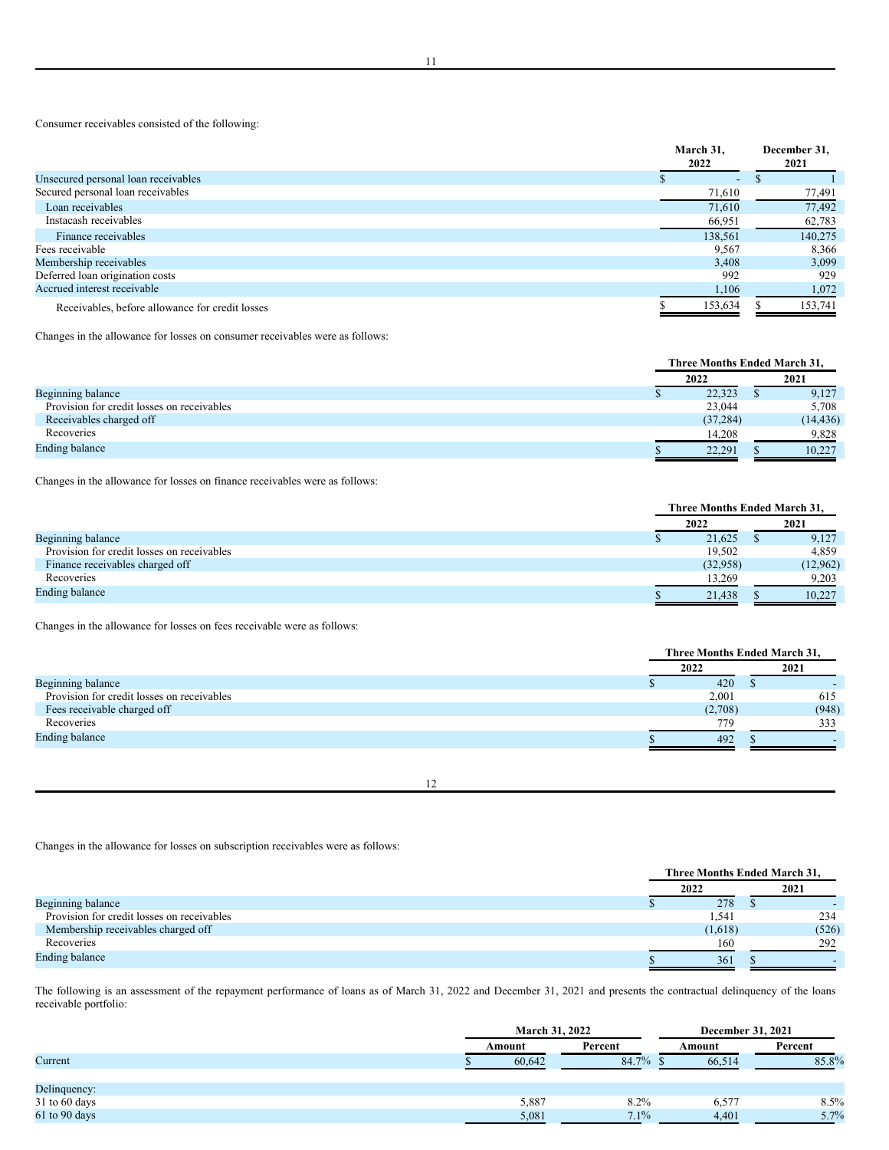Consumer receivables consisted of the following:

|                                                 | March 31,<br>2022 | December 31,<br>2021 |
|-------------------------------------------------|-------------------|----------------------|
| Unsecured personal loan receivables             | ٠                 | ٠D                   |
| Secured personal loan receivables               | 71,610            | 77,491               |
| Loan receivables                                | 71,610            | 77,492               |
| Instacash receivables                           | 66,951            | 62,783               |
| Finance receivables                             | 138,561           | 140,275              |
| Fees receivable                                 | 9,567             | 8,366                |
| Membership receivables                          | 3.408             | 3,099                |
| Deferred loan origination costs                 | 992               | 929                  |
| Accrued interest receivable                     | 1,106             | 1,072                |
| Receivables, before allowance for credit losses | 153,634           | 153,741              |

Changes in the allowance for losses on consumer receivables were as follows:

|                                            |           | Three Months Ended March 31, |           |  |
|--------------------------------------------|-----------|------------------------------|-----------|--|
|                                            | 2022      |                              | 2021      |  |
| Beginning balance                          | 22,323    |                              | 9,127     |  |
| Provision for credit losses on receivables | 23,044    |                              | 5,708     |  |
| Receivables charged off                    | (37, 284) |                              | (14, 436) |  |
| Recoveries                                 | 14,208    |                              | 9.828     |  |
| <b>Ending balance</b>                      | 22.291    |                              | 10,227    |  |

Changes in the allowance for losses on finance receivables were as follows:

|                                            |          | Three Months Ended March 31. |
|--------------------------------------------|----------|------------------------------|
|                                            | 2022     | 2021                         |
| Beginning balance                          | 21,625   | 9,127                        |
| Provision for credit losses on receivables | 19.502   | 4.859                        |
| Finance receivables charged off            | (32,958) | (12,962)                     |
| Recoveries                                 | 13.269   | 9.203                        |
| <b>Ending balance</b>                      | 21,438   | 10,227                       |

Changes in the allowance for losses on fees receivable were as follows:

|                                            | Three Months Ended March 31, |  |       |
|--------------------------------------------|------------------------------|--|-------|
|                                            | 2022                         |  | 2021  |
| Beginning balance                          | 420                          |  |       |
| Provision for credit losses on receivables | 2,001                        |  | 615   |
| Fees receivable charged off                | (2,708)                      |  | (948) |
| Recoveries                                 | 779                          |  | 333   |
| <b>Ending balance</b>                      | 492                          |  |       |

12

Changes in the allowance for losses on subscription receivables were as follows:

|                                            | Three Months Ended March 31, |  |       |
|--------------------------------------------|------------------------------|--|-------|
|                                            | 2022                         |  | 2021  |
| Beginning balance                          | 278                          |  |       |
| Provision for credit losses on receivables | 1.541                        |  | 234   |
| Membership receivables charged off         | (1,618)                      |  | (526) |
| Recoveries                                 | 160                          |  | 292   |
| <b>Ending balance</b>                      | 361                          |  |       |

The following is an assessment of the repayment performance of loans as of March 31, 2022 and December 31, 2021 and presents the contractual delinquency of the loans receivable portfolio:

|                 |        | <b>March 31, 2022</b> | December 31, 2021 |         |  |
|-----------------|--------|-----------------------|-------------------|---------|--|
|                 | Amount | Percent               | Amount            | Percent |  |
| Current         | 60.642 | 84.7%                 | 66.514            | 85.8%   |  |
|                 |        |                       |                   |         |  |
| Delinquency:    |        |                       |                   |         |  |
| $31$ to 60 days | 5,887  | 8.2%                  | 6,577             | 8.5%    |  |
| 61 to 90 days   | 5,081  | $7.1\%$               | 4,401             | 5.7%    |  |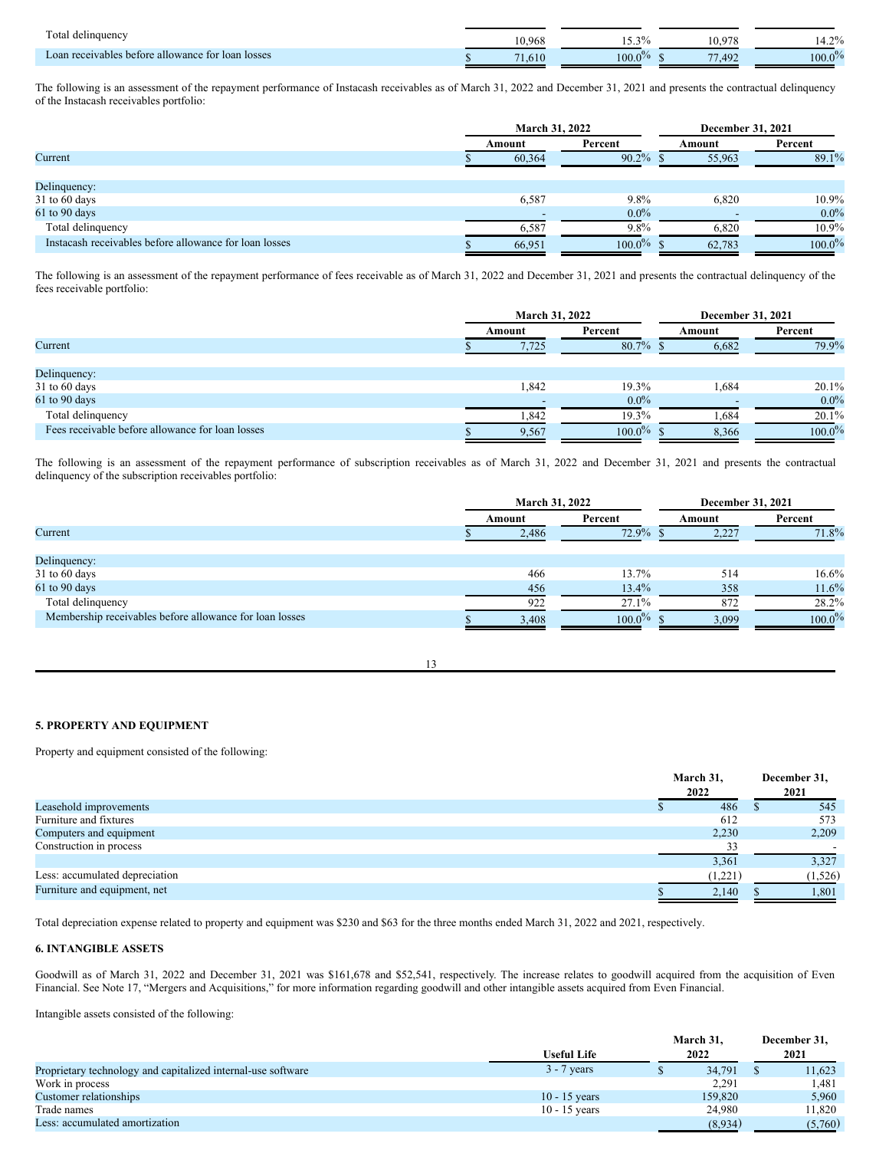| Total<br>delinquency                              | 10.968 | $1.5 \pm 0.0$<br>. | 10.97                                 | $\neg$ 0/<br>14.Z70 |
|---------------------------------------------------|--------|--------------------|---------------------------------------|---------------------|
| Loan receivables before allowance for loan losses | 1.010  | 100 <sub>l</sub>   | - -<br>$\Lambda$ <sup>o</sup><br>1.72 | $100.0\%$           |

The following is an assessment of the repayment performance of Instacash receivables as of March 31, 2022 and December 31, 2021 and presents the contractual delinquency of the Instacash receivables portfolio:

|                                                        | <b>March 31, 2022</b> |           | December 31, 2021 |           |  |
|--------------------------------------------------------|-----------------------|-----------|-------------------|-----------|--|
|                                                        | Percent<br>Amount     |           | Amount            | Percent   |  |
| Current                                                | 60,364                | $90.2\%$  | 55,963            | 89.1%     |  |
|                                                        |                       |           |                   |           |  |
| Delinquency:                                           |                       |           |                   |           |  |
| $31$ to 60 days                                        | 6,587                 | $9.8\%$   | 6,820             | 10.9%     |  |
| 61 to 90 days                                          |                       | $0.0\%$   |                   | $0.0\%$   |  |
| Total delinquency                                      | 6,587                 | 9.8%      | 6,820             | 10.9%     |  |
| Instacash receivables before allowance for loan losses | 66,951                | $100.0\%$ | 62,783            | $100.0\%$ |  |

The following is an assessment of the repayment performance of fees receivable as of March 31, 2022 and December 31, 2021 and presents the contractual delinquency of the fees receivable portfolio:

|                                                  |  | <b>March 31, 2022</b> |           | December 31, 2021 |           |  |
|--------------------------------------------------|--|-----------------------|-----------|-------------------|-----------|--|
|                                                  |  | Amount                | Percent   | Amount            | Percent   |  |
| Current                                          |  | 7.725                 | 80.7%     | 6,682             | 79.9%     |  |
|                                                  |  |                       |           |                   |           |  |
| Delinquency:                                     |  |                       |           |                   |           |  |
| $31$ to 60 days                                  |  | 1,842                 | 19.3%     | 1,684             | 20.1%     |  |
| 61 to 90 days                                    |  |                       | $0.0\%$   |                   | $0.0\%$   |  |
| Total delinquency                                |  | 1,842                 | 19.3%     | .684              | 20.1%     |  |
| Fees receivable before allowance for loan losses |  | 9,567                 | $100.0\%$ | 8,366             | $100.0\%$ |  |

The following is an assessment of the repayment performance of subscription receivables as of March 31, 2022 and December 31, 2021 and presents the contractual delinquency of the subscription receivables portfolio:

|                                                         | March 31, 2022 |       |           | December 31, 2021 |           |  |         |
|---------------------------------------------------------|----------------|-------|-----------|-------------------|-----------|--|---------|
|                                                         | Amount         |       | Percent   |                   |           |  | Percent |
| Current                                                 | 2,486          |       | 72.9%     | 2,227             | 71.8%     |  |         |
|                                                         |                |       |           |                   |           |  |         |
| Delinquency:                                            |                |       |           |                   |           |  |         |
| $31$ to 60 days                                         |                | 466   | 13.7%     | 514               | $16.6\%$  |  |         |
| 61 to 90 days                                           |                | 456   | 13.4%     | 358               | 11.6%     |  |         |
| Total delinquency                                       |                | 922   | 27.1%     | 872               | 28.2%     |  |         |
| Membership receivables before allowance for loan losses |                | 3,408 | $100.0\%$ | 3.099             | $100.0\%$ |  |         |

13

## **5. PROPERTY AND EQUIPMENT**

Property and equipment consisted of the following:

|                                | March 31,<br>2022 | December 31,<br>2021 |
|--------------------------------|-------------------|----------------------|
| Leasehold improvements         | 486               | 545                  |
| Furniture and fixtures         | 612               | 573                  |
| Computers and equipment        | 2,230             | 2,209                |
| Construction in process        | 33                |                      |
|                                | 3,361             | 3,327                |
| Less: accumulated depreciation | (1,221)           | (1,526)              |
| Furniture and equipment, net   | 2,140             | 1,801                |

Total depreciation expense related to property and equipment was \$230 and \$63 for the three months ended March 31, 2022 and 2021, respectively.

## **6. INTANGIBLE ASSETS**

Goodwill as of March 31, 2022 and December 31, 2021 was \$161,678 and \$52,541, respectively. The increase relates to goodwill acquired from the acquisition of Even Financial. See Note 17, "Mergers and Acquisitions," for more information regarding goodwill and other intangible assets acquired from Even Financial.

Intangible assets consisted of the following:

|                                                              |                    | March 31, |  | December 31, |
|--------------------------------------------------------------|--------------------|-----------|--|--------------|
|                                                              | <b>Useful Life</b> | 2022      |  | 2021         |
| Proprietary technology and capitalized internal-use software | $3 - 7$ years      | 34,791    |  | 11,623       |
| Work in process                                              |                    | 2.291     |  | l.481        |
| Customer relationships                                       | $10 - 15$ years    | 159,820   |  | 5,960        |
| Trade names                                                  | $10 - 15$ years    | 24,980    |  | 11.820       |
| Less: accumulated amortization                               |                    | (8,934)   |  | (5,760)      |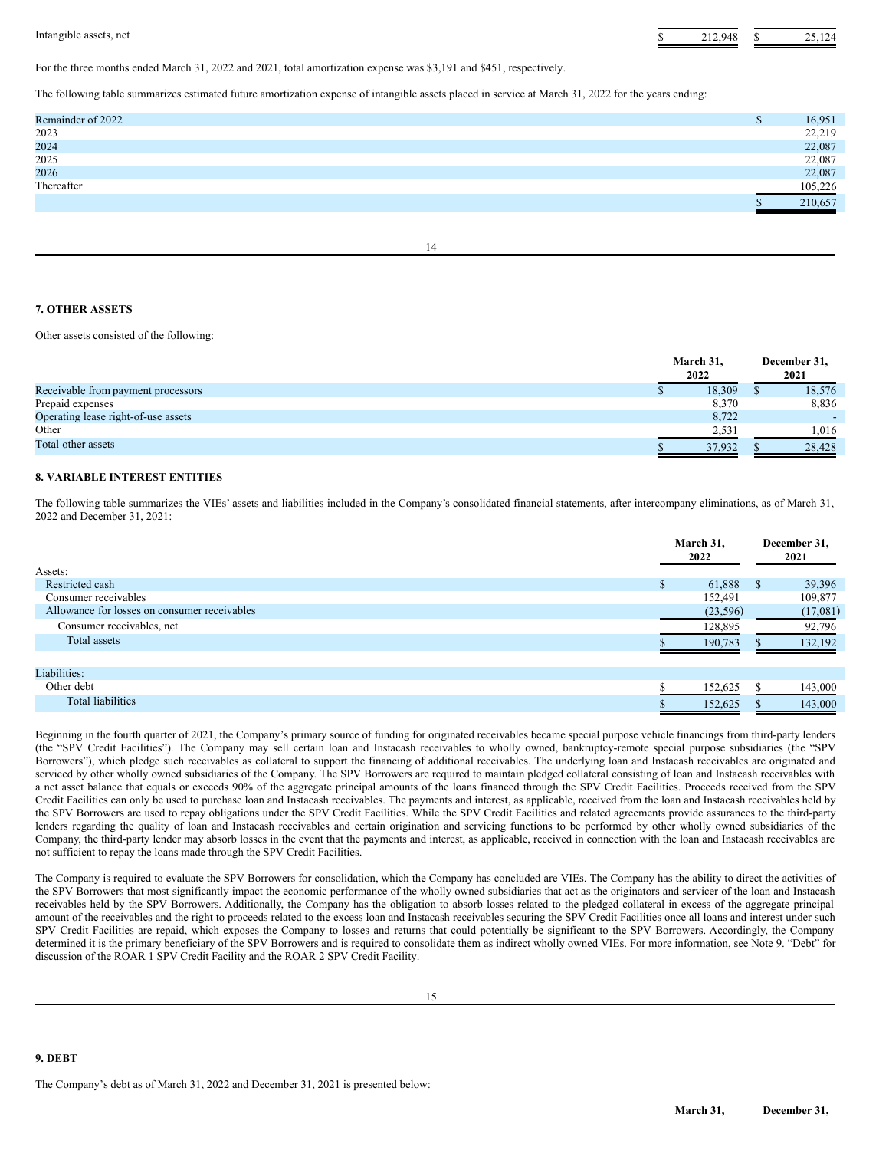Intangible assets, net **3** 25,124 **S** 212,948 \$ 25,124

For the three months ended March 31, 2022 and 2021, total amortization expense was \$3,191 and \$451, respectively.

The following table summarizes estimated future amortization expense of intangible assets placed in service at March 31, 2022 for the years ending:

| Remainder of 2022 | ۰п | 16,951  |
|-------------------|----|---------|
| 2023              |    | 22,219  |
| 2024              |    | 22,087  |
| 2025<br>2026      |    | 22,087  |
|                   |    | 22,087  |
| Thereafter        |    | 105.226 |
|                   |    | 210,657 |
|                   |    |         |

14

## **7. OTHER ASSETS**

Other assets consisted of the following:

|                                     | March 31,<br>2022 | December 31,<br>2021 |
|-------------------------------------|-------------------|----------------------|
| Receivable from payment processors  | 18,309            | 18,576               |
| Prepaid expenses                    | 8,370             | 8,836                |
| Operating lease right-of-use assets | 8,722             |                      |
| Other                               | 2,531             | 1.016                |
| Total other assets                  | 37.932            | 28,428               |

## **8. VARIABLE INTEREST ENTITIES**

The following table summarizes the VIEs' assets and liabilities included in the Company's consolidated financial statements, after intercompany eliminations, as of March 31, 2022 and December 31, 2021:

|                                              | March 31,<br>2022 |              | December 31,<br>2021 |  |
|----------------------------------------------|-------------------|--------------|----------------------|--|
| Assets:                                      |                   |              |                      |  |
| Restricted cash                              | 61,888<br>S.      | <sup>S</sup> | 39,396               |  |
| Consumer receivables                         | 152,491           |              | 109,877              |  |
| Allowance for losses on consumer receivables | (23, 596)         |              | (17,081)             |  |
| Consumer receivables, net                    | 128,895           |              | 92,796               |  |
| Total assets                                 | 190,783           |              | 132,192              |  |
|                                              |                   |              |                      |  |
| Liabilities:                                 |                   |              |                      |  |
| Other debt                                   | 152,625           |              | 143,000              |  |
| Total liabilities                            | 152,625           |              | 143,000              |  |

Beginning in the fourth quarter of 2021, the Company's primary source of funding for originated receivables became special purpose vehicle financings from third-party lenders (the "SPV Credit Facilities"). The Company may sell certain loan and Instacash receivables to wholly owned, bankruptcy-remote special purpose subsidiaries (the "SPV Borrowers"), which pledge such receivables as collateral to support the financing of additional receivables. The underlying loan and Instacash receivables are originated and serviced by other wholly owned subsidiaries of the Company. The SPV Borrowers are required to maintain pledged collateral consisting of loan and Instacash receivables with a net asset balance that equals or exceeds 90% of the aggregate principal amounts of the loans financed through the SPV Credit Facilities. Proceeds received from the SPV Credit Facilities can only be used to purchase loan and Instacash receivables. The payments and interest, as applicable, received from the loan and Instacash receivables held by the SPV Borrowers are used to repay obligations under the SPV Credit Facilities. While the SPV Credit Facilities and related agreements provide assurances to the third-party lenders regarding the quality of loan and Instacash receivables and certain origination and servicing functions to be performed by other wholly owned subsidiaries of the Company, the third-party lender may absorb losses in the event that the payments and interest, as applicable, received in connection with the loan and Instacash receivables are not sufficient to repay the loans made through the SPV Credit Facilities.

The Company is required to evaluate the SPV Borrowers for consolidation, which the Company has concluded are VIEs. The Company has the ability to direct the activities of the SPV Borrowers that most significantly impact the economic performance of the wholly owned subsidiaries that act as the originators and servicer of the loan and Instacash receivables held by the SPV Borrowers. Additionally, the Company has the obligation to absorb losses related to the pledged collateral in excess of the aggregate principal amount of the receivables and the right to proceeds related to the excess loan and Instacash receivables securing the SPV Credit Facilities once all loans and interest under such SPV Credit Facilities are repaid, which exposes the Company to losses and returns that could potentially be significant to the SPV Borrowers. Accordingly, the Company determined it is the primary beneficiary of the SPV Borrowers and is required to consolidate them as indirect wholly owned VIEs. For more information, see Note 9. "Debt" for discussion of the ROAR 1 SPV Credit Facility and the ROAR 2 SPV Credit Facility.

## **9. DEBT**

The Company's debt as of March 31, 2022 and December 31, 2021 is presented below: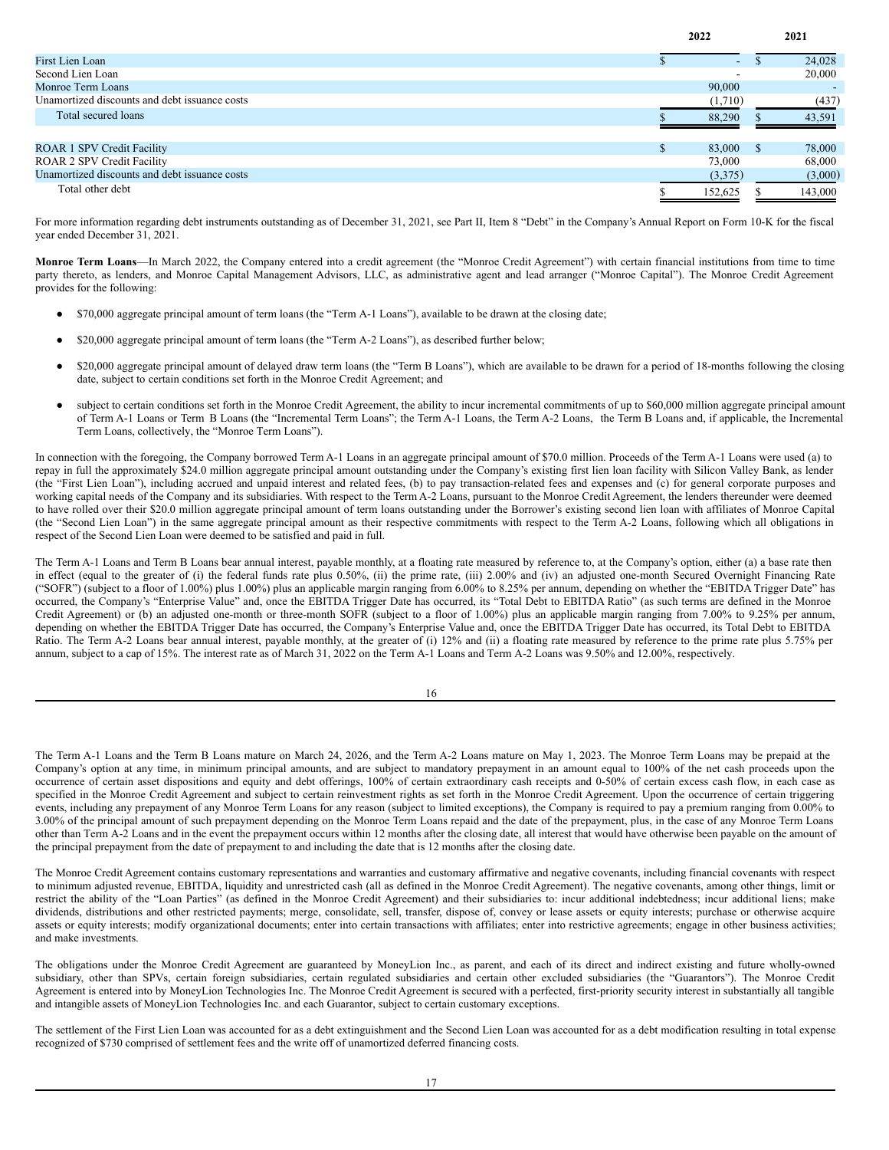|                                               |     | 2022    |          | 2021    |
|-----------------------------------------------|-----|---------|----------|---------|
| <b>First Lien Loan</b>                        |     | $\sim$  |          | 24,028  |
| Second Lien Loan                              |     |         |          | 20,000  |
| Monroe Term Loans                             |     | 90,000  |          |         |
| Unamortized discounts and debt issuance costs |     | (1,710) |          | (437)   |
| Total secured loans                           |     | 88,290  |          | 43,591  |
| <b>ROAR 1 SPV Credit Facility</b>             | \$. | 83,000  | <b>S</b> | 78,000  |
| <b>ROAR 2 SPV Credit Facility</b>             |     | 73,000  |          | 68,000  |
| Unamortized discounts and debt issuance costs |     | (3,375) |          | (3,000) |
| Total other debt                              |     | 152,625 |          | 143,000 |

For more information regarding debt instruments outstanding as of December 31, 2021, see Part II, Item 8 "Debt" in the Company's Annual Report on Form 10-K for the fiscal year ended December 31, 2021.

**Monroe Term Loans**—In March 2022, the Company entered into a credit agreement (the "Monroe Credit Agreement") with certain financial institutions from time to time party thereto, as lenders, and Monroe Capital Management Advisors, LLC, as administrative agent and lead arranger ("Monroe Capital"). The Monroe Credit Agreement provides for the following:

- \$70,000 aggregate principal amount of term loans (the "Term A-1 Loans"), available to be drawn at the closing date;
- \$20,000 aggregate principal amount of term loans (the "Term A-2 Loans"), as described further below;
- \$20,000 aggregate principal amount of delayed draw term loans (the "Term B Loans"), which are available to be drawn for a period of 18-months following the closing date, subject to certain conditions set forth in the Monroe Credit Agreement; and
- subject to certain conditions set forth in the Monroe Credit Agreement, the ability to incur incremental commitments of up to \$60,000 million aggregate principal amount of Term A-1 Loans or Term B Loans (the "Incremental Term Loans"; the Term A-1 Loans, the Term A-2 Loans, the Term B Loans and, if applicable, the Incremental Term Loans, collectively, the "Monroe Term Loans").

In connection with the foregoing, the Company borrowed Term A-1 Loans in an aggregate principal amount of \$70.0 million. Proceeds of the Term A-1 Loans were used (a) to repay in full the approximately \$24.0 million aggregate principal amount outstanding under the Company's existing first lien loan facility with Silicon Valley Bank, as lender (the "First Lien Loan"), including accrued and unpaid interest and related fees, (b) to pay transaction-related fees and expenses and (c) for general corporate purposes and working capital needs of the Company and its subsidiaries. With respect to the Term A-2 Loans, pursuant to the Monroe Credit Agreement, the lenders thereunder were deemed to have rolled over their \$20.0 million aggregate principal amount of term loans outstanding under the Borrower's existing second lien loan with affiliates of Monroe Capital (the "Second Lien Loan") in the same aggregate principal amount as their respective commitments with respect to the Term A-2 Loans, following which all obligations in respect of the Second Lien Loan were deemed to be satisfied and paid in full.

The Term A-1 Loans and Term B Loans bear annual interest, payable monthly, at a floating rate measured by reference to, at the Company's option, either (a) a base rate then in effect (equal to the greater of (i) the federal funds rate plus 0.50%, (ii) the prime rate, (iii) 2.00% and (iv) an adjusted one-month Secured Overnight Financing Rate ("SOFR") (subject to a floor of 1.00%) plus 1.00%) plus an applicable margin ranging from 6.00% to 8.25% per annum, depending on whether the "EBITDA Trigger Date" has occurred, the Company's "Enterprise Value" and, once the EBITDA Trigger Date has occurred, its "Total Debt to EBITDA Ratio" (as such terms are defined in the Monroe Credit Agreement) or (b) an adjusted one-month or three-month SOFR (subject to a floor of 1.00%) plus an applicable margin ranging from 7.00% to 9.25% per annum, depending on whether the EBITDA Trigger Date has occurred, the Company's Enterprise Value and, once the EBITDA Trigger Date has occurred, its Total Debt to EBITDA Ratio. The Term A-2 Loans bear annual interest, payable monthly, at the greater of (i) 12% and (ii) a floating rate measured by reference to the prime rate plus 5.75% per annum, subject to a cap of 15%. The interest rate as of March 31, 2022 on the Term A-1 Loans and Term A-2 Loans was 9.50% and 12.00%, respectively.

The Term A-1 Loans and the Term B Loans mature on March 24, 2026, and the Term A-2 Loans mature on May 1, 2023. The Monroe Term Loans may be prepaid at the Company's option at any time, in minimum principal amounts, and are subject to mandatory prepayment in an amount equal to 100% of the net cash proceeds upon the occurrence of certain asset dispositions and equity and debt offerings, 100% of certain extraordinary cash receipts and 0-50% of certain excess cash flow, in each case as specified in the Monroe Credit Agreement and subject to certain reinvestment rights as set forth in the Monroe Credit Agreement. Upon the occurrence of certain triggering events, including any prepayment of any Monroe Term Loans for any reason (subject to limited exceptions), the Company is required to pay a premium ranging from 0.00% to 3.00% of the principal amount of such prepayment depending on the Monroe Term Loans repaid and the date of the prepayment, plus, in the case of any Monroe Term Loans other than Term A-2 Loans and in the event the prepayment occurs within 12 months after the closing date, all interest that would have otherwise been payable on the amount of the principal prepayment from the date of prepayment to and including the date that is 12 months after the closing date.

The Monroe Credit Agreement contains customary representations and warranties and customary affirmative and negative covenants, including financial covenants with respect to minimum adjusted revenue, EBITDA, liquidity and unrestricted cash (all as defined in the Monroe Credit Agreement). The negative covenants, among other things, limit or restrict the ability of the "Loan Parties" (as defined in the Monroe Credit Agreement) and their subsidiaries to: incur additional indebtedness; incur additional liens; make dividends, distributions and other restricted payments; merge, consolidate, sell, transfer, dispose of, convey or lease assets or equity interests; purchase or otherwise acquire assets or equity interests; modify organizational documents; enter into certain transactions with affiliates; enter into restrictive agreements; engage in other business activities; and make investments.

The obligations under the Monroe Credit Agreement are guaranteed by MoneyLion Inc., as parent, and each of its direct and indirect existing and future wholly-owned subsidiary, other than SPVs, certain foreign subsidiaries, certain regulated subsidiaries and certain other excluded subsidiaries (the "Guarantors"). The Monroe Credit Agreement is entered into by MoneyLion Technologies Inc. The Monroe Credit Agreement is secured with a perfected, first-priority security interest in substantially all tangible and intangible assets of MoneyLion Technologies Inc. and each Guarantor, subject to certain customary exceptions.

The settlement of the First Lien Loan was accounted for as a debt extinguishment and the Second Lien Loan was accounted for as a debt modification resulting in total expense recognized of \$730 comprised of settlement fees and the write off of unamortized deferred financing costs.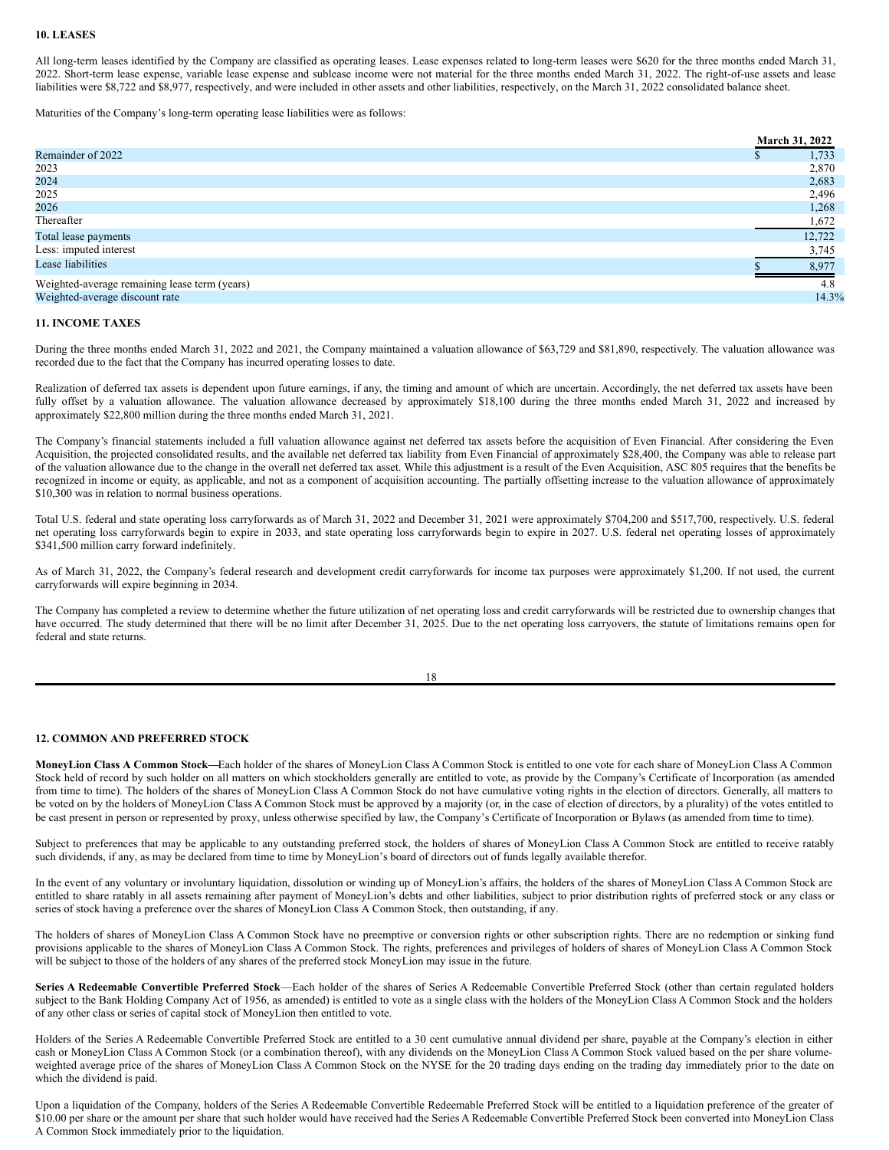#### **10. LEASES**

All long-term leases identified by the Company are classified as operating leases. Lease expenses related to long-term leases were \$620 for the three months ended March 31, 2022. Short-term lease expense, variable lease expense and sublease income were not material for the three months ended March 31, 2022. The right-of-use assets and lease liabilities were \$8,722 and \$8,977, respectively, and were included in other assets and other liabilities, respectively, on the March 31, 2022 consolidated balance sheet.

Maturities of the Company's long-term operating lease liabilities were as follows:

|                                               | March 31, 2022 |  |
|-----------------------------------------------|----------------|--|
| Remainder of 2022                             | 1,733          |  |
| 2023                                          | 2,870          |  |
| 2024                                          | 2,683          |  |
| 2025                                          | 2,496          |  |
| 2026                                          | 1,268          |  |
| Thereafter                                    | 1,672          |  |
| Total lease payments                          | 12,722         |  |
| Less: imputed interest                        | 3,745          |  |
| Lease liabilities                             | 8,977          |  |
| Weighted-average remaining lease term (years) | 4.8            |  |
| Weighted-average discount rate                | 14.3%          |  |

### **11. INCOME TAXES**

During the three months ended March 31, 2022 and 2021, the Company maintained a valuation allowance of \$63,729 and \$81,890, respectively. The valuation allowance was recorded due to the fact that the Company has incurred operating losses to date.

Realization of deferred tax assets is dependent upon future earnings, if any, the timing and amount of which are uncertain. Accordingly, the net deferred tax assets have been fully offset by a valuation allowance. The valuation allowance decreased by approximately \$18,100 during the three months ended March 31, 2022 and increased by approximately \$22,800 million during the three months ended March 31, 2021.

The Company's financial statements included a full valuation allowance against net deferred tax assets before the acquisition of Even Financial. After considering the Even Acquisition, the projected consolidated results, and the available net deferred tax liability from Even Financial of approximately \$28,400, the Company was able to release part of the valuation allowance due to the change in the overall net deferred tax asset. While this adjustment is a result of the Even Acquisition, ASC 805 requires that the benefits be recognized in income or equity, as applicable, and not as a component of acquisition accounting. The partially offsetting increase to the valuation allowance of approximately \$10,300 was in relation to normal business operations.

Total U.S. federal and state operating loss carryforwards as of March 31, 2022 and December 31, 2021 were approximately \$704,200 and \$517,700, respectively. U.S. federal net operating loss carryforwards begin to expire in 2033, and state operating loss carryforwards begin to expire in 2027. U.S. federal net operating losses of approximately \$341,500 million carry forward indefinitely.

As of March 31, 2022, the Company's federal research and development credit carryforwards for income tax purposes were approximately \$1,200. If not used, the current carryforwards will expire beginning in 2034.

The Company has completed a review to determine whether the future utilization of net operating loss and credit carryforwards will be restricted due to ownership changes that have occurred. The study determined that there will be no limit after December 31, 2025. Due to the net operating loss carryovers, the statute of limitations remains open for federal and state returns.

| I<br>×<br>w<br>۹ |
|------------------|

## **12. COMMON AND PREFERRED STOCK**

**MoneyLion Class A Common Stock—**Each holder of the shares of MoneyLion Class A Common Stock is entitled to one vote for each share of MoneyLion Class A Common Stock held of record by such holder on all matters on which stockholders generally are entitled to vote, as provide by the Company's Certificate of Incorporation (as amended from time to time). The holders of the shares of MoneyLion Class A Common Stock do not have cumulative voting rights in the election of directors. Generally, all matters to be voted on by the holders of MoneyLion Class A Common Stock must be approved by a majority (or, in the case of election of directors, by a plurality) of the votes entitled to be cast present in person or represented by proxy, unless otherwise specified by law, the Company's Certificate of Incorporation or Bylaws (as amended from time to time).

Subject to preferences that may be applicable to any outstanding preferred stock, the holders of shares of MoneyLion Class A Common Stock are entitled to receive ratably such dividends, if any, as may be declared from time to time by MoneyLion's board of directors out of funds legally available therefor.

In the event of any voluntary or involuntary liquidation, dissolution or winding up of MoneyLion's affairs, the holders of the shares of MoneyLion Class A Common Stock are entitled to share ratably in all assets remaining after payment of MoneyLion's debts and other liabilities, subject to prior distribution rights of preferred stock or any class or series of stock having a preference over the shares of MoneyLion Class A Common Stock, then outstanding, if any.

The holders of shares of MoneyLion Class A Common Stock have no preemptive or conversion rights or other subscription rights. There are no redemption or sinking fund provisions applicable to the shares of MoneyLion Class A Common Stock. The rights, preferences and privileges of holders of shares of MoneyLion Class A Common Stock will be subject to those of the holders of any shares of the preferred stock MoneyLion may issue in the future.

**Series A Redeemable Convertible Preferred Stock**—Each holder of the shares of Series A Redeemable Convertible Preferred Stock (other than certain regulated holders subject to the Bank Holding Company Act of 1956, as amended) is entitled to vote as a single class with the holders of the MoneyLion Class A Common Stock and the holders of any other class or series of capital stock of MoneyLion then entitled to vote.

Holders of the Series A Redeemable Convertible Preferred Stock are entitled to a 30 cent cumulative annual dividend per share, payable at the Company's election in either cash or MoneyLion Class A Common Stock (or a combination thereof), with any dividends on the MoneyLion Class A Common Stock valued based on the per share volumeweighted average price of the shares of MoneyLion Class A Common Stock on the NYSE for the 20 trading days ending on the trading day immediately prior to the date on which the dividend is paid.

Upon a liquidation of the Company, holders of the Series A Redeemable Convertible Redeemable Preferred Stock will be entitled to a liquidation preference of the greater of \$10.00 per share or the amount per share that such holder would have received had the Series A Redeemable Convertible Preferred Stock been converted into MoneyLion Class A Common Stock immediately prior to the liquidation.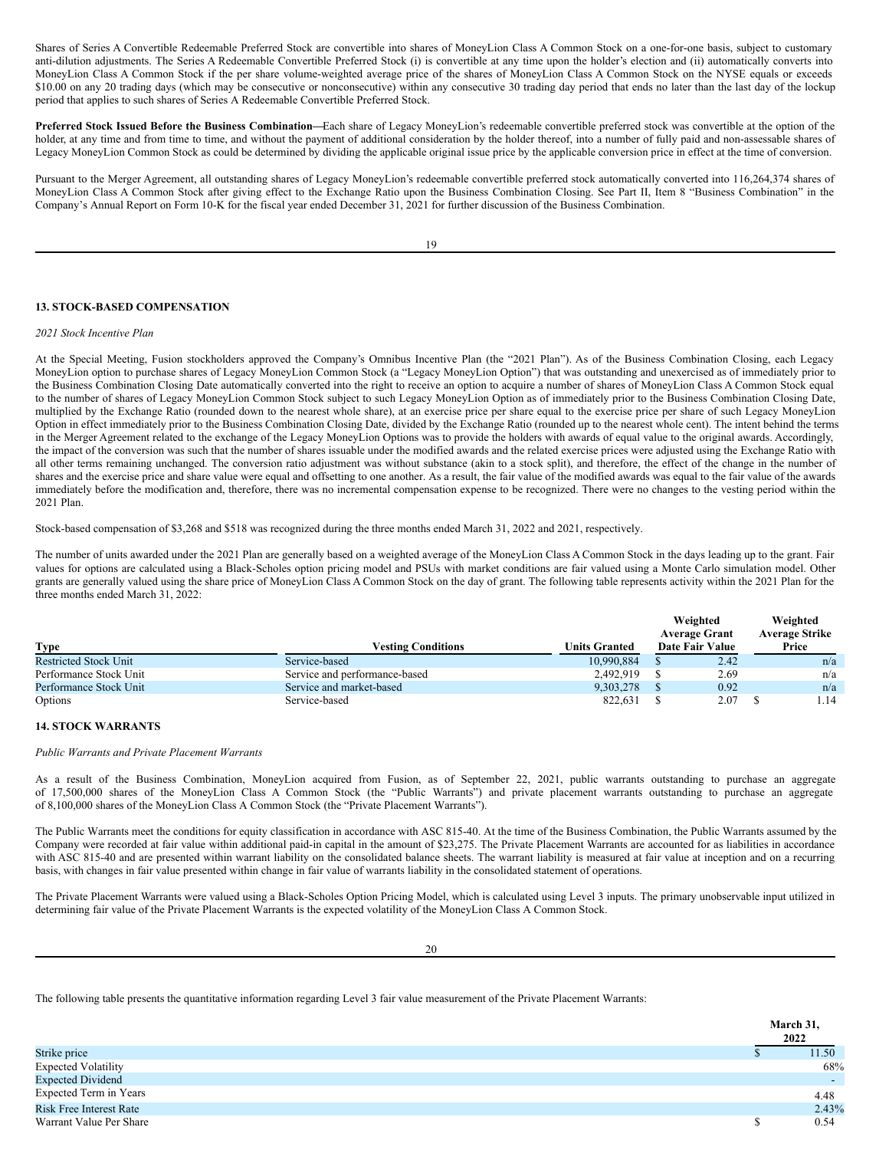Shares of Series A Convertible Redeemable Preferred Stock are convertible into shares of MoneyLion Class A Common Stock on a one-for-one basis, subject to customary anti-dilution adjustments. The Series A Redeemable Convertible Preferred Stock (i) is convertible at any time upon the holder's election and (ii) automatically converts into MoneyLion Class A Common Stock if the per share volume-weighted average price of the shares of MoneyLion Class A Common Stock on the NYSE equals or exceeds \$10.00 on any 20 trading days (which may be consecutive or nonconsecutive) within any consecutive 30 trading day period that ends no later than the last day of the lockup period that applies to such shares of Series A Redeemable Convertible Preferred Stock.

**Preferred Stock Issued Before the Business Combination—**Each share of Legacy MoneyLion's redeemable convertible preferred stock was convertible at the option of the holder, at any time and from time to time, and without the payment of additional consideration by the holder thereof, into a number of fully paid and non-assessable shares of Legacy MoneyLion Common Stock as could be determined by dividing the applicable original issue price by the applicable conversion price in effect at the time of conversion.

Pursuant to the Merger Agreement, all outstanding shares of Legacy MoneyLion's redeemable convertible preferred stock automatically converted into 116,264,374 shares of MoneyLion Class A Common Stock after giving effect to the Exchange Ratio upon the Business Combination Closing. See Part II, Item 8 "Business Combination" in the Company's Annual Report on Form 10-K for the fiscal year ended December 31, 2021 for further discussion of the Business Combination.

19

## **13. STOCK-BASED COMPENSATION**

## *2021 Stock Incentive Plan*

At the Special Meeting, Fusion stockholders approved the Company's Omnibus Incentive Plan (the "2021 Plan"). As of the Business Combination Closing, each Legacy MoneyLion option to purchase shares of Legacy MoneyLion Common Stock (a "Legacy MoneyLion Option") that was outstanding and unexercised as of immediately prior to the Business Combination Closing Date automatically converted into the right to receive an option to acquire a number of shares of MoneyLion Class A Common Stock equal to the number of shares of Legacy MoneyLion Common Stock subject to such Legacy MoneyLion Option as of immediately prior to the Business Combination Closing Date, multiplied by the Exchange Ratio (rounded down to the nearest whole share), at an exercise price per share equal to the exercise price per share of such Legacy MoneyLion Option in effect immediately prior to the Business Combination Closing Date, divided by the Exchange Ratio (rounded up to the nearest whole cent). The intent behind the terms in the Merger Agreement related to the exchange of the Legacy MoneyLion Options was to provide the holders with awards of equal value to the original awards. Accordingly, the impact of the conversion was such that the number of shares issuable under the modified awards and the related exercise prices were adjusted using the Exchange Ratio with all other terms remaining unchanged. The conversion ratio adjustment was without substance (akin to a stock split), and therefore, the effect of the change in the number of shares and the exercise price and share value were equal and offsetting to one another. As a result, the fair value of the modified awards was equal to the fair value of the awards immediately before the modification and, therefore, there was no incremental compensation expense to be recognized. There were no changes to the vesting period within the 2021 Plan.

Stock-based compensation of \$3,268 and \$518 was recognized during the three months ended March 31, 2022 and 2021, respectively.

The following table presents the quantitative information regarding Level 3 fair value measurement of the Private Placement Warrants:

The number of units awarded under the 2021 Plan are generally based on a weighted average of the MoneyLion Class A Common Stock in the days leading up to the grant. Fair values for options are calculated using a Black-Scholes option pricing model and PSUs with market conditions are fair valued using a Monte Carlo simulation model. Other grants are generally valued using the share price of MoneyLion Class A Common Stock on the day of grant. The following table represents activity within the 2021 Plan for the three months ended March 31, 2022:

|                              |                               |                      | Weighted<br><b>Average Grant</b> | Weighted<br><b>Average Strike</b> |  |
|------------------------------|-------------------------------|----------------------|----------------------------------|-----------------------------------|--|
| <b>Type</b>                  | <b>Vesting Conditions</b>     | <b>Units Granted</b> | Date Fair Value                  | Price                             |  |
| <b>Restricted Stock Unit</b> | Service-based                 | 10.990.884           | 2.42                             | n/a                               |  |
| Performance Stock Unit       | Service and performance-based | 2.492.919            | 2.69                             | n/a                               |  |
| Performance Stock Unit       | Service and market-based      | 9.303.278            | 0.92                             | n/a                               |  |
| Options                      | Service-based                 | 822,631              | 2.07                             | 1.14                              |  |

## **14. STOCK WARRANTS**

#### *Public Warrants and Private Placement Warrants*

As a result of the Business Combination, MoneyLion acquired from Fusion, as of September 22, 2021, public warrants outstanding to purchase an aggregate of 17,500,000 shares of the MoneyLion Class A Common Stock (the "Public Warrants") and private placement warrants outstanding to purchase an aggregate of 8,100,000 shares of the MoneyLion Class A Common Stock (the "Private Placement Warrants").

The Public Warrants meet the conditions for equity classification in accordance with ASC 815-40. At the time of the Business Combination, the Public Warrants assumed by the Company were recorded at fair value within additional paid-in capital in the amount of \$23,275. The Private Placement Warrants are accounted for as liabilities in accordance with ASC 815-40 and are presented within warrant liability on the consolidated balance sheets. The warrant liability is measured at fair value at inception and on a recurring basis, with changes in fair value presented within change in fair value of warrants liability in the consolidated statement of operations.

The Private Placement Warrants were valued using a Black-Scholes Option Pricing Model, which is calculated using Level 3 inputs. The primary unobservable input utilized in determining fair value of the Private Placement Warrants is the expected volatility of the MoneyLion Class A Common Stock.

20

|                            | March 31,<br>2022        |
|----------------------------|--------------------------|
| Strike price               | 11.50                    |
| <b>Expected Volatility</b> | 68%                      |
| <b>Expected Dividend</b>   | $\overline{\phantom{0}}$ |
| Expected Term in Years     | 4.48                     |
| Risk Free Interest Rate    | 2.43%                    |
| Warrant Value Per Share    | 0.54                     |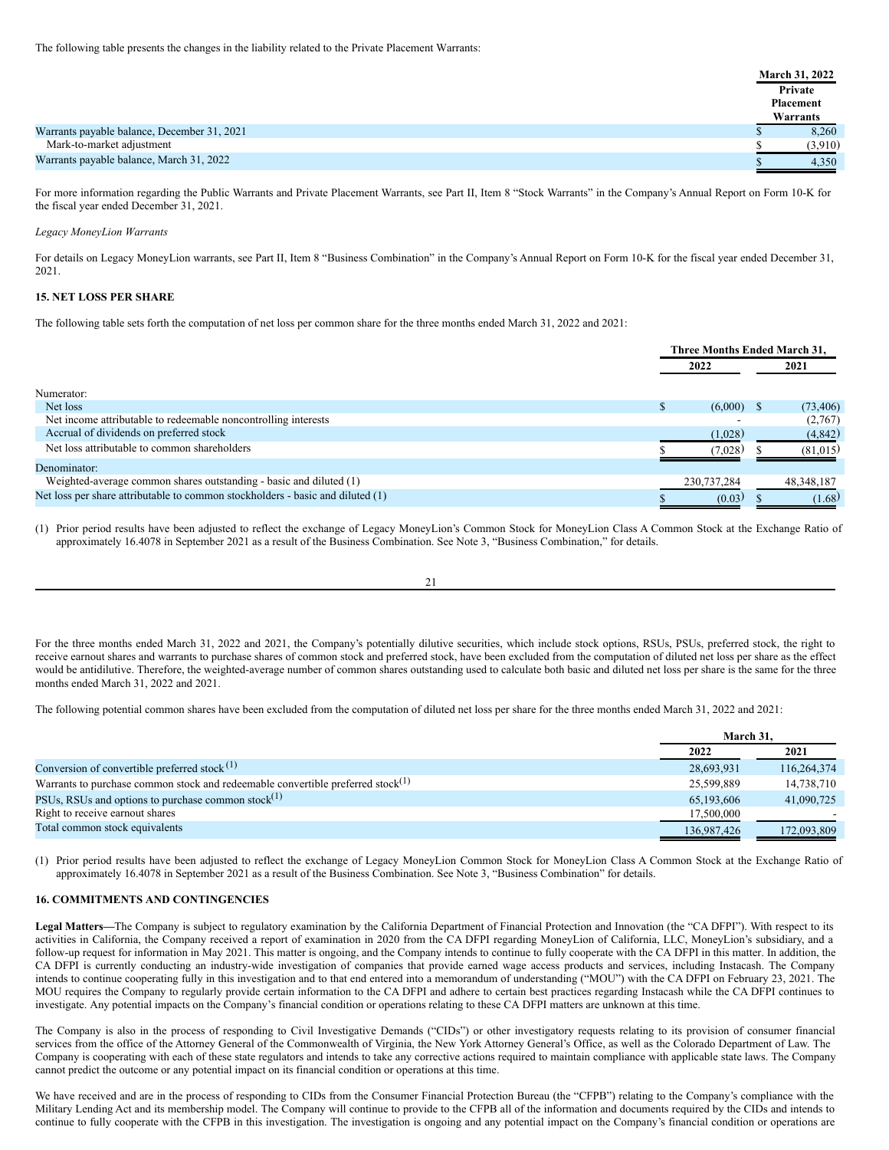|                                             | March 31, 2022<br>Private<br>Placement |
|---------------------------------------------|----------------------------------------|
|                                             | Warrants                               |
| Warrants payable balance, December 31, 2021 | 8,260                                  |
| Mark-to-market adjustment                   | (3.910)                                |
| Warrants payable balance, March 31, 2022    | 4,350                                  |

For more information regarding the Public Warrants and Private Placement Warrants, see Part II, Item 8 "Stock Warrants" in the Company's Annual Report on Form 10-K for the fiscal year ended December 31, 2021.

#### *Legacy MoneyLion Warrants*

For details on Legacy MoneyLion warrants, see Part II, Item 8 "Business Combination" in the Company's Annual Report on Form 10-K for the fiscal year ended December 31, 2021.

## **15. NET LOSS PER SHARE**

The following table sets forth the computation of net loss per common share for the three months ended March 31, 2022 and 2021:

|                                                                                |          | Three Months Ended March 31, |  |              |
|--------------------------------------------------------------------------------|----------|------------------------------|--|--------------|
|                                                                                |          | 2022                         |  | 2021         |
| Numerator:                                                                     |          |                              |  |              |
| Net loss                                                                       | <b>S</b> | (6,000)                      |  | (73, 406)    |
| Net income attributable to redeemable noncontrolling interests                 |          |                              |  | (2,767)      |
| Accrual of dividends on preferred stock                                        |          | (1,028)                      |  | (4,842)      |
| Net loss attributable to common shareholders                                   |          | (7,028)                      |  | (81,015)     |
| Denominator:                                                                   |          |                              |  |              |
| Weighted-average common shares outstanding - basic and diluted (1)             |          | 230,737,284                  |  | 48, 348, 187 |
| Net loss per share attributable to common stockholders - basic and diluted (1) |          | (0.03)                       |  | (1.68)       |

(1) Prior period results have been adjusted to reflect the exchange of Legacy MoneyLion's Common Stock for MoneyLion Class A Common Stock at the Exchange Ratio of approximately 16.4078 in September 2021 as a result of the Business Combination. See Note 3, "Business Combination," for details.

21

For the three months ended March 31, 2022 and 2021, the Company's potentially dilutive securities, which include stock options, RSUs, PSUs, preferred stock, the right to receive earnout shares and warrants to purchase shares of common stock and preferred stock, have been excluded from the computation of diluted net loss per share as the effect would be antidilutive. Therefore, the weighted-average number of common shares outstanding used to calculate both basic and diluted net loss per share is the same for the three months ended March 31, 2022 and 2021.

The following potential common shares have been excluded from the computation of diluted net loss per share for the three months ended March 31, 2022 and 2021:

|                                                                                             | March 31.   |             |  |
|---------------------------------------------------------------------------------------------|-------------|-------------|--|
|                                                                                             | 2022        | 2021        |  |
| Conversion of convertible preferred stock $(1)$                                             | 28,693,931  | 116,264,374 |  |
| Warrants to purchase common stock and redeemable convertible preferred stock <sup>(1)</sup> | 25,599,889  | 14,738,710  |  |
| PSUs, RSUs and options to purchase common stock $(1)$                                       | 65,193,606  | 41,090,725  |  |
| Right to receive earnout shares                                                             | 17.500,000  |             |  |
| Total common stock equivalents                                                              | 136,987,426 | 172,093,809 |  |

(1) Prior period results have been adjusted to reflect the exchange of Legacy MoneyLion Common Stock for MoneyLion Class A Common Stock at the Exchange Ratio of approximately 16.4078 in September 2021 as a result of the Business Combination. See Note 3, "Business Combination" for details.

## **16. COMMITMENTS AND CONTINGENCIES**

**Legal Matters—**The Company is subject to regulatory examination by the California Department of Financial Protection and Innovation (the "CA DFPI"). With respect to its activities in California, the Company received a report of examination in 2020 from the CA DFPI regarding MoneyLion of California, LLC, MoneyLion's subsidiary, and a follow-up request for information in May 2021. This matter is ongoing, and the Company intends to continue to fully cooperate with the CA DFPI in this matter. In addition, the CA DFPI is currently conducting an industry-wide investigation of companies that provide earned wage access products and services, including Instacash. The Company intends to continue cooperating fully in this investigation and to that end entered into a memorandum of understanding ("MOU") with the CA DFPI on February 23, 2021. The MOU requires the Company to regularly provide certain information to the CA DFPI and adhere to certain best practices regarding Instacash while the CA DFPI continues to investigate. Any potential impacts on the Company's financial condition or operations relating to these CA DFPI matters are unknown at this time.

The Company is also in the process of responding to Civil Investigative Demands ("CIDs") or other investigatory requests relating to its provision of consumer financial services from the office of the Attorney General of the Commonwealth of Virginia, the New York Attorney General's Office, as well as the Colorado Department of Law. The Company is cooperating with each of these state regulators and intends to take any corrective actions required to maintain compliance with applicable state laws. The Company cannot predict the outcome or any potential impact on its financial condition or operations at this time.

We have received and are in the process of responding to CIDs from the Consumer Financial Protection Bureau (the "CFPB") relating to the Company's compliance with the Military Lending Act and its membership model. The Company will continue to provide to the CFPB all of the information and documents required by the CIDs and intends to continue to fully cooperate with the CFPB in this investigation. The investigation is ongoing and any potential impact on the Company's financial condition or operations are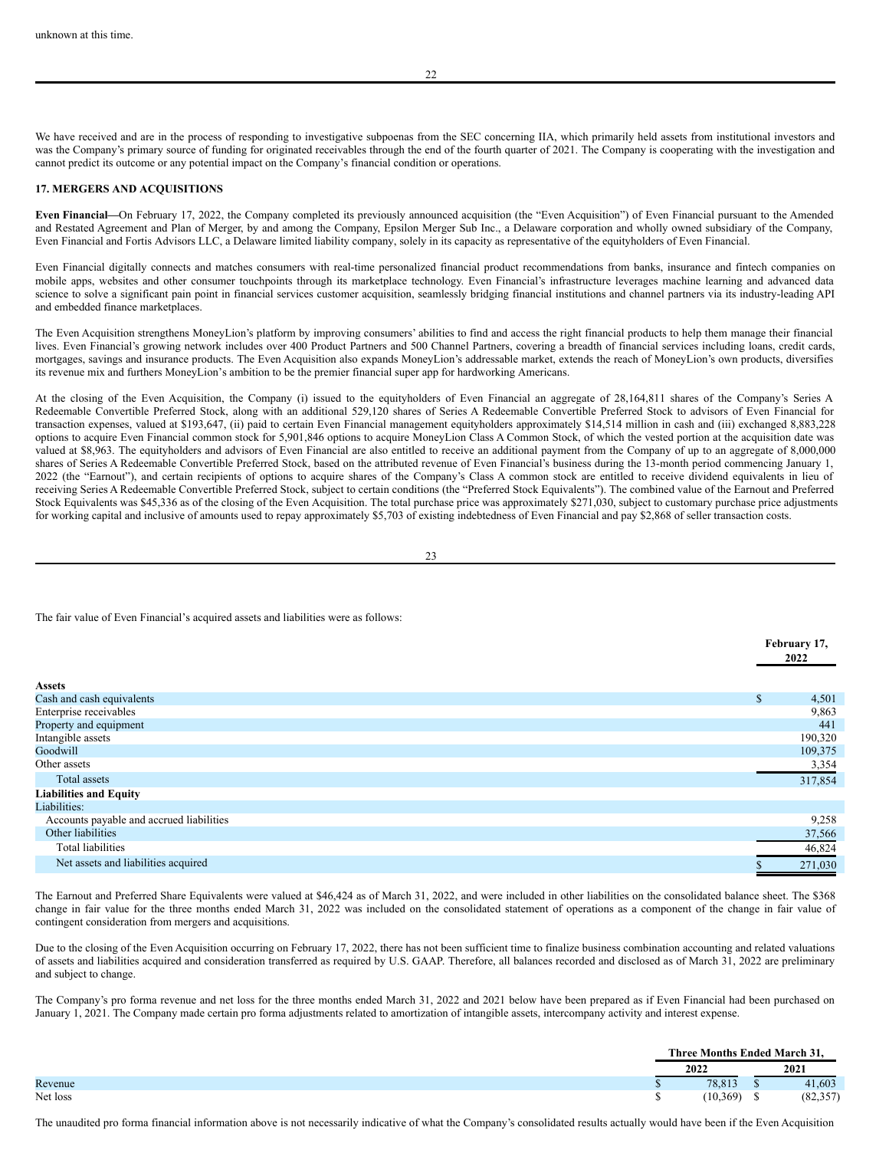We have received and are in the process of responding to investigative subpoenas from the SEC concerning IIA, which primarily held assets from institutional investors and was the Company's primary source of funding for originated receivables through the end of the fourth quarter of 2021. The Company is cooperating with the investigation and cannot predict its outcome or any potential impact on the Company's financial condition or operations.

#### **17. MERGERS AND ACQUISITIONS**

**Even Financial—**On February 17, 2022, the Company completed its previously announced acquisition (the "Even Acquisition") of Even Financial pursuant to the Amended and Restated Agreement and Plan of Merger, by and among the Company, Epsilon Merger Sub Inc., a Delaware corporation and wholly owned subsidiary of the Company, Even Financial and Fortis Advisors LLC, a Delaware limited liability company, solely in its capacity as representative of the equityholders of Even Financial.

Even Financial digitally connects and matches consumers with real-time personalized financial product recommendations from banks, insurance and fintech companies on mobile apps, websites and other consumer touchpoints through its marketplace technology. Even Financial's infrastructure leverages machine learning and advanced data science to solve a significant pain point in financial services customer acquisition, seamlessly bridging financial institutions and channel partners via its industry-leading API and embedded finance marketplaces.

The Even Acquisition strengthens MoneyLion's platform by improving consumers' abilities to find and access the right financial products to help them manage their financial lives. Even Financial's growing network includes over 400 Product Partners and 500 Channel Partners, covering a breadth of financial services including loans, credit cards, mortgages, savings and insurance products. The Even Acquisition also expands MoneyLion's addressable market, extends the reach of MoneyLion's own products, diversifies its revenue mix and furthers MoneyLion's ambition to be the premier financial super app for hardworking Americans.

At the closing of the Even Acquisition, the Company (i) issued to the equityholders of Even Financial an aggregate of 28,164,811 shares of the Company's Series A Redeemable Convertible Preferred Stock, along with an additional 529,120 shares of Series A Redeemable Convertible Preferred Stock to advisors of Even Financial for transaction expenses, valued at \$193,647, (ii) paid to certain Even Financial management equityholders approximately \$14,514 million in cash and (iii) exchanged 8,883,228 options to acquire Even Financial common stock for 5,901,846 options to acquire MoneyLion Class A Common Stock, of which the vested portion at the acquisition date was valued at \$8,963. The equityholders and advisors of Even Financial are also entitled to receive an additional payment from the Company of up to an aggregate of 8,000,000 shares of Series A Redeemable Convertible Preferred Stock, based on the attributed revenue of Even Financial's business during the 13-month period commencing January 1, 2022 (the "Earnout"), and certain recipients of options to acquire shares of the Company's Class A common stock are entitled to receive dividend equivalents in lieu of receiving Series A Redeemable Convertible Preferred Stock, subject to certain conditions (the "Preferred Stock Equivalents"). The combined value of the Earnout and Preferred Stock Equivalents was \$45,336 as of the closing of the Even Acquisition. The total purchase price was approximately \$271,030, subject to customary purchase price adjustments for working capital and inclusive of amounts used to repay approximately \$5,703 of existing indebtedness of Even Financial and pay \$2,868 of seller transaction costs.

23

The fair value of Even Financial's acquired assets and liabilities were as follows:

|                                          | February 17,<br>2022 |         |
|------------------------------------------|----------------------|---------|
| <b>Assets</b>                            |                      |         |
| Cash and cash equivalents                | \$                   | 4,501   |
| Enterprise receivables                   |                      | 9,863   |
| Property and equipment                   |                      | 441     |
| Intangible assets                        |                      | 190,320 |
| Goodwill                                 |                      | 109,375 |
| Other assets                             |                      | 3,354   |
| Total assets                             |                      | 317,854 |
| <b>Liabilities and Equity</b>            |                      |         |
| Liabilities:                             |                      |         |
| Accounts payable and accrued liabilities |                      | 9,258   |
| Other liabilities                        |                      | 37,566  |
| <b>Total liabilities</b>                 |                      | 46,824  |
| Net assets and liabilities acquired      |                      | 271,030 |

The Earnout and Preferred Share Equivalents were valued at \$46,424 as of March 31, 2022, and were included in other liabilities on the consolidated balance sheet. The \$368 change in fair value for the three months ended March 31, 2022 was included on the consolidated statement of operations as a component of the change in fair value of contingent consideration from mergers and acquisitions.

Due to the closing of the Even Acquisition occurring on February 17, 2022, there has not been sufficient time to finalize business combination accounting and related valuations of assets and liabilities acquired and consideration transferred as required by U.S. GAAP. Therefore, all balances recorded and disclosed as of March 31, 2022 are preliminary and subject to change.

The Company's pro forma revenue and net loss for the three months ended March 31, 2022 and 2021 below have been prepared as if Even Financial had been purchased on January 1, 2021. The Company made certain pro forma adjustments related to amortization of intangible assets, intercompany activity and interest expense.

|          | Three Months Ended March 31. |           |
|----------|------------------------------|-----------|
|          | 2022                         | 2021      |
| Revenue  | 70 012<br>0.013              | 41,603    |
| Net loss | (10, 369)                    | (82, 357) |

The unaudited pro forma financial information above is not necessarily indicative of what the Company's consolidated results actually would have been if the Even Acquisition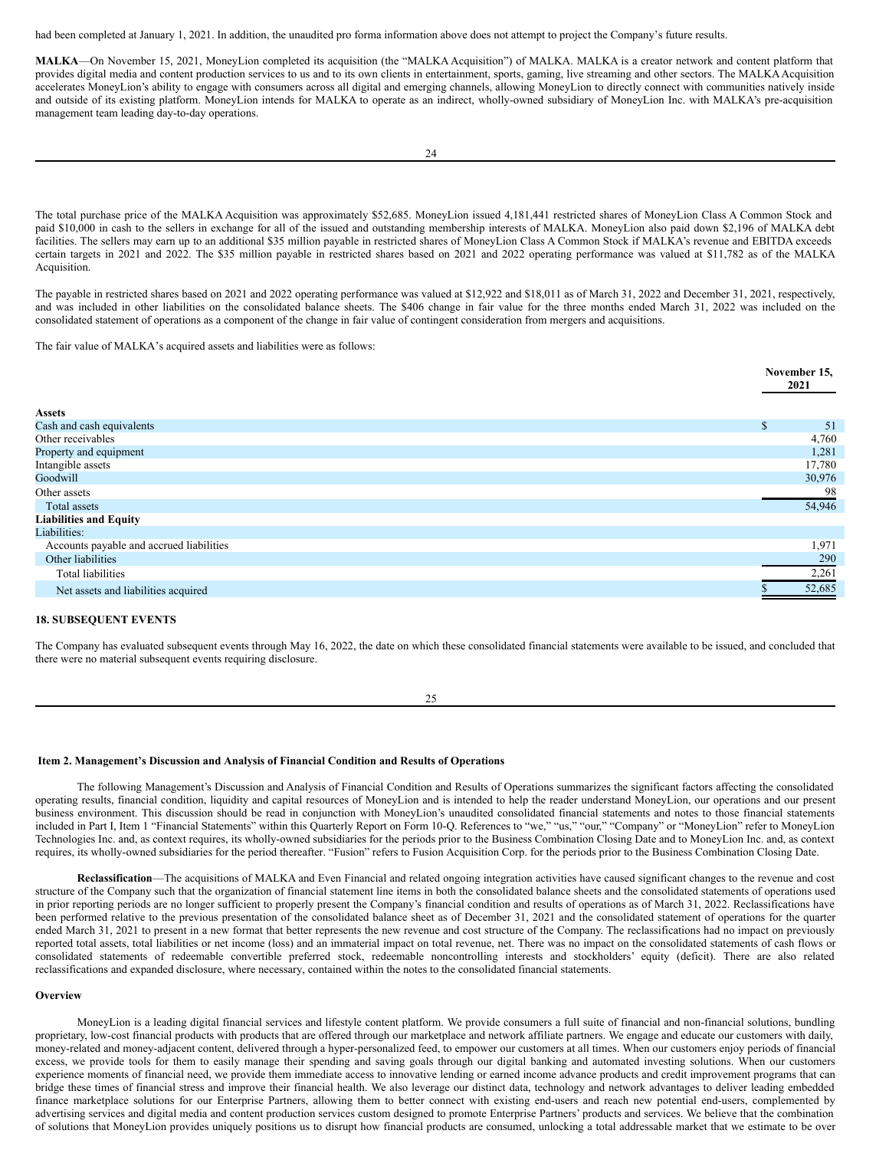had been completed at January 1, 2021. In addition, the unaudited pro forma information above does not attempt to project the Company's future results.

**MALKA**—On November 15, 2021, MoneyLion completed its acquisition (the "MALKA Acquisition") of MALKA. MALKA is a creator network and content platform that provides digital media and content production services to us and to its own clients in entertainment, sports, gaming, live streaming and other sectors. The MALKA Acquisition accelerates MoneyLion's ability to engage with consumers across all digital and emerging channels, allowing MoneyLion to directly connect with communities natively inside and outside of its existing platform. MoneyLion intends for MALKA to operate as an indirect, wholly-owned subsidiary of MoneyLion Inc. with MALKA's pre-acquisition management team leading day-to-day operations.

The total purchase price of the MALKA Acquisition was approximately \$52,685. MoneyLion issued 4,181,441 restricted shares of MoneyLion Class A Common Stock and paid \$10,000 in cash to the sellers in exchange for all of the issued and outstanding membership interests of MALKA. MoneyLion also paid down \$2,196 of MALKA debt facilities. The sellers may earn up to an additional \$35 million payable in restricted shares of MoneyLion Class A Common Stock if MALKA's revenue and EBITDA exceeds certain targets in 2021 and 2022. The \$35 million payable in restricted shares based on 2021 and 2022 operating performance was valued at \$11,782 as of the MALKA Acquisition.

The payable in restricted shares based on 2021 and 2022 operating performance was valued at \$12,922 and \$18,011 as of March 31, 2022 and December 31, 2021, respectively, and was included in other liabilities on the consolidated balance sheets. The \$406 change in fair value for the three months ended March 31, 2022 was included on the consolidated statement of operations as a component of the change in fair value of contingent consideration from mergers and acquisitions.

The fair value of MALKA's acquired assets and liabilities were as follows:

|                                          | November 15,<br>2021 |        |
|------------------------------------------|----------------------|--------|
| <b>Assets</b>                            |                      |        |
| Cash and cash equivalents                | $\mathbf S$          | -51    |
| Other receivables                        |                      | 4,760  |
| Property and equipment                   |                      | 1,281  |
| Intangible assets                        |                      | 17,780 |
| Goodwill                                 |                      | 30,976 |
| Other assets                             |                      | 98     |
| Total assets                             |                      | 54,946 |
| <b>Liabilities and Equity</b>            |                      |        |
| Liabilities:                             |                      |        |
| Accounts payable and accrued liabilities |                      | 1,971  |
| Other liabilities                        |                      | 290    |
| <b>Total liabilities</b>                 |                      | 2,261  |
| Net assets and liabilities acquired      |                      | 52,685 |

#### **18. SUBSEQUENT EVENTS**

The Company has evaluated subsequent events through May 16, 2022, the date on which these consolidated financial statements were available to be issued, and concluded that there were no material subsequent events requiring disclosure.

25

## <span id="page-20-0"></span>**Item 2. Management's Discussion and Analysis of Financial Condition and Results of Operations**

The following Management's Discussion and Analysis of Financial Condition and Results of Operations summarizes the significant factors affecting the consolidated operating results, financial condition, liquidity and capital resources of MoneyLion and is intended to help the reader understand MoneyLion, our operations and our present business environment. This discussion should be read in conjunction with MoneyLion's unaudited consolidated financial statements and notes to those financial statements included in Part I, Item 1 "Financial Statements" within this Quarterly Report on Form 10-Q. References to "we," "us," "our," "Company" or "MoneyLion" refer to MoneyLion Technologies Inc. and, as context requires, its wholly-owned subsidiaries for the periods prior to the Business Combination Closing Date and to MoneyLion Inc. and, as context requires, its wholly-owned subsidiaries for the period thereafter. "Fusion" refers to Fusion Acquisition Corp. for the periods prior to the Business Combination Closing Date.

**Reclassification**—The acquisitions of MALKA and Even Financial and related ongoing integration activities have caused significant changes to the revenue and cost structure of the Company such that the organization of financial statement line items in both the consolidated balance sheets and the consolidated statements of operations used in prior reporting periods are no longer sufficient to properly present the Company's financial condition and results of operations as of March 31, 2022. Reclassifications have been performed relative to the previous presentation of the consolidated balance sheet as of December 31, 2021 and the consolidated statement of operations for the quarter ended March 31, 2021 to present in a new format that better represents the new revenue and cost structure of the Company. The reclassifications had no impact on previously reported total assets, total liabilities or net income (loss) and an immaterial impact on total revenue, net. There was no impact on the consolidated statements of cash flows or consolidated statements of redeemable convertible preferred stock, redeemable noncontrolling interests and stockholders' equity (deficit). There are also related reclassifications and expanded disclosure, where necessary, contained within the notes to the consolidated financial statements.

#### **Overview**

MoneyLion is a leading digital financial services and lifestyle content platform. We provide consumers a full suite of financial and non-financial solutions, bundling proprietary, low-cost financial products with products that are offered through our marketplace and network affiliate partners. We engage and educate our customers with daily, money-related and money-adjacent content, delivered through a hyper-personalized feed, to empower our customers at all times. When our customers enjoy periods of financial excess, we provide tools for them to easily manage their spending and saving goals through our digital banking and automated investing solutions. When our customers experience moments of financial need, we provide them immediate access to innovative lending or earned income advance products and credit improvement programs that can bridge these times of financial stress and improve their financial health. We also leverage our distinct data, technology and network advantages to deliver leading embedded finance marketplace solutions for our Enterprise Partners, allowing them to better connect with existing end-users and reach new potential end-users, complemented by advertising services and digital media and content production services custom designed to promote Enterprise Partners' products and services. We believe that the combination of solutions that MoneyLion provides uniquely positions us to disrupt how financial products are consumed, unlocking a total addressable market that we estimate to be over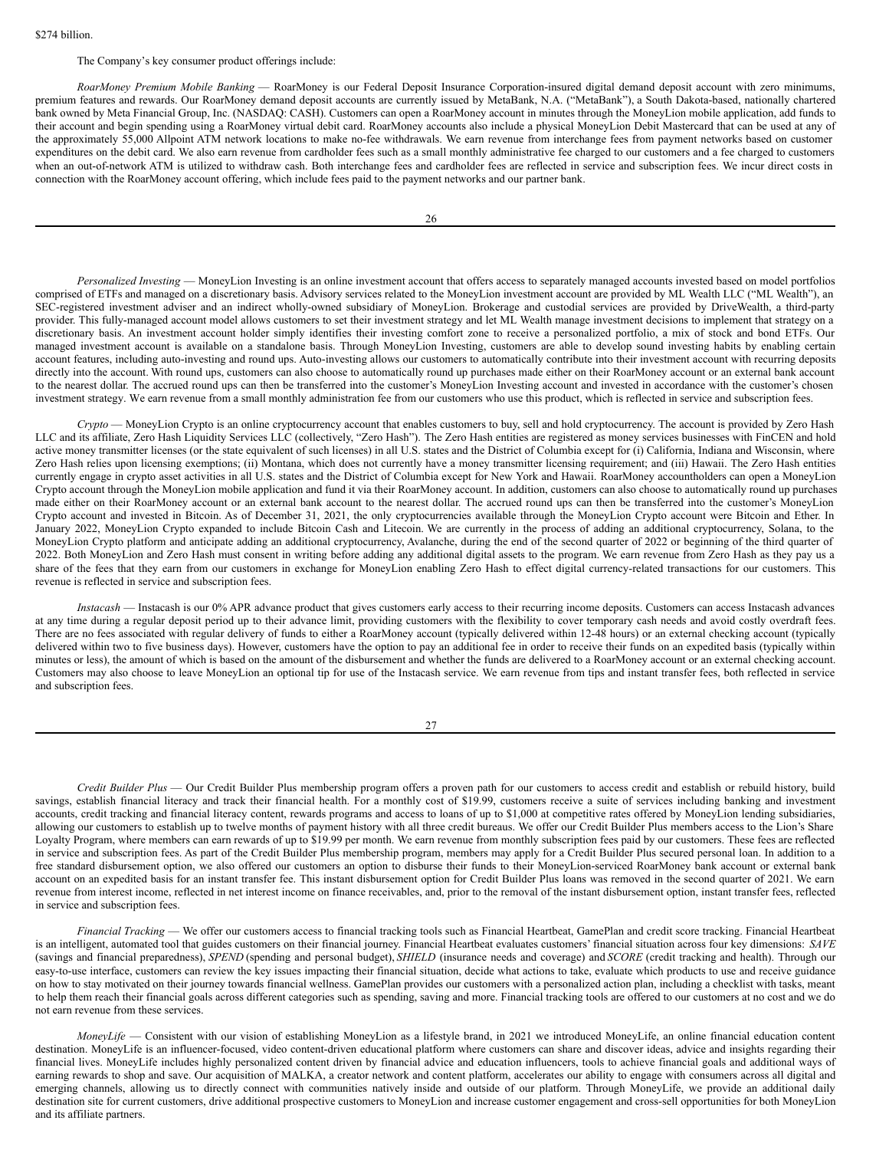## The Company's key consumer product offerings include:

*RoarMoney Premium Mobile Banking* — RoarMoney is our Federal Deposit Insurance Corporation-insured digital demand deposit account with zero minimums, premium features and rewards. Our RoarMoney demand deposit accounts are currently issued by MetaBank, N.A. ("MetaBank"), a South Dakota-based, nationally chartered bank owned by Meta Financial Group, Inc. (NASDAQ: CASH). Customers can open a RoarMoney account in minutes through the MoneyLion mobile application, add funds to their account and begin spending using a RoarMoney virtual debit card. RoarMoney accounts also include a physical MoneyLion Debit Mastercard that can be used at any of the approximately 55,000 Allpoint ATM network locations to make no-fee withdrawals. We earn revenue from interchange fees from payment networks based on customer expenditures on the debit card. We also earn revenue from cardholder fees such as a small monthly administrative fee charged to our customers and a fee charged to customers when an out-of-network ATM is utilized to withdraw cash. Both interchange fees and cardholder fees are reflected in service and subscription fees. We incur direct costs in connection with the RoarMoney account offering, which include fees paid to the payment networks and our partner bank.

*Personalized Investing* — MoneyLion Investing is an online investment account that offers access to separately managed accounts invested based on model portfolios comprised of ETFs and managed on a discretionary basis. Advisory services related to the MoneyLion investment account are provided by ML Wealth LLC ("ML Wealth"), an SEC-registered investment adviser and an indirect wholly-owned subsidiary of MoneyLion. Brokerage and custodial services are provided by DriveWealth, a third-party provider. This fully-managed account model allows customers to set their investment strategy and let ML Wealth manage investment decisions to implement that strategy on a discretionary basis. An investment account holder simply identifies their investing comfort zone to receive a personalized portfolio, a mix of stock and bond ETFs. Our managed investment account is available on a standalone basis. Through MoneyLion Investing, customers are able to develop sound investing habits by enabling certain account features, including auto-investing and round ups. Auto-investing allows our customers to automatically contribute into their investment account with recurring deposits directly into the account. With round ups, customers can also choose to automatically round up purchases made either on their RoarMoney account or an external bank account to the nearest dollar. The accrued round ups can then be transferred into the customer's MoneyLion Investing account and invested in accordance with the customer's chosen investment strategy. We earn revenue from a small monthly administration fee from our customers who use this product, which is reflected in service and subscription fees.

*Crypto* — MoneyLion Crypto is an online cryptocurrency account that enables customers to buy, sell and hold cryptocurrency. The account is provided by Zero Hash LLC and its affiliate, Zero Hash Liquidity Services LLC (collectively, "Zero Hash"). The Zero Hash entities are registered as money services businesses with FinCEN and hold active money transmitter licenses (or the state equivalent of such licenses) in all U.S. states and the District of Columbia except for (i) California, Indiana and Wisconsin, where Zero Hash relies upon licensing exemptions; (ii) Montana, which does not currently have a money transmitter licensing requirement; and (iii) Hawaii. The Zero Hash entities currently engage in crypto asset activities in all U.S. states and the District of Columbia except for New York and Hawaii. RoarMoney accountholders can open a MoneyLion Crypto account through the MoneyLion mobile application and fund it via their RoarMoney account. In addition, customers can also choose to automatically round up purchases made either on their RoarMoney account or an external bank account to the nearest dollar. The accrued round ups can then be transferred into the customer's MoneyLion Crypto account and invested in Bitcoin. As of December 31, 2021, the only cryptocurrencies available through the MoneyLion Crypto account were Bitcoin and Ether. In January 2022, MoneyLion Crypto expanded to include Bitcoin Cash and Litecoin. We are currently in the process of adding an additional cryptocurrency, Solana, to the MoneyLion Crypto platform and anticipate adding an additional cryptocurrency, Avalanche, during the end of the second quarter of 2022 or beginning of the third quarter of 2022. Both MoneyLion and Zero Hash must consent in writing before adding any additional digital assets to the program. We earn revenue from Zero Hash as they pay us a share of the fees that they earn from our customers in exchange for MoneyLion enabling Zero Hash to effect digital currency-related transactions for our customers. This revenue is reflected in service and subscription fees.

*Instacash* — Instacash is our 0% APR advance product that gives customers early access to their recurring income deposits. Customers can access Instacash advances at any time during a regular deposit period up to their advance limit, providing customers with the flexibility to cover temporary cash needs and avoid costly overdraft fees. There are no fees associated with regular delivery of funds to either a RoarMoney account (typically delivered within 12-48 hours) or an external checking account (typically delivered within two to five business days). However, customers have the option to pay an additional fee in order to receive their funds on an expedited basis (typically within minutes or less), the amount of which is based on the amount of the disbursement and whether the funds are delivered to a RoarMoney account or an external checking account. Customers may also choose to leave MoneyLion an optional tip for use of the Instacash service. We earn revenue from tips and instant transfer fees, both reflected in service and subscription fees.

27

*Credit Builder Plus* — Our Credit Builder Plus membership program offers a proven path for our customers to access credit and establish or rebuild history, build savings, establish financial literacy and track their financial health. For a monthly cost of \$19.99, customers receive a suite of services including banking and investment accounts, credit tracking and financial literacy content, rewards programs and access to loans of up to \$1,000 at competitive rates offered by MoneyLion lending subsidiaries, allowing our customers to establish up to twelve months of payment history with all three credit bureaus. We offer our Credit Builder Plus members access to the Lion's Share Loyalty Program, where members can earn rewards of up to \$19.99 per month. We earn revenue from monthly subscription fees paid by our customers. These fees are reflected in service and subscription fees. As part of the Credit Builder Plus membership program, members may apply for a Credit Builder Plus secured personal loan. In addition to a free standard disbursement option, we also offered our customers an option to disburse their funds to their MoneyLion-serviced RoarMoney bank account or external bank account on an expedited basis for an instant transfer fee. This instant disbursement option for Credit Builder Plus loans was removed in the second quarter of 2021. We earn revenue from interest income, reflected in net interest income on finance receivables, and, prior to the removal of the instant disbursement option, instant transfer fees, reflected in service and subscription fees.

*Financial Tracking* — We offer our customers access to financial tracking tools such as Financial Heartbeat, GamePlan and credit score tracking. Financial Heartbeat is an intelligent, automated tool that guides customers on their financial journey. Financial Heartbeat evaluates customers' financial situation across four key dimensions: *SAVE* (savings and financial preparedness), *SPEND* (spending and personal budget), *SHIELD* (insurance needs and coverage) and *SCORE* (credit tracking and health). Through our easy-to-use interface, customers can review the key issues impacting their financial situation, decide what actions to take, evaluate which products to use and receive guidance on how to stay motivated on their journey towards financial wellness. GamePlan provides our customers with a personalized action plan, including a checklist with tasks, meant to help them reach their financial goals across different categories such as spending, saving and more. Financial tracking tools are offered to our customers at no cost and we do not earn revenue from these services.

*MoneyLife* — Consistent with our vision of establishing MoneyLion as a lifestyle brand, in 2021 we introduced MoneyLife, an online financial education content destination. MoneyLife is an influencer-focused, video content-driven educational platform where customers can share and discover ideas, advice and insights regarding their financial lives. MoneyLife includes highly personalized content driven by financial advice and education influencers, tools to achieve financial goals and additional ways of earning rewards to shop and save. Our acquisition of MALKA, a creator network and content platform, accelerates our ability to engage with consumers across all digital and emerging channels, allowing us to directly connect with communities natively inside and outside of our platform. Through MoneyLife, we provide an additional daily destination site for current customers, drive additional prospective customers to MoneyLion and increase customer engagement and cross-sell opportunities for both MoneyLion and its affiliate partners.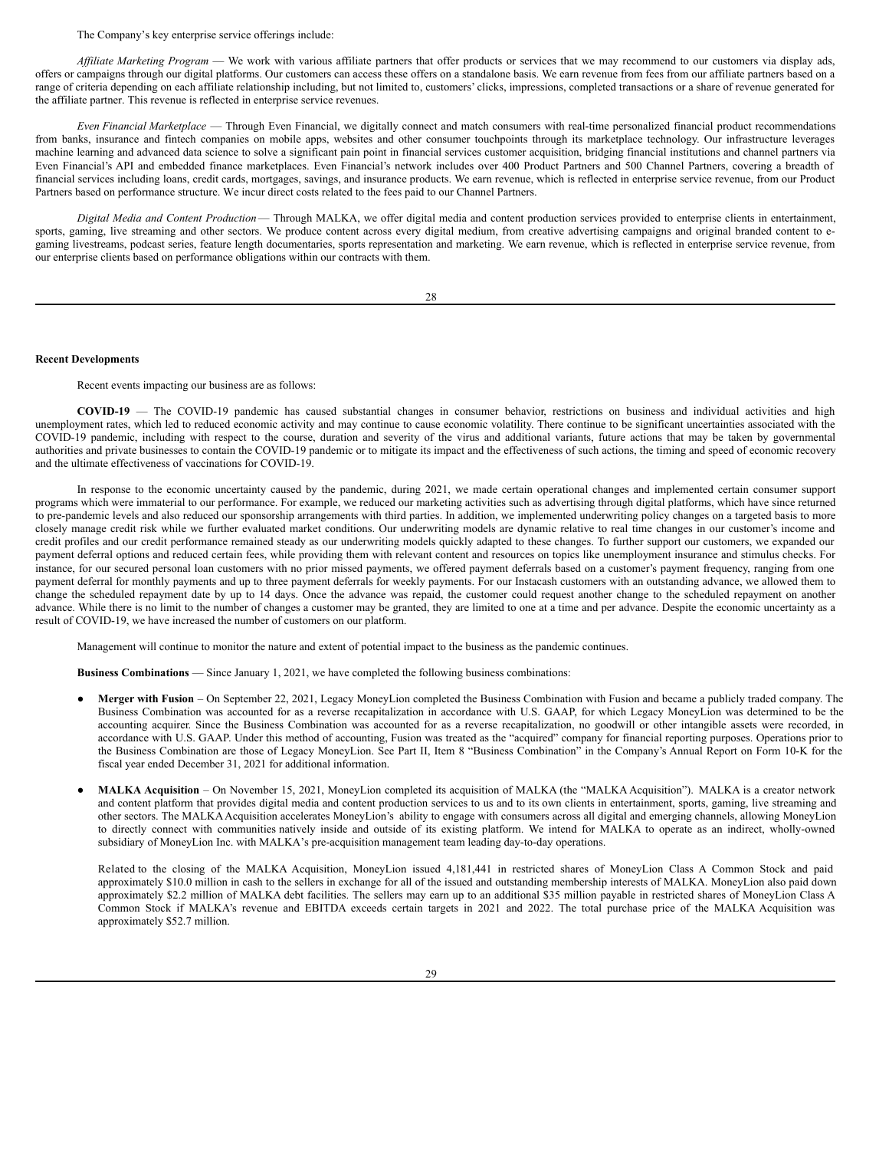The Company's key enterprise service offerings include:

*Af iliate Marketing Program* — We work with various affiliate partners that offer products or services that we may recommend to our customers via display ads, offers or campaigns through our digital platforms. Our customers can access these offers on a standalone basis. We earn revenue from fees from our affiliate partners based on a range of criteria depending on each affiliate relationship including, but not limited to, customers' clicks, impressions, completed transactions or a share of revenue generated for the affiliate partner. This revenue is reflected in enterprise service revenues.

*Even Financial Marketplace* — Through Even Financial, we digitally connect and match consumers with real-time personalized financial product recommendations from banks, insurance and fintech companies on mobile apps, websites and other consumer touchpoints through its marketplace technology. Our infrastructure leverages machine learning and advanced data science to solve a significant pain point in financial services customer acquisition, bridging financial institutions and channel partners via Even Financial's API and embedded finance marketplaces. Even Financial's network includes over 400 Product Partners and 500 Channel Partners, covering a breadth of financial services including loans, credit cards, mortgages, savings, and insurance products. We earn revenue, which is reflected in enterprise service revenue, from our Product Partners based on performance structure. We incur direct costs related to the fees paid to our Channel Partners.

*Digital Media and Content Production*— Through MALKA, we offer digital media and content production services provided to enterprise clients in entertainment, sports, gaming, live streaming and other sectors. We produce content across every digital medium, from creative advertising campaigns and original branded content to egaming livestreams, podcast series, feature length documentaries, sports representation and marketing. We earn revenue, which is reflected in enterprise service revenue, from our enterprise clients based on performance obligations within our contracts with them.

28

#### **Recent Developments**

Recent events impacting our business are as follows:

**COVID-19** — The COVID-19 pandemic has caused substantial changes in consumer behavior, restrictions on business and individual activities and high unemployment rates, which led to reduced economic activity and may continue to cause economic volatility. There continue to be significant uncertainties associated with the COVID-19 pandemic, including with respect to the course, duration and severity of the virus and additional variants, future actions that may be taken by governmental authorities and private businesses to contain the COVID-19 pandemic or to mitigate its impact and the effectiveness of such actions, the timing and speed of economic recovery and the ultimate effectiveness of vaccinations for COVID-19.

In response to the economic uncertainty caused by the pandemic, during 2021, we made certain operational changes and implemented certain consumer support programs which were immaterial to our performance. For example, we reduced our marketing activities such as advertising through digital platforms, which have since returned to pre-pandemic levels and also reduced our sponsorship arrangements with third parties. In addition, we implemented underwriting policy changes on a targeted basis to more closely manage credit risk while we further evaluated market conditions. Our underwriting models are dynamic relative to real time changes in our customer's income and credit profiles and our credit performance remained steady as our underwriting models quickly adapted to these changes. To further support our customers, we expanded our payment deferral options and reduced certain fees, while providing them with relevant content and resources on topics like unemployment insurance and stimulus checks. For instance, for our secured personal loan customers with no prior missed payments, we offered payment deferrals based on a customer's payment frequency, ranging from one payment deferral for monthly payments and up to three payment deferrals for weekly payments. For our Instacash customers with an outstanding advance, we allowed them to change the scheduled repayment date by up to 14 days. Once the advance was repaid, the customer could request another change to the scheduled repayment on another advance. While there is no limit to the number of changes a customer may be granted, they are limited to one at a time and per advance. Despite the economic uncertainty as a result of COVID-19, we have increased the number of customers on our platform.

Management will continue to monitor the nature and extent of potential impact to the business as the pandemic continues.

**Business Combinations** — Since January 1, 2021, we have completed the following business combinations:

- **Merger with Fusion** On September 22, 2021, Legacy MoneyLion completed the Business Combination with Fusion and became a publicly traded company. The Business Combination was accounted for as a reverse recapitalization in accordance with U.S. GAAP, for which Legacy MoneyLion was determined to be the accounting acquirer. Since the Business Combination was accounted for as a reverse recapitalization, no goodwill or other intangible assets were recorded, in accordance with U.S. GAAP. Under this method of accounting, Fusion was treated as the "acquired" company for financial reporting purposes. Operations prior to the Business Combination are those of Legacy MoneyLion. See Part II, Item 8 "Business Combination" in the Company's Annual Report on Form 10-K for the fiscal year ended December 31, 2021 for additional information.
- **MALKA Acquisition** On November 15, 2021, MoneyLion completed its acquisition of MALKA (the "MALKA Acquisition"). MALKA is a creator network and content platform that provides digital media and content production services to us and to its own clients in entertainment, sports, gaming, live streaming and other sectors. The MALKA Acquisition accelerates MoneyLion's ability to engage with consumers across all digital and emerging channels, allowing MoneyLion to directly connect with communities natively inside and outside of its existing platform. We intend for MALKA to operate as an indirect, wholly-owned subsidiary of MoneyLion Inc. with MALKA's pre-acquisition management team leading day-to-day operations.

Related to the closing of the MALKA Acquisition, MoneyLion issued 4,181,441 in restricted shares of MoneyLion Class A Common Stock and paid approximately \$10.0 million in cash to the sellers in exchange for all of the issued and outstanding membership interests of MALKA. MoneyLion also paid down approximately \$2.2 million of MALKA debt facilities. The sellers may earn up to an additional \$35 million payable in restricted shares of MoneyLion Class A Common Stock if MALKA's revenue and EBITDA exceeds certain targets in 2021 and 2022. The total purchase price of the MALKA Acquisition was approximately \$52.7 million.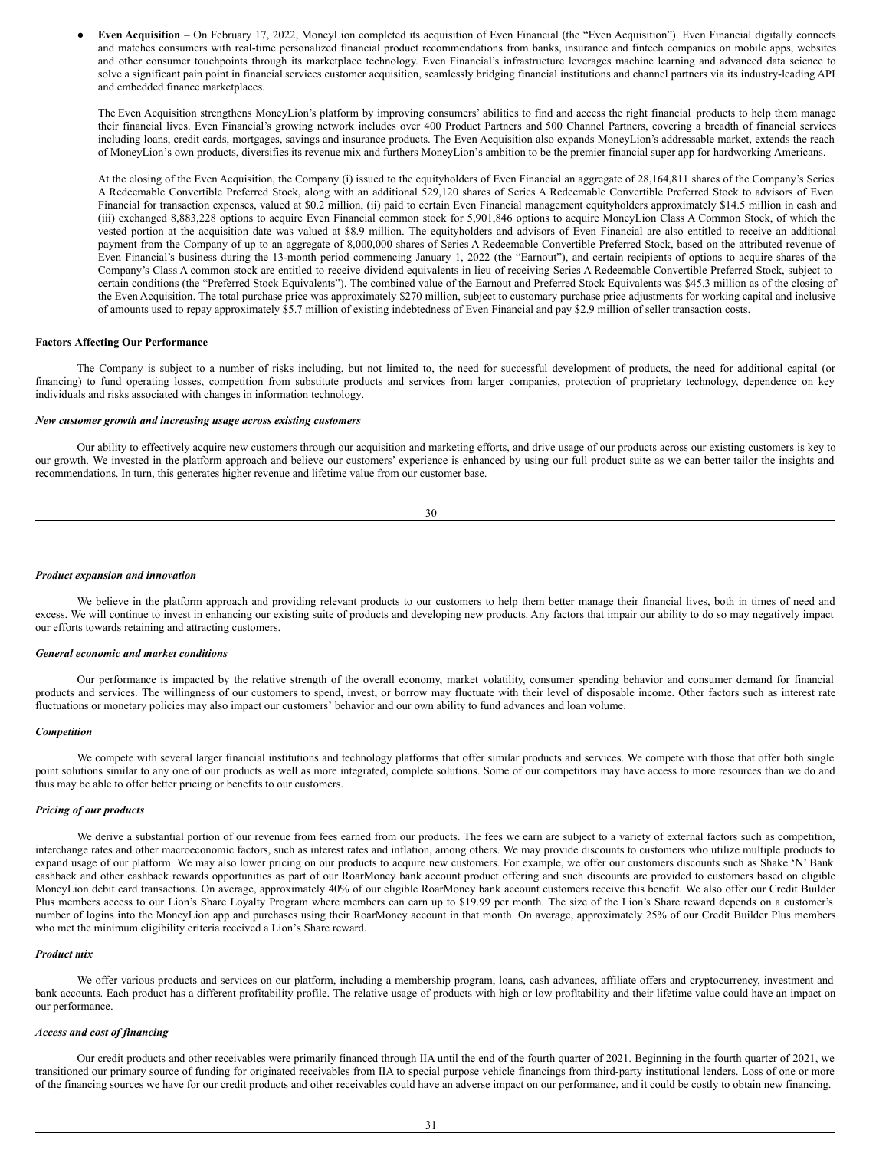● **Even Acquisition** – On February 17, 2022, MoneyLion completed its acquisition of Even Financial (the "Even Acquisition"). Even Financial digitally connects and matches consumers with real-time personalized financial product recommendations from banks, insurance and fintech companies on mobile apps, websites and other consumer touchpoints through its marketplace technology. Even Financial's infrastructure leverages machine learning and advanced data science to solve a significant pain point in financial services customer acquisition, seamlessly bridging financial institutions and channel partners via its industry-leading API and embedded finance marketplaces.

The Even Acquisition strengthens MoneyLion's platform by improving consumers' abilities to find and access the right financial products to help them manage their financial lives. Even Financial's growing network includes over 400 Product Partners and 500 Channel Partners, covering a breadth of financial services including loans, credit cards, mortgages, savings and insurance products. The Even Acquisition also expands MoneyLion's addressable market, extends the reach of MoneyLion's own products, diversifies its revenue mix and furthers MoneyLion's ambition to be the premier financial super app for hardworking Americans.

At the closing of the Even Acquisition, the Company (i) issued to the equityholders of Even Financial an aggregate of 28,164,811 shares of the Company's Series A Redeemable Convertible Preferred Stock, along with an additional 529,120 shares of Series A Redeemable Convertible Preferred Stock to advisors of Even Financial for transaction expenses, valued at \$0.2 million, (ii) paid to certain Even Financial management equityholders approximately \$14.5 million in cash and (iii) exchanged 8,883,228 options to acquire Even Financial common stock for 5,901,846 options to acquire MoneyLion Class A Common Stock, of which the vested portion at the acquisition date was valued at \$8.9 million. The equityholders and advisors of Even Financial are also entitled to receive an additional payment from the Company of up to an aggregate of 8,000,000 shares of Series A Redeemable Convertible Preferred Stock, based on the attributed revenue of Even Financial's business during the 13-month period commencing January 1, 2022 (the "Earnout"), and certain recipients of options to acquire shares of the Company's Class A common stock are entitled to receive dividend equivalents in lieu of receiving Series A Redeemable Convertible Preferred Stock, subject to certain conditions (the "Preferred Stock Equivalents"). The combined value of the Earnout and Preferred Stock Equivalents was \$45.3 million as of the closing of the Even Acquisition. The total purchase price was approximately \$270 million, subject to customary purchase price adjustments for working capital and inclusive of amounts used to repay approximately \$5.7 million of existing indebtedness of Even Financial and pay \$2.9 million of seller transaction costs.

#### **Factors Affecting Our Performance**

The Company is subject to a number of risks including, but not limited to, the need for successful development of products, the need for additional capital (or financing) to fund operating losses, competition from substitute products and services from larger companies, protection of proprietary technology, dependence on key individuals and risks associated with changes in information technology.

## *New customer growth and increasing usage across existing customers*

Our ability to effectively acquire new customers through our acquisition and marketing efforts, and drive usage of our products across our existing customers is key to our growth. We invested in the platform approach and believe our customers' experience is enhanced by using our full product suite as we can better tailor the insights and recommendations. In turn, this generates higher revenue and lifetime value from our customer base.

$$
^{30}
$$

#### *Product expansion and innovation*

We believe in the platform approach and providing relevant products to our customers to help them better manage their financial lives, both in times of need and excess. We will continue to invest in enhancing our existing suite of products and developing new products. Any factors that impair our ability to do so may negatively impact our efforts towards retaining and attracting customers.

#### *General economic and market conditions*

Our performance is impacted by the relative strength of the overall economy, market volatility, consumer spending behavior and consumer demand for financial products and services. The willingness of our customers to spend, invest, or borrow may fluctuate with their level of disposable income. Other factors such as interest rate fluctuations or monetary policies may also impact our customers' behavior and our own ability to fund advances and loan volume.

#### *Competition*

We compete with several larger financial institutions and technology platforms that offer similar products and services. We compete with those that offer both single point solutions similar to any one of our products as well as more integrated, complete solutions. Some of our competitors may have access to more resources than we do and thus may be able to offer better pricing or benefits to our customers.

#### *Pricing of our products*

We derive a substantial portion of our revenue from fees earned from our products. The fees we earn are subject to a variety of external factors such as competition, interchange rates and other macroeconomic factors, such as interest rates and inflation, among others. We may provide discounts to customers who utilize multiple products to expand usage of our platform. We may also lower pricing on our products to acquire new customers. For example, we offer our customers discounts such as Shake 'N' Bank cashback and other cashback rewards opportunities as part of our RoarMoney bank account product offering and such discounts are provided to customers based on eligible MoneyLion debit card transactions. On average, approximately 40% of our eligible RoarMoney bank account customers receive this benefit. We also offer our Credit Builder Plus members access to our Lion's Share Loyalty Program where members can earn up to \$19.99 per month. The size of the Lion's Share reward depends on a customer's number of logins into the MoneyLion app and purchases using their RoarMoney account in that month. On average, approximately 25% of our Credit Builder Plus members who met the minimum eligibility criteria received a Lion's Share reward.

#### *Product mix*

We offer various products and services on our platform, including a membership program, loans, cash advances, affiliate offers and cryptocurrency, investment and bank accounts. Each product has a different profitability profile. The relative usage of products with high or low profitability and their lifetime value could have an impact on our performance.

#### *Access and cost of financing*

Our credit products and other receivables were primarily financed through IIA until the end of the fourth quarter of 2021. Beginning in the fourth quarter of 2021, we transitioned our primary source of funding for originated receivables from IIA to special purpose vehicle financings from third-party institutional lenders. Loss of one or more of the financing sources we have for our credit products and other receivables could have an adverse impact on our performance, and it could be costly to obtain new financing.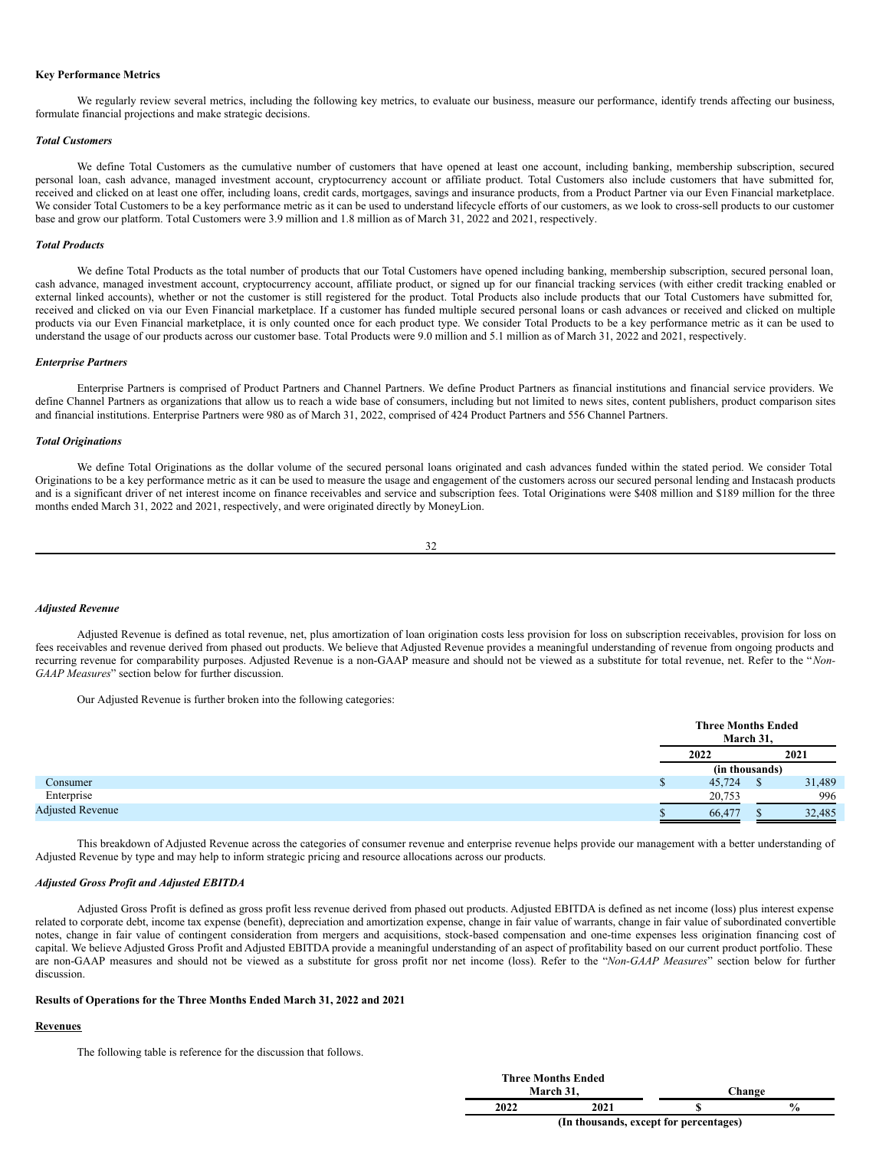#### **Key Performance Metrics**

We regularly review several metrics, including the following key metrics, to evaluate our business, measure our performance, identify trends affecting our business, formulate financial projections and make strategic decisions.

#### *Total Customers*

We define Total Customers as the cumulative number of customers that have opened at least one account, including banking, membership subscription, secured personal loan, cash advance, managed investment account, cryptocurrency account or affiliate product. Total Customers also include customers that have submitted for, received and clicked on at least one offer, including loans, credit cards, mortgages, savings and insurance products, from a Product Partner via our Even Financial marketplace. We consider Total Customers to be a key performance metric as it can be used to understand lifecycle efforts of our customers, as we look to cross-sell products to our customer base and grow our platform. Total Customers were 3.9 million and 1.8 million as of March 31, 2022 and 2021, respectively.

#### *Total Products*

We define Total Products as the total number of products that our Total Customers have opened including banking, membership subscription, secured personal loan, cash advance, managed investment account, cryptocurrency account, affiliate product, or signed up for our financial tracking services (with either credit tracking enabled or external linked accounts), whether or not the customer is still registered for the product. Total Products also include products that our Total Customers have submitted for, received and clicked on via our Even Financial marketplace. If a customer has funded multiple secured personal loans or cash advances or received and clicked on multiple products via our Even Financial marketplace, it is only counted once for each product type. We consider Total Products to be a key performance metric as it can be used to understand the usage of our products across our customer base. Total Products were 9.0 million and 5.1 million as of March 31, 2022 and 2021, respectively.

#### *Enterprise Partners*

Enterprise Partners is comprised of Product Partners and Channel Partners. We define Product Partners as financial institutions and financial service providers. We define Channel Partners as organizations that allow us to reach a wide base of consumers, including but not limited to news sites, content publishers, product comparison sites and financial institutions. Enterprise Partners were 980 as of March 31, 2022, comprised of 424 Product Partners and 556 Channel Partners.

## *Total Originations*

We define Total Originations as the dollar volume of the secured personal loans originated and cash advances funded within the stated period. We consider Total Originations to be a key performance metric as it can be used to measure the usage and engagement of the customers across our secured personal lending and Instacash products and is a significant driver of net interest income on finance receivables and service and subscription fees. Total Originations were \$408 million and \$189 million for the three months ended March 31, 2022 and 2021, respectively, and were originated directly by MoneyLion.

32

#### *Adjusted Revenue*

Adjusted Revenue is defined as total revenue, net, plus amortization of loan origination costs less provision for loss on subscription receivables, provision for loss on fees receivables and revenue derived from phased out products. We believe that Adjusted Revenue provides a meaningful understanding of revenue from ongoing products and recurring revenue for comparability purposes. Adjusted Revenue is a non-GAAP measure and should not be viewed as a substitute for total revenue, net. Refer to the "*Non-GAAP Measures*" section below for further discussion.

Our Adjusted Revenue is further broken into the following categories:

|                         | <b>Three Months Ended</b><br>March 31, |    |        |  |
|-------------------------|----------------------------------------|----|--------|--|
|                         | 2022                                   |    | 2021   |  |
|                         | (in thousands)                         |    |        |  |
| Consumer                | 45,724                                 | D. | 31,489 |  |
| Enterprise              | 20,753                                 |    | 996    |  |
| <b>Adjusted Revenue</b> | 66,477                                 |    | 32,485 |  |

This breakdown of Adjusted Revenue across the categories of consumer revenue and enterprise revenue helps provide our management with a better understanding of Adjusted Revenue by type and may help to inform strategic pricing and resource allocations across our products.

## *Adjusted Gross Profit and Adjusted EBITDA*

Adjusted Gross Profit is defined as gross profit less revenue derived from phased out products. Adjusted EBITDA is defined as net income (loss) plus interest expense related to corporate debt, income tax expense (benefit), depreciation and amortization expense, change in fair value of warrants, change in fair value of subordinated convertible notes, change in fair value of contingent consideration from mergers and acquisitions, stock-based compensation and one-time expenses less origination financing cost of capital. We believe Adjusted Gross Profit and Adjusted EBITDA provide a meaningful understanding of an aspect of profitability based on our current product portfolio. These are non-GAAP measures and should not be viewed as a substitute for gross profit nor net income (loss). Refer to the "*Non-GAAP Measures*" section below for further discussion.

## **Results of Operations for the Three Months Ended March 31, 2022 and 2021**

## **Revenues**

The following table is reference for the discussion that follows.

|                                        | <b>Three Months Ended</b><br>March 31. |  | Change        |  |  |
|----------------------------------------|----------------------------------------|--|---------------|--|--|
| 2022                                   | 2021                                   |  | $\frac{6}{9}$ |  |  |
| (In thousands, except for percentages) |                                        |  |               |  |  |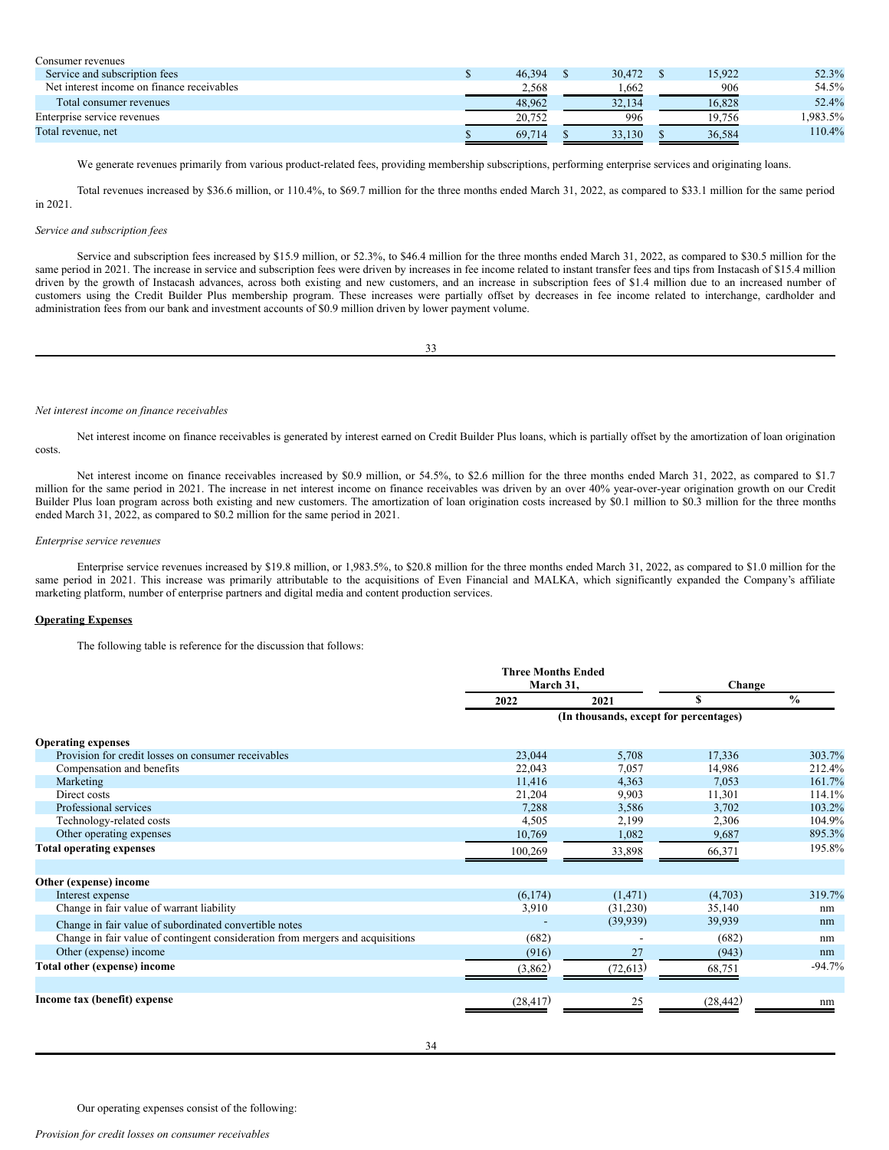| Consumer revenues                          |        |        |        |         |
|--------------------------------------------|--------|--------|--------|---------|
| Service and subscription fees              | 46.394 | 30,472 | 15.922 | 52.3%   |
| Net interest income on finance receivables | 2.568  | 1.662  | 906    | 54.5%   |
| Total consumer revenues                    | 48.962 | 32.134 | 16.828 | 52.4%   |
| Enterprise service revenues                | 20.752 | 996    | 19.756 | .983.5% |
| Total revenue, net                         | 69.714 | 33.130 | 36,584 | 110.4%  |

We generate revenues primarily from various product-related fees, providing membership subscriptions, performing enterprise services and originating loans.

Total revenues increased by \$36.6 million, or 110.4%, to \$69.7 million for the three months ended March 31, 2022, as compared to \$33.1 million for the same period in 2021.

#### *Service and subscription fees*

Service and subscription fees increased by \$15.9 million, or 52.3%, to \$46.4 million for the three months ended March 31, 2022, as compared to \$30.5 million for the same period in 2021. The increase in service and subscription fees were driven by increases in fee income related to instant transfer fees and tips from Instacash of \$15.4 million driven by the growth of Instacash advances, across both existing and new customers, and an increase in subscription fees of \$1.4 million due to an increased number of customers using the Credit Builder Plus membership program. These increases were partially offset by decreases in fee income related to interchange, cardholder and administration fees from our bank and investment accounts of \$0.9 million driven by lower payment volume.

| I      | I      |
|--------|--------|
| I      | I      |
| $\sim$ | $\sim$ |
|        |        |

#### *Net interest income on finance receivables*

Net interest income on finance receivables is generated by interest earned on Credit Builder Plus loans, which is partially offset by the amortization of loan origination costs.

Net interest income on finance receivables increased by \$0.9 million, or 54.5%, to \$2.6 million for the three months ended March 31, 2022, as compared to \$1.7 million for the same period in 2021. The increase in net interest income on finance receivables was driven by an over 40% year-over-year origination growth on our Credit Builder Plus loan program across both existing and new customers. The amortization of loan origination costs increased by \$0.1 million to \$0.3 million for the three months ended March 31, 2022, as compared to \$0.2 million for the same period in 2021.

## *Enterprise service revenues*

Enterprise service revenues increased by \$19.8 million, or 1,983.5%, to \$20.8 million for the three months ended March 31, 2022, as compared to \$1.0 million for the same period in 2021. This increase was primarily attributable to the acquisitions of Even Financial and MALKA, which significantly expanded the Company's affiliate marketing platform, number of enterprise partners and digital media and content production services.

## **Operating Expenses**

The following table is reference for the discussion that follows:

|                                                                                | <b>Three Months Ended</b><br>March 31, |                                        | Change    |               |
|--------------------------------------------------------------------------------|----------------------------------------|----------------------------------------|-----------|---------------|
|                                                                                | 2022                                   | 2021                                   | S         | $\frac{0}{0}$ |
|                                                                                |                                        | (In thousands, except for percentages) |           |               |
| <b>Operating expenses</b>                                                      |                                        |                                        |           |               |
| Provision for credit losses on consumer receivables                            | 23,044                                 | 5,708                                  | 17,336    | 303.7%        |
| Compensation and benefits                                                      | 22,043                                 | 7,057                                  | 14,986    | 212.4%        |
| Marketing                                                                      | 11,416                                 | 4,363                                  | 7,053     | 161.7%        |
| Direct costs                                                                   | 21,204                                 | 9,903                                  | 11,301    | 114.1%        |
| Professional services                                                          | 7,288                                  | 3,586                                  | 3,702     | 103.2%        |
| Technology-related costs                                                       | 4,505                                  | 2,199                                  | 2,306     | 104.9%        |
| Other operating expenses                                                       | 10,769                                 | 1,082                                  | 9,687     | 895.3%        |
| <b>Total operating expenses</b>                                                | 100,269                                | 33,898                                 | 66,371    | 195.8%        |
| Other (expense) income                                                         |                                        |                                        |           |               |
| Interest expense                                                               | (6,174)                                | (1, 471)                               | (4,703)   | 319.7%        |
| Change in fair value of warrant liability                                      | 3,910                                  | (31,230)                               | 35,140    | nm            |
| Change in fair value of subordinated convertible notes                         |                                        | (39, 939)                              | 39,939    | nm            |
| Change in fair value of contingent consideration from mergers and acquisitions | (682)                                  |                                        | (682)     | nm            |
| Other (expense) income                                                         | (916)                                  | 27                                     | (943)     | nm            |
| Total other (expense) income                                                   | (3,862)                                | (72, 613)                              | 68,751    | $-94.7%$      |
| Income tax (benefit) expense                                                   | (28, 417)                              | 25                                     | (28, 442) | nm            |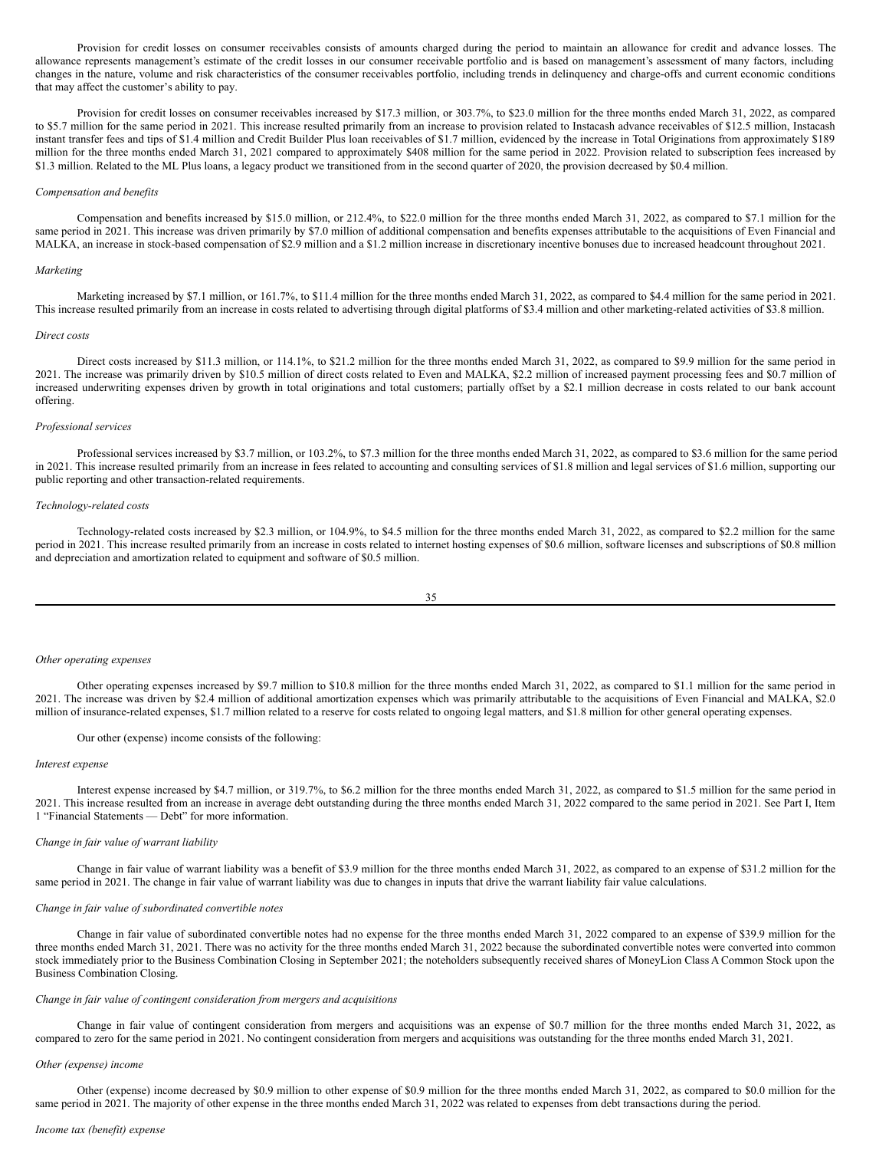Provision for credit losses on consumer receivables consists of amounts charged during the period to maintain an allowance for credit and advance losses. The allowance represents management's estimate of the credit losses in our consumer receivable portfolio and is based on management's assessment of many factors, including changes in the nature, volume and risk characteristics of the consumer receivables portfolio, including trends in delinquency and charge-offs and current economic conditions that may affect the customer's ability to pay.

Provision for credit losses on consumer receivables increased by \$17.3 million, or 303.7%, to \$23.0 million for the three months ended March 31, 2022, as compared to \$5.7 million for the same period in 2021. This increase resulted primarily from an increase to provision related to Instacash advance receivables of \$12.5 million, Instacash instant transfer fees and tips of \$1.4 million and Credit Builder Plus loan receivables of \$1.7 million, evidenced by the increase in Total Originations from approximately \$189 million for the three months ended March 31, 2021 compared to approximately \$408 million for the same period in 2022. Provision related to subscription fees increased by \$1.3 million. Related to the ML Plus loans, a legacy product we transitioned from in the second quarter of 2020, the provision decreased by \$0.4 million.

#### *Compensation and benefits*

Compensation and benefits increased by \$15.0 million, or 212.4%, to \$22.0 million for the three months ended March 31, 2022, as compared to \$7.1 million for the same period in 2021. This increase was driven primarily by \$7.0 million of additional compensation and benefits expenses attributable to the acquisitions of Even Financial and MALKA, an increase in stock-based compensation of \$2.9 million and a \$1.2 million increase in discretionary incentive bonuses due to increased headcount throughout 2021.

#### *Marketing*

Marketing increased by \$7.1 million, or 161.7%, to \$11.4 million for the three months ended March 31, 2022, as compared to \$4.4 million for the same period in 2021. This increase resulted primarily from an increase in costs related to advertising through digital platforms of \$3.4 million and other marketing-related activities of \$3.8 million.

#### *Direct costs*

Direct costs increased by \$11.3 million, or 114.1%, to \$21.2 million for the three months ended March 31, 2022, as compared to \$9.9 million for the same period in 2021. The increase was primarily driven by \$10.5 million of direct costs related to Even and MALKA, \$2.2 million of increased payment processing fees and \$0.7 million of increased underwriting expenses driven by growth in total originations and total customers; partially offset by a \$2.1 million decrease in costs related to our bank account offering.

#### *Professional services*

Professional services increased by \$3.7 million, or 103.2%, to \$7.3 million for the three months ended March 31, 2022, as compared to \$3.6 million for the same period in 2021. This increase resulted primarily from an increase in fees related to accounting and consulting services of \$1.8 million and legal services of \$1.6 million, supporting our public reporting and other transaction-related requirements.

#### *Technology-related costs*

Technology-related costs increased by \$2.3 million, or 104.9%, to \$4.5 million for the three months ended March 31, 2022, as compared to \$2.2 million for the same period in 2021. This increase resulted primarily from an increase in costs related to internet hosting expenses of \$0.6 million, software licenses and subscriptions of \$0.8 million and depreciation and amortization related to equipment and software of \$0.5 million.

$$
^{35}
$$

#### *Other operating expenses*

Other operating expenses increased by \$9.7 million to \$10.8 million for the three months ended March 31, 2022, as compared to \$1.1 million for the same period in 2021. The increase was driven by \$2.4 million of additional amortization expenses which was primarily attributable to the acquisitions of Even Financial and MALKA, \$2.0 million of insurance-related expenses, \$1.7 million related to a reserve for costs related to ongoing legal matters, and \$1.8 million for other general operating expenses.

#### Our other (expense) income consists of the following:

#### *Interest expense*

Interest expense increased by \$4.7 million, or 319.7%, to \$6.2 million for the three months ended March 31, 2022, as compared to \$1.5 million for the same period in 2021. This increase resulted from an increase in average debt outstanding during the three months ended March 31, 2022 compared to the same period in 2021. See Part I, Item 1 "Financial Statements — Debt" for more information.

#### *Change in fair value of warrant liability*

Change in fair value of warrant liability was a benefit of \$3.9 million for the three months ended March 31, 2022, as compared to an expense of \$31.2 million for the same period in 2021. The change in fair value of warrant liability was due to changes in inputs that drive the warrant liability fair value calculations.

## *Change in fair value of subordinated convertible notes*

Change in fair value of subordinated convertible notes had no expense for the three months ended March 31, 2022 compared to an expense of \$39.9 million for the three months ended March 31, 2021. There was no activity for the three months ended March 31, 2022 because the subordinated convertible notes were converted into common stock immediately prior to the Business Combination Closing in September 2021; the noteholders subsequently received shares of MoneyLion Class A Common Stock upon the Business Combination Closing.

#### *Change in fair value of contingent consideration from mergers and acquisitions*

Change in fair value of contingent consideration from mergers and acquisitions was an expense of \$0.7 million for the three months ended March 31, 2022, as compared to zero for the same period in 2021. No contingent consideration from mergers and acquisitions was outstanding for the three months ended March 31, 2021.

#### *Other (expense) income*

Other (expense) income decreased by \$0.9 million to other expense of \$0.9 million for the three months ended March 31, 2022, as compared to \$0.0 million for the same period in 2021. The majority of other expense in the three months ended March 31, 2022 was related to expenses from debt transactions during the period.

#### *Income tax (benefit) expense*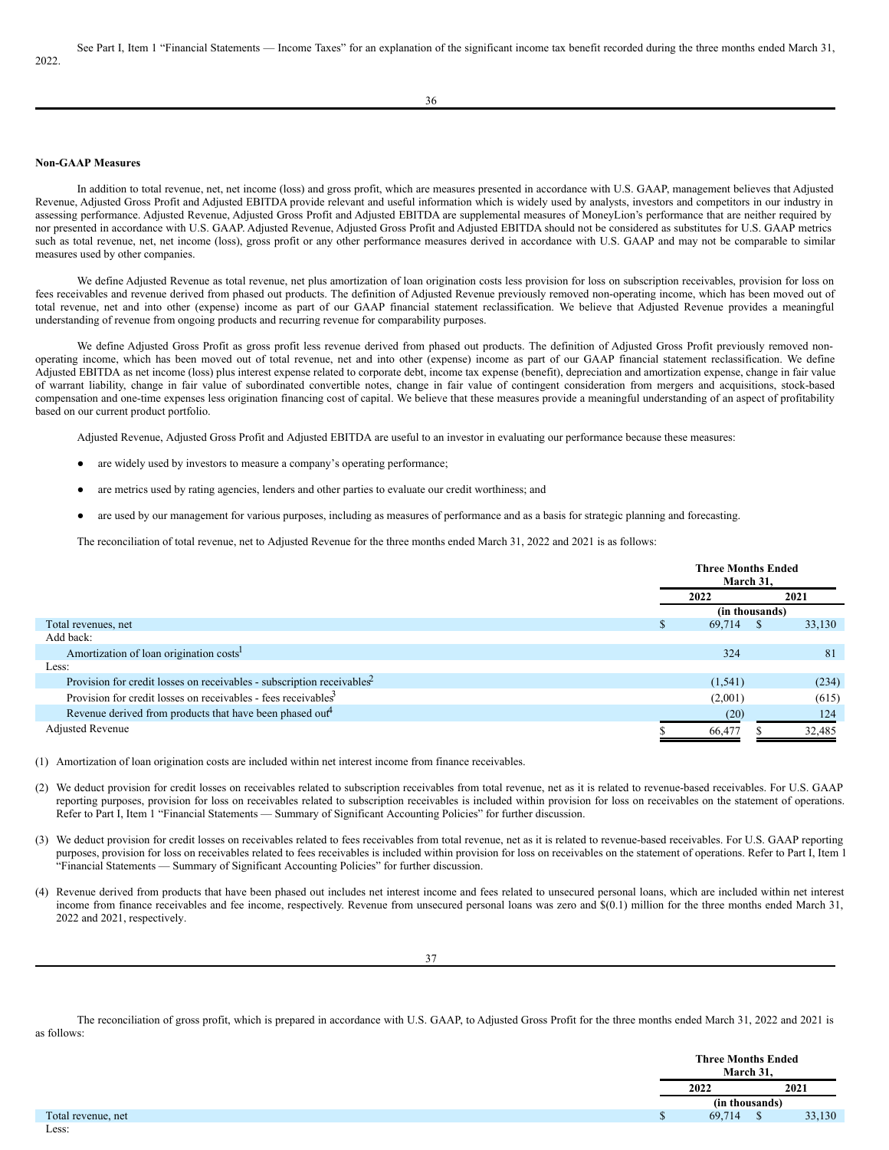#### **Non-GAAP Measures**

In addition to total revenue, net, net income (loss) and gross profit, which are measures presented in accordance with U.S. GAAP, management believes that Adjusted Revenue, Adjusted Gross Profit and Adjusted EBITDA provide relevant and useful information which is widely used by analysts, investors and competitors in our industry in assessing performance. Adjusted Revenue, Adjusted Gross Profit and Adjusted EBITDA are supplemental measures of MoneyLion's performance that are neither required by nor presented in accordance with U.S. GAAP. Adjusted Revenue, Adjusted Gross Profit and Adjusted EBITDA should not be considered as substitutes for U.S. GAAP metrics such as total revenue, net, net income (loss), gross profit or any other performance measures derived in accordance with U.S. GAAP and may not be comparable to similar measures used by other companies.

We define Adjusted Revenue as total revenue, net plus amortization of loan origination costs less provision for loss on subscription receivables, provision for loss on fees receivables and revenue derived from phased out products. The definition of Adjusted Revenue previously removed non-operating income, which has been moved out of total revenue, net and into other (expense) income as part of our GAAP financial statement reclassification. We believe that Adjusted Revenue provides a meaningful understanding of revenue from ongoing products and recurring revenue for comparability purposes.

We define Adjusted Gross Profit as gross profit less revenue derived from phased out products. The definition of Adjusted Gross Profit previously removed nonoperating income, which has been moved out of total revenue, net and into other (expense) income as part of our GAAP financial statement reclassification. We define Adjusted EBITDA as net income (loss) plus interest expense related to corporate debt, income tax expense (benefit), depreciation and amortization expense, change in fair value of warrant liability, change in fair value of subordinated convertible notes, change in fair value of contingent consideration from mergers and acquisitions, stock-based compensation and one-time expenses less origination financing cost of capital. We believe that these measures provide a meaningful understanding of an aspect of profitability based on our current product portfolio.

Adjusted Revenue, Adjusted Gross Profit and Adjusted EBITDA are useful to an investor in evaluating our performance because these measures:

- are widely used by investors to measure a company's operating performance;
- are metrics used by rating agencies, lenders and other parties to evaluate our credit worthiness; and
- are used by our management for various purposes, including as measures of performance and as a basis for strategic planning and forecasting.

The reconciliation of total revenue, net to Adjusted Revenue for the three months ended March 31, 2022 and 2021 is as follows:

|                                                                                    |    | <b>Three Months Ended</b><br>March 31, |      |        |  |
|------------------------------------------------------------------------------------|----|----------------------------------------|------|--------|--|
|                                                                                    |    | 2022                                   | 2021 |        |  |
|                                                                                    |    | (in thousands)                         |      |        |  |
| Total revenues, net                                                                | .Ъ | 69,714                                 |      | 33,130 |  |
| Add back:                                                                          |    |                                        |      |        |  |
| Amortization of loan origination costs                                             |    | 324                                    |      | 81     |  |
| Less:                                                                              |    |                                        |      |        |  |
| Provision for credit losses on receivables - subscription receivables <sup>2</sup> |    | (1, 541)                               |      | (234)  |  |
| Provision for credit losses on receivables - fees receivables <sup>3</sup>         |    | (2,001)                                |      | (615)  |  |
| Revenue derived from products that have been phased out <sup>4</sup>               |    | (20)                                   |      | 124    |  |
| <b>Adjusted Revenue</b>                                                            |    | 66,477                                 |      | 32,485 |  |

(1) Amortization of loan origination costs are included within net interest income from finance receivables.

- (2) We deduct provision for credit losses on receivables related to subscription receivables from total revenue, net as it is related to revenue-based receivables. For U.S. GAAP reporting purposes, provision for loss on receivables related to subscription receivables is included within provision for loss on receivables on the statement of operations. Refer to Part I, Item 1 "Financial Statements — Summary of Significant Accounting Policies" for further discussion.
- (3) We deduct provision for credit losses on receivables related to fees receivables from total revenue, net as it is related to revenue-based receivables. For U.S. GAAP reporting purposes, provision for loss on receivables related to fees receivables is included within provision for loss on receivables on the statement of operations. Refer to Part I, Item 1 "Financial Statements — Summary of Significant Accounting Policies" for further discussion.
- (4) Revenue derived from products that have been phased out includes net interest income and fees related to unsecured personal loans, which are included within net interest income from finance receivables and fee income, respectively. Revenue from unsecured personal loans was zero and  $\S(0.1)$  million for the three months ended March 31, 2022 and 2021, respectively.

The reconciliation of gross profit, which is prepared in accordance with U.S. GAAP, to Adjusted Gross Profit for the three months ended March 31, 2022 and 2021 is as follows:

|                    |  | <b>Three Months Ended</b><br>March 31,<br>2021<br>2022 |                |        |
|--------------------|--|--------------------------------------------------------|----------------|--------|
|                    |  |                                                        |                |        |
|                    |  |                                                        | (in thousands) |        |
| Total revenue, net |  | 69,714                                                 |                | 33,130 |
|                    |  |                                                        |                |        |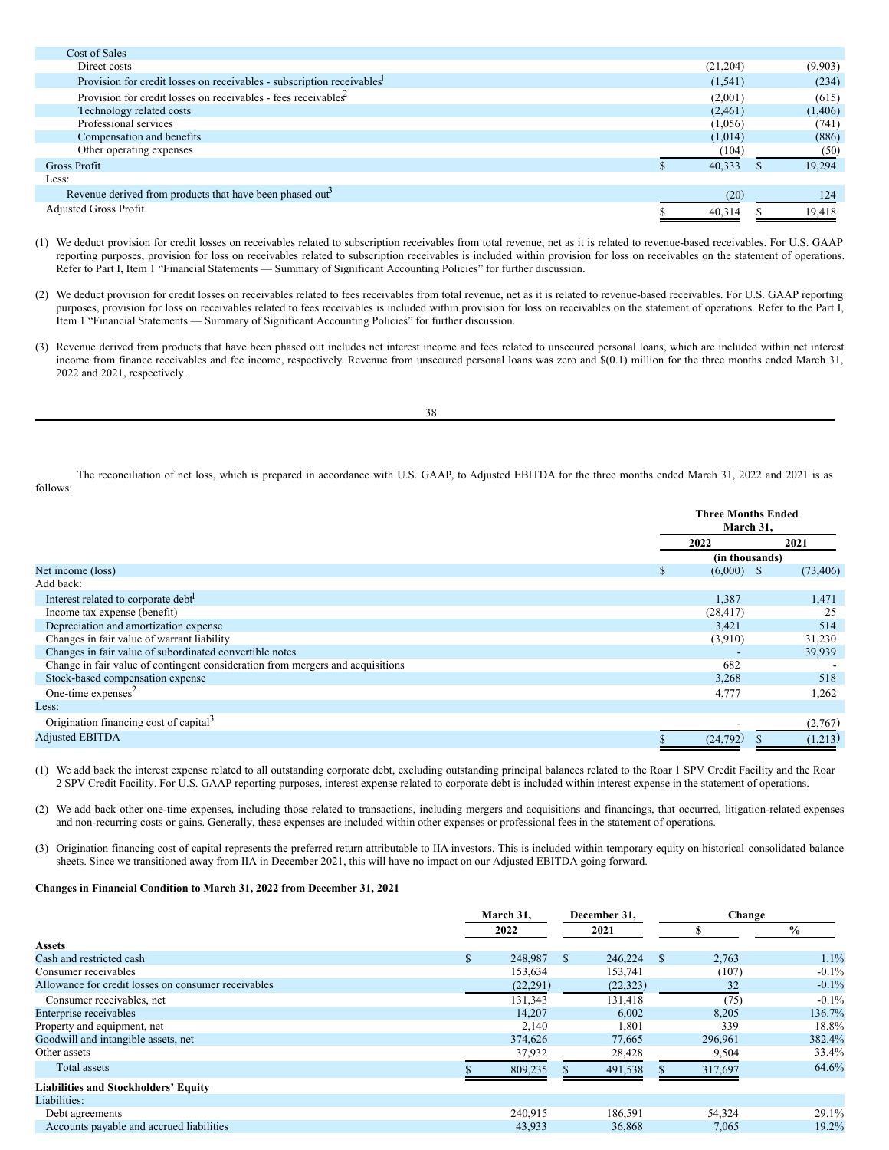| Cost of Sales                                                                      |          |         |
|------------------------------------------------------------------------------------|----------|---------|
| Direct costs                                                                       | (21,204) | (9,903) |
| Provision for credit losses on receivables - subscription receivables <sup>1</sup> | (1, 541) | (234)   |
| Provision for credit losses on receivables - fees receivables                      | (2,001)  | (615)   |
| Technology related costs                                                           | (2,461)  | (1,406) |
| Professional services                                                              | (1,056)  | (741)   |
| Compensation and benefits                                                          | (1,014)  | (886)   |
| Other operating expenses                                                           | (104)    | (50)    |
| <b>Gross Profit</b>                                                                | 40,333   | 19.294  |
| Less:                                                                              |          |         |
| Revenue derived from products that have been phased out <sup>3</sup>               | (20)     | 124     |
| <b>Adjusted Gross Profit</b>                                                       | 40,314   | 19,418  |
|                                                                                    |          |         |

(1) We deduct provision for credit losses on receivables related to subscription receivables from total revenue, net as it is related to revenue-based receivables. For U.S. GAAP reporting purposes, provision for loss on receivables related to subscription receivables is included within provision for loss on receivables on the statement of operations. Refer to Part I, Item 1 "Financial Statements — Summary of Significant Accounting Policies" for further discussion.

(2) We deduct provision for credit losses on receivables related to fees receivables from total revenue, net as it is related to revenue-based receivables. For U.S. GAAP reporting purposes, provision for loss on receivables related to fees receivables is included within provision for loss on receivables on the statement of operations. Refer to the Part I, Item 1 "Financial Statements — Summary of Significant Accounting Policies" for further discussion.

(3) Revenue derived from products that have been phased out includes net interest income and fees related to unsecured personal loans, which are included within net interest income from finance receivables and fee income, respectively. Revenue from unsecured personal loans was zero and \$(0.1) million for the three months ended March 31, 2022 and 2021, respectively.

| o<br>I<br>- | I<br>×<br>. .<br>۹ |
|-------------|--------------------|

The reconciliation of net loss, which is prepared in accordance with U.S. GAAP, to Adjusted EBITDA for the three months ended March 31, 2022 and 2021 is as follows:

|                                                                                |                    | <b>Three Months Ended</b><br>March 31, |
|--------------------------------------------------------------------------------|--------------------|----------------------------------------|
|                                                                                | 2022               | 2021                                   |
|                                                                                |                    | (in thousands)                         |
| Net income (loss)                                                              | $(6,000)$ \$<br>D. | (73, 406)                              |
| Add back:                                                                      |                    |                                        |
| Interest related to corporate debt <sup>1</sup>                                | 1,387              | 1,471                                  |
| Income tax expense (benefit)                                                   | (28, 417)          | 25                                     |
| Depreciation and amortization expense                                          | 3,421              | 514                                    |
| Changes in fair value of warrant liability                                     | (3,910)            | 31,230                                 |
| Changes in fair value of subordinated convertible notes                        |                    | 39,939                                 |
| Change in fair value of contingent consideration from mergers and acquisitions | 682                |                                        |
| Stock-based compensation expense                                               | 3,268              | 518                                    |
| One-time expenses <sup>2</sup>                                                 | 4,777              | 1,262                                  |
| Less:                                                                          |                    |                                        |
| Origination financing cost of capital <sup>3</sup>                             |                    | (2,767)                                |
| <b>Adjusted EBITDA</b>                                                         | (24, 792)          | (1,213)                                |

(1) We add back the interest expense related to all outstanding corporate debt, excluding outstanding principal balances related to the Roar 1 SPV Credit Facility and the Roar 2 SPV Credit Facility. For U.S. GAAP reporting purposes, interest expense related to corporate debt is included within interest expense in the statement of operations.

(2) We add back other one-time expenses, including those related to transactions, including mergers and acquisitions and financings, that occurred, litigation-related expenses and non-recurring costs or gains. Generally, these expenses are included within other expenses or professional fees in the statement of operations.

(3) Origination financing cost of capital represents the preferred return attributable to IIA investors. This is included within temporary equity on historical consolidated balance sheets. Since we transitioned away from IIA in December 2021, this will have no impact on our Adjusted EBITDA going forward.

## **Changes in Financial Condition to March 31, 2022 from December 31, 2021**

|                                                     | March 31, |           | December 31,  |           |               | Change  |               |  |
|-----------------------------------------------------|-----------|-----------|---------------|-----------|---------------|---------|---------------|--|
|                                                     |           | 2022      |               | 2021      |               |         | $\frac{6}{9}$ |  |
| Assets                                              |           |           |               |           |               |         |               |  |
| Cash and restricted cash                            | S.        | 248,987   | <sup>\$</sup> | 246,224   | <sup>\$</sup> | 2,763   | 1.1%          |  |
| Consumer receivables                                |           | 153,634   |               | 153,741   |               | (107)   | $-0.1%$       |  |
| Allowance for credit losses on consumer receivables |           | (22, 291) |               | (22, 323) |               | 32      | $-0.1%$       |  |
| Consumer receivables, net                           |           | 131,343   |               | 131.418   |               | (75)    | $-0.1%$       |  |
| Enterprise receivables                              |           | 14,207    |               | 6,002     |               | 8,205   | 136.7%        |  |
| Property and equipment, net                         |           | 2,140     |               | 1,801     |               | 339     | 18.8%         |  |
| Goodwill and intangible assets, net                 |           | 374,626   |               | 77,665    |               | 296,961 | 382.4%        |  |
| Other assets                                        |           | 37,932    |               | 28,428    |               | 9,504   | 33.4%         |  |
| Total assets                                        |           | 809,235   |               | 491,538   |               | 317,697 | 64.6%         |  |
| <b>Liabilities and Stockholders' Equity</b>         |           |           |               |           |               |         |               |  |
| Liabilities:                                        |           |           |               |           |               |         |               |  |
| Debt agreements                                     |           | 240,915   |               | 186,591   |               | 54,324  | 29.1%         |  |
| Accounts payable and accrued liabilities            |           | 43,933    |               | 36,868    |               | 7,065   | 19.2%         |  |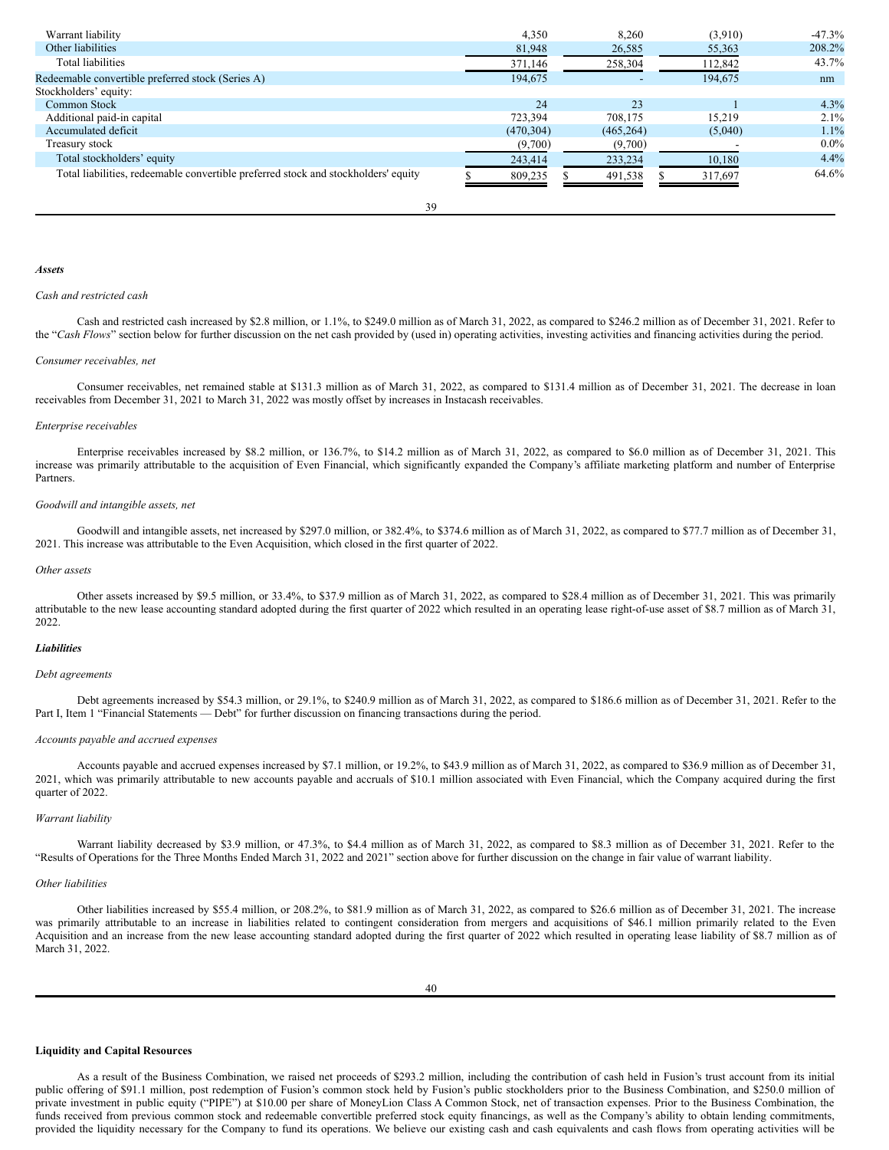| Warrant liability                                                                  | 4.350      | 8,260      | (3,910) | $-47.3\%$ |
|------------------------------------------------------------------------------------|------------|------------|---------|-----------|
| Other liabilities                                                                  | 81,948     | 26,585     | 55,363  | 208.2%    |
| Total liabilities                                                                  | 371,146    | 258,304    | 112,842 | 43.7%     |
| Redeemable convertible preferred stock (Series A)                                  | 194,675    |            | 194,675 | nm        |
| Stockholders' equity:                                                              |            |            |         |           |
| Common Stock                                                                       | 24         | 23         |         | 4.3%      |
| Additional paid-in capital                                                         | 723.394    | 708.175    | 15.219  | $2.1\%$   |
| Accumulated deficit                                                                | (470, 304) | (465, 264) | (5,040) | 1.1%      |
| Treasury stock                                                                     | (9,700)    | (9,700)    |         | $0.0\%$   |
| Total stockholders' equity                                                         | 243,414    | 233,234    | 10,180  | 4.4%      |
| Total liabilities, redeemable convertible preferred stock and stockholders' equity | 809,235    | 491,538    | 317,697 | 64.6%     |

39

#### *Assets*

### *Cash and restricted cash*

Cash and restricted cash increased by \$2.8 million, or 1.1%, to \$249.0 million as of March 31, 2022, as compared to \$246.2 million as of December 31, 2021. Refer to the "Cash Flows" section below for further discussion on the net cash provided by (used in) operating activities, investing activities and financing activities during the period.

#### *Consumer receivables, net*

Consumer receivables, net remained stable at \$131.3 million as of March 31, 2022, as compared to \$131.4 million as of December 31, 2021. The decrease in loan receivables from December 31, 2021 to March 31, 2022 was mostly offset by increases in Instacash receivables.

#### *Enterprise receivables*

Enterprise receivables increased by \$8.2 million, or 136.7%, to \$14.2 million as of March 31, 2022, as compared to \$6.0 million as of December 31, 2021. This increase was primarily attributable to the acquisition of Even Financial, which significantly expanded the Company's affiliate marketing platform and number of Enterprise Partners.

#### *Goodwill and intangible assets, net*

Goodwill and intangible assets, net increased by \$297.0 million, or 382.4%, to \$374.6 million as of March 31, 2022, as compared to \$77.7 million as of December 31, 2021. This increase was attributable to the Even Acquisition, which closed in the first quarter of 2022.

#### *Other assets*

Other assets increased by \$9.5 million, or 33.4%, to \$37.9 million as of March 31, 2022, as compared to \$28.4 million as of December 31, 2021. This was primarily attributable to the new lease accounting standard adopted during the first quarter of 2022 which resulted in an operating lease right-of-use asset of \$8.7 million as of March 31, 2022.

#### *Liabilities*

#### *Debt agreements*

Debt agreements increased by \$54.3 million, or 29.1%, to \$240.9 million as of March 31, 2022, as compared to \$186.6 million as of December 31, 2021. Refer to the Part I, Item 1 "Financial Statements — Debt" for further discussion on financing transactions during the period.

## *Accounts payable and accrued expenses*

Accounts payable and accrued expenses increased by \$7.1 million, or 19.2%, to \$43.9 million as of March 31, 2022, as compared to \$36.9 million as of December 31, 2021, which was primarily attributable to new accounts payable and accruals of \$10.1 million associated with Even Financial, which the Company acquired during the first quarter of 2022.

#### *Warrant liability*

Warrant liability decreased by \$3.9 million, or 47.3%, to \$4.4 million as of March 31, 2022, as compared to \$8.3 million as of December 31, 2021. Refer to the "Results of Operations for the Three Months Ended March 31, 2022 and 2021" section above for further discussion on the change in fair value of warrant liability.

#### *Other liabilities*

Other liabilities increased by \$55.4 million, or 208.2%, to \$81.9 million as of March 31, 2022, as compared to \$26.6 million as of December 31, 2021. The increase was primarily attributable to an increase in liabilities related to contingent consideration from mergers and acquisitions of \$46.1 million primarily related to the Even Acquisition and an increase from the new lease accounting standard adopted during the first quarter of 2022 which resulted in operating lease liability of \$8.7 million as of March 31, 2022.

#### **Liquidity and Capital Resources**

As a result of the Business Combination, we raised net proceeds of \$293.2 million, including the contribution of cash held in Fusion's trust account from its initial public offering of \$91.1 million, post redemption of Fusion's common stock held by Fusion's public stockholders prior to the Business Combination, and \$250.0 million of private investment in public equity ("PIPE") at \$10.00 per share of MoneyLion Class A Common Stock, net of transaction expenses. Prior to the Business Combination, the funds received from previous common stock and redeemable convertible preferred stock equity financings, as well as the Company's ability to obtain lending commitments, provided the liquidity necessary for the Company to fund its operations. We believe our existing cash and cash equivalents and cash flows from operating activities will be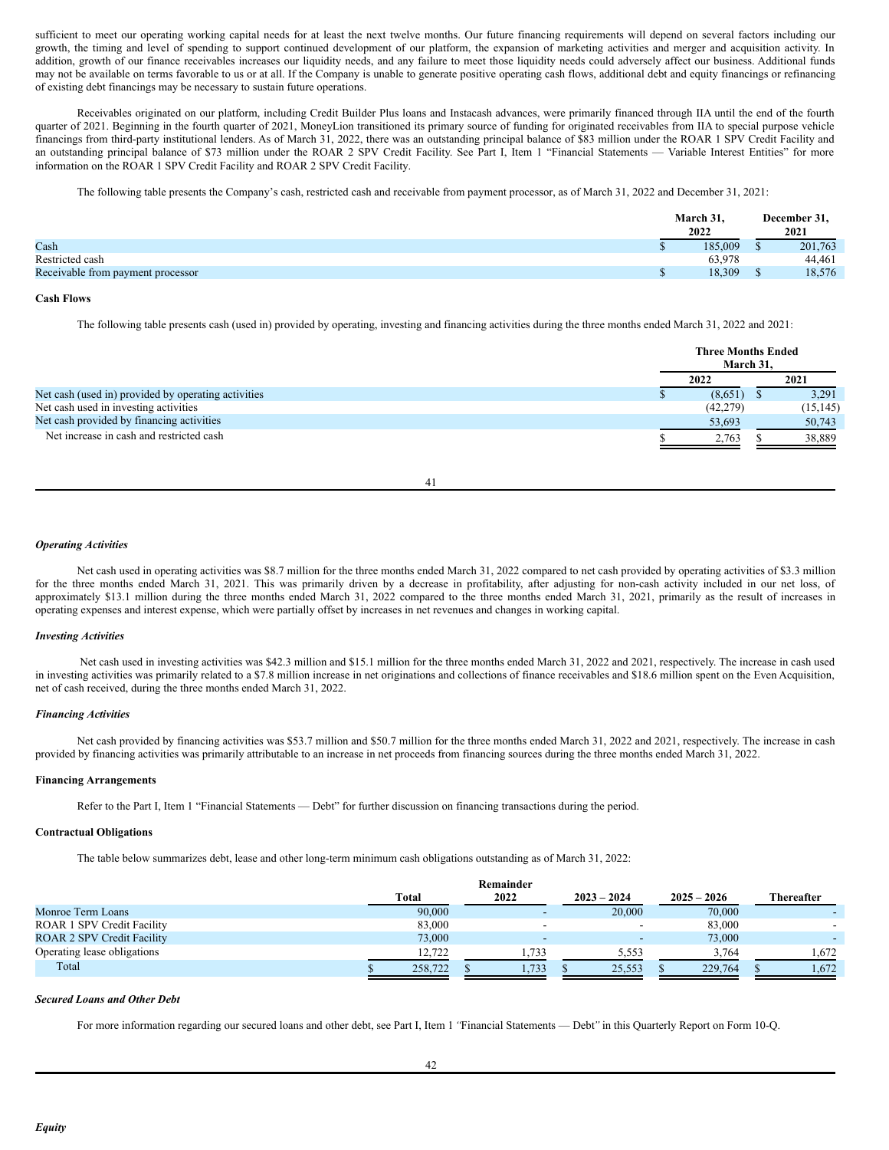sufficient to meet our operating working capital needs for at least the next twelve months. Our future financing requirements will depend on several factors including our growth, the timing and level of spending to support continued development of our platform, the expansion of marketing activities and merger and acquisition activity. In addition, growth of our finance receivables increases our liquidity needs, and any failure to meet those liquidity needs could adversely affect our business. Additional funds may not be available on terms favorable to us or at all. If the Company is unable to generate positive operating cash flows, additional debt and equity financings or refinancing of existing debt financings may be necessary to sustain future operations.

Receivables originated on our platform, including Credit Builder Plus loans and Instacash advances, were primarily financed through IIA until the end of the fourth quarter of 2021. Beginning in the fourth quarter of 2021, MoneyLion transitioned its primary source of funding for originated receivables from IIA to special purpose vehicle financings from third-party institutional lenders. As of March 31, 2022, there was an outstanding principal balance of \$83 million under the ROAR 1 SPV Credit Facility and an outstanding principal balance of \$73 million under the ROAR 2 SPV Credit Facility. See Part I, Item 1 "Financial Statements - Variable Interest Entities" for more information on the ROAR 1 SPV Credit Facility and ROAR 2 SPV Credit Facility.

The following table presents the Company's cash, restricted cash and receivable from payment processor, as of March 31, 2022 and December 31, 2021:

|                                   | March 31, |  | December 31, |  |  |
|-----------------------------------|-----------|--|--------------|--|--|
|                                   | 2022      |  | 2021         |  |  |
| Cash                              | 185,009   |  | 201,763      |  |  |
| Restricted cash                   | 63.978    |  | 44,461       |  |  |
| Receivable from payment processor | 18,309    |  | 18,576       |  |  |
|                                   |           |  |              |  |  |

#### **Cash Flows**

The following table presents cash (used in) provided by operating, investing and financing activities during the three months ended March 31, 2022 and 2021:

|                                                     |           | <b>Three Months Ended</b><br>March 31. |           |
|-----------------------------------------------------|-----------|----------------------------------------|-----------|
|                                                     | 2022      | 2021                                   |           |
| Net cash (used in) provided by operating activities | (8,651)   |                                        | 3,291     |
| Net cash used in investing activities               | (42, 279) |                                        | (15, 145) |
| Net cash provided by financing activities           | 53,693    |                                        | 50,743    |
| Net increase in cash and restricted cash            | 2.763     |                                        | 38,889    |

41

## *Operating Activities*

Net cash used in operating activities was \$8.7 million for the three months ended March 31, 2022 compared to net cash provided by operating activities of \$3.3 million for the three months ended March 31, 2021. This was primarily driven by a decrease in profitability, after adjusting for non-cash activity included in our net loss, of approximately \$13.1 million during the three months ended March 31, 2022 compared to the three months ended March 31, 2021, primarily as the result of increases in operating expenses and interest expense, which were partially offset by increases in net revenues and changes in working capital.

## *Investing Activities*

Net cash used in investing activities was \$42.3 million and \$15.1 million for the three months ended March 31, 2022 and 2021, respectively. The increase in cash used in investing activities was primarily related to a \$7.8 million increase in net originations and collections of finance receivables and \$18.6 million spent on the Even Acquisition, net of cash received, during the three months ended March 31, 2022.

#### *Financing Activities*

Net cash provided by financing activities was \$53.7 million and \$50.7 million for the three months ended March 31, 2022 and 2021, respectively. The increase in cash provided by financing activities was primarily attributable to an increase in net proceeds from financing sources during the three months ended March 31, 2022.

#### **Financing Arrangements**

Refer to the Part I, Item 1 "Financial Statements — Debt" for further discussion on financing transactions during the period.

#### **Contractual Obligations**

The table below summarizes debt, lease and other long-term minimum cash obligations outstanding as of March 31, 2022:

|                                   |         | Remainder |                          |               |                   |
|-----------------------------------|---------|-----------|--------------------------|---------------|-------------------|
|                                   | Total   | 2022      | $2023 - 2024$            | $2025 - 2026$ | <b>Thereafter</b> |
| Monroe Term Loans                 | 90,000  |           | 20,000                   | 70,000        |                   |
| <b>ROAR 1 SPV Credit Facility</b> | 83,000  |           | $\overline{\phantom{0}}$ | 83,000        |                   |
| <b>ROAR 2 SPV Credit Facility</b> | 73,000  |           | $\overline{\phantom{0}}$ | 73,000        |                   |
| Operating lease obligations       | 12.722  | 1.733     | 5.553                    | 3.764         | .672              |
| Total                             | 258,722 | 1,733     | 25,553                   | 229,764       | 1.672             |

#### *Secured Loans and Other Debt*

For more information regarding our secured loans and other debt, see Part I, Item 1*"*Financial Statements — Debt*"* in this Quarterly Report on Form 10-Q.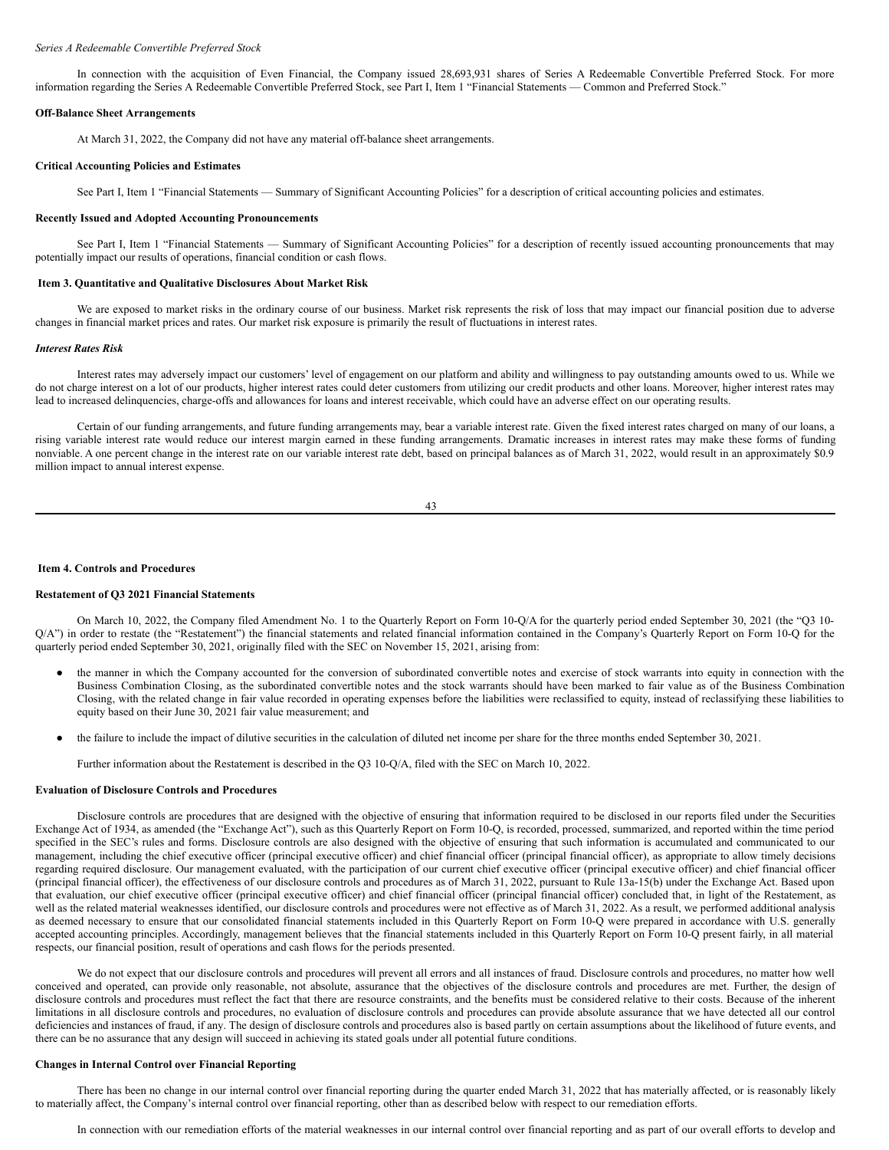#### *Series A Redeemable Convertible Preferred Stock*

In connection with the acquisition of Even Financial, the Company issued 28,693,931 shares of Series A Redeemable Convertible Preferred Stock. For more information regarding the Series A Redeemable Convertible Preferred Stock, see Part I, Item 1 "Financial Statements — Common and Preferred Stock."

#### **Off-Balance Sheet Arrangements**

At March 31, 2022, the Company did not have any material off-balance sheet arrangements.

#### **Critical Accounting Policies and Estimates**

See Part I, Item 1 "Financial Statements — Summary of Significant Accounting Policies" for a description of critical accounting policies and estimates.

#### **Recently Issued and Adopted Accounting Pronouncements**

See Part I, Item 1 "Financial Statements — Summary of Significant Accounting Policies" for a description of recently issued accounting pronouncements that may potentially impact our results of operations, financial condition or cash flows.

#### <span id="page-31-0"></span>**Item 3. Quantitative and Qualitative Disclosures About Market Risk**

We are exposed to market risks in the ordinary course of our business. Market risk represents the risk of loss that may impact our financial position due to adverse changes in financial market prices and rates. Our market risk exposure is primarily the result of fluctuations in interest rates.

### *Interest Rates Risk*

Interest rates may adversely impact our customers' level of engagement on our platform and ability and willingness to pay outstanding amounts owed to us. While we do not charge interest on a lot of our products, higher interest rates could deter customers from utilizing our credit products and other loans. Moreover, higher interest rates may lead to increased delinquencies, charge-offs and allowances for loans and interest receivable, which could have an adverse effect on our operating results.

Certain of our funding arrangements, and future funding arrangements may, bear a variable interest rate. Given the fixed interest rates charged on many of our loans, a rising variable interest rate would reduce our interest margin earned in these funding arrangements. Dramatic increases in interest rates may make these forms of funding nonviable. A one percent change in the interest rate on our variable interest rate debt, based on principal balances as of March 31, 2022, would result in an approximately \$0.9 million impact to annual interest expense.

43

#### <span id="page-31-1"></span>**Item 4. Controls and Procedures**

#### **Restatement of Q3 2021 Financial Statements**

On March 10, 2022, the Company filed Amendment No. 1 to the Quarterly Report on Form 10-Q/A for the quarterly period ended September 30, 2021 (the "Q3 10- Q/A") in order to restate (the "Restatement") the financial statements and related financial information contained in the Company's Quarterly Report on Form 10-Q for the quarterly period ended September 30, 2021, originally filed with the SEC on November 15, 2021, arising from:

- the manner in which the Company accounted for the conversion of subordinated convertible notes and exercise of stock warrants into equity in connection with the Business Combination Closing, as the subordinated convertible notes and the stock warrants should have been marked to fair value as of the Business Combination Closing, with the related change in fair value recorded in operating expenses before the liabilities were reclassified to equity, instead of reclassifying these liabilities to equity based on their June 30, 2021 fair value measurement; and
- the failure to include the impact of dilutive securities in the calculation of diluted net income per share for the three months ended September 30, 2021.

Further information about the Restatement is described in the Q3 10-Q/A, filed with the SEC on March 10, 2022.

### **Evaluation of Disclosure Controls and Procedures**

Disclosure controls are procedures that are designed with the objective of ensuring that information required to be disclosed in our reports filed under the Securities Exchange Act of 1934, as amended (the "Exchange Act"), such as this Quarterly Report on Form 10-Q, is recorded, processed, summarized, and reported within the time period specified in the SEC's rules and forms. Disclosure controls are also designed with the objective of ensuring that such information is accumulated and communicated to our management, including the chief executive officer (principal executive officer) and chief financial officer (principal financial officer), as appropriate to allow timely decisions regarding required disclosure. Our management evaluated, with the participation of our current chief executive officer (principal executive officer) and chief financial officer (principal financial officer), the effectiveness of our disclosure controls and procedures as of March 31, 2022, pursuant to Rule 13a-15(b) under the Exchange Act. Based upon that evaluation, our chief executive officer (principal executive officer) and chief financial officer (principal financial officer) concluded that, in light of the Restatement, as well as the related material weaknesses identified, our disclosure controls and procedures were not effective as of March 31, 2022. As a result, we performed additional analysis as deemed necessary to ensure that our consolidated financial statements included in this Quarterly Report on Form 10-Q were prepared in accordance with U.S. generally accepted accounting principles. Accordingly, management believes that the financial statements included in this Quarterly Report on Form 10-Q present fairly, in all material respects, our financial position, result of operations and cash flows for the periods presented.

We do not expect that our disclosure controls and procedures will prevent all errors and all instances of fraud. Disclosure controls and procedures, no matter how well conceived and operated, can provide only reasonable, not absolute, assurance that the objectives of the disclosure controls and procedures are met. Further, the design of disclosure controls and procedures must reflect the fact that there are resource constraints, and the benefits must be considered relative to their costs. Because of the inherent limitations in all disclosure controls and procedures, no evaluation of disclosure controls and procedures can provide absolute assurance that we have detected all our control deficiencies and instances of fraud, if any. The design of disclosure controls and procedures also is based partly on certain assumptions about the likelihood of future events, and there can be no assurance that any design will succeed in achieving its stated goals under all potential future conditions.

#### **Changes in Internal Control over Financial Reporting**

There has been no change in our internal control over financial reporting during the quarter ended March 31, 2022 that has materially affected, or is reasonably likely to materially affect, the Company's internal control over financial reporting, other than as described below with respect to our remediation efforts.

In connection with our remediation efforts of the material weaknesses in our internal control over financial reporting and as part of our overall efforts to develop and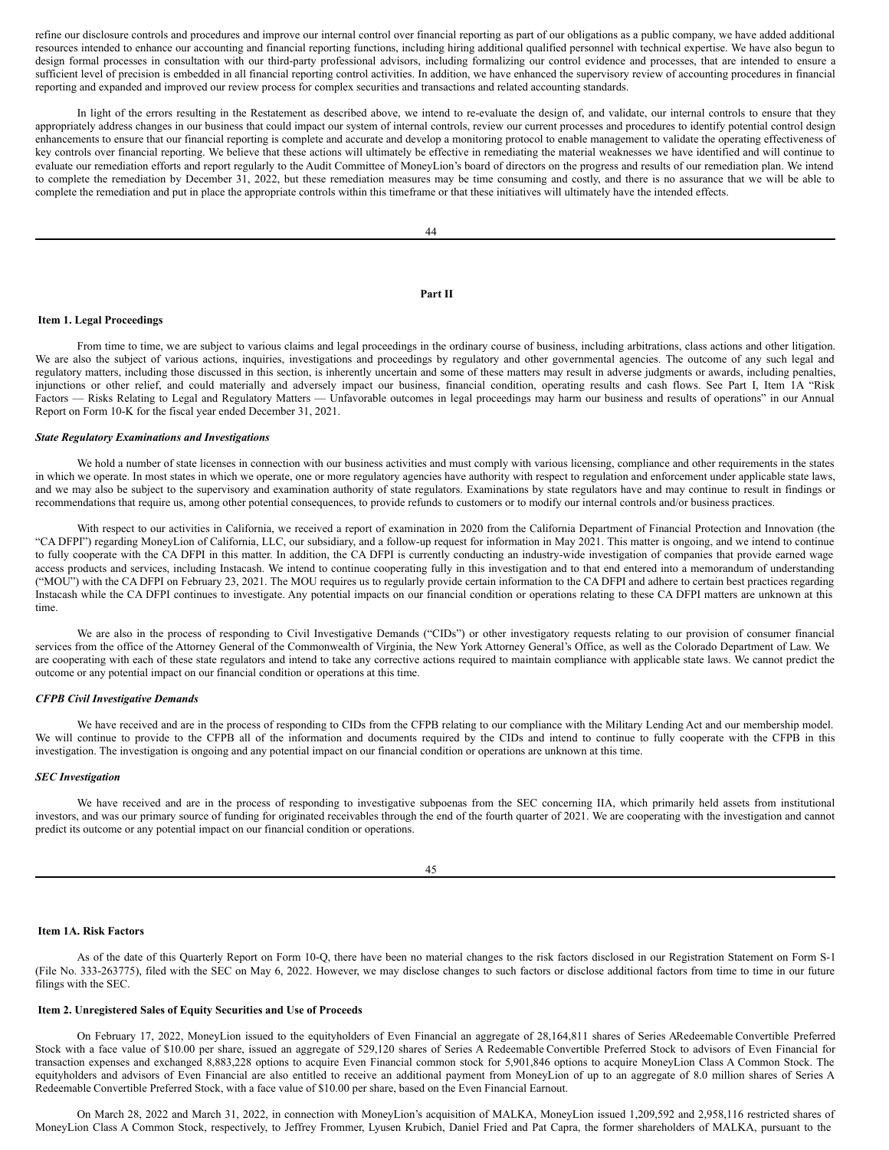refine our disclosure controls and procedures and improve our internal control over financial reporting as part of our obligations as a public company, we have added additional resources intended to enhance our accounting and financial reporting functions, including hiring additional qualified personnel with technical expertise. We have also begun to design formal processes in consultation with our third-party professional advisors, including formalizing our control evidence and processes, that are intended to ensure a sufficient level of precision is embedded in all financial reporting control activities. In addition, we have enhanced the supervisory review of accounting procedures in financial reporting and expanded and improved our review process for complex securities and transactions and related accounting standards.

In light of the errors resulting in the Restatement as described above, we intend to re-evaluate the design of, and validate, our internal controls to ensure that they appropriately address changes in our business that could impact our system of internal controls, review our current processes and procedures to identify potential control design enhancements to ensure that our financial reporting is complete and accurate and develop a monitoring protocol to enable management to validate the operating effectiveness of key controls over financial reporting. We believe that these actions will ultimately be effective in remediating the material weaknesses we have identified and will continue to evaluate our remediation efforts and report regularly to the Audit Committee of MoneyLion's board of directors on the progress and results of our remediation plan. We intend to complete the remediation by December 31, 2022, but these remediation measures may be time consuming and costly, and there is no assurance that we will be able to complete the remediation and put in place the appropriate controls within this timeframe or that these initiatives will ultimately have the intended effects.

#### <span id="page-32-0"></span>**Part II**

## <span id="page-32-1"></span>**Item 1. Legal Proceedings**

From time to time, we are subject to various claims and legal proceedings in the ordinary course of business, including arbitrations, class actions and other litigation. We are also the subject of various actions, inquiries, investigations and proceedings by regulatory and other governmental agencies. The outcome of any such legal and regulatory matters, including those discussed in this section, is inherently uncertain and some of these matters may result in adverse judgments or awards, including penalties, injunctions or other relief, and could materially and adversely impact our business, financial condition, operating results and cash flows. See Part I, Item 1A "Risk Factors — Risks Relating to Legal and Regulatory Matters — Unfavorable outcomes in legal proceedings may harm our business and results of operations" in our Annual Report on Form 10-K for the fiscal year ended December 31, 2021.

## *State Regulatory Examinations and Investigations*

We hold a number of state licenses in connection with our business activities and must comply with various licensing, compliance and other requirements in the states in which we operate. In most states in which we operate, one or more regulatory agencies have authority with respect to regulation and enforcement under applicable state laws, and we may also be subject to the supervisory and examination authority of state regulators. Examinations by state regulators have and may continue to result in findings or recommendations that require us, among other potential consequences, to provide refunds to customers or to modify our internal controls and/or business practices.

With respect to our activities in California, we received a report of examination in 2020 from the California Department of Financial Protection and Innovation (the "CA DFPI") regarding MoneyLion of California, LLC, our subsidiary, and a follow-up request for information in May 2021. This matter is ongoing, and we intend to continue to fully cooperate with the CA DFPI in this matter. In addition, the CA DFPI is currently conducting an industry-wide investigation of companies that provide earned wage access products and services, including Instacash. We intend to continue cooperating fully in this investigation and to that end entered into a memorandum of understanding ("MOU") with the CA DFPI on February 23, 2021. The MOU requires us to regularly provide certain information to the CA DFPI and adhere to certain best practices regarding Instacash while the CA DFPI continues to investigate. Any potential impacts on our financial condition or operations relating to these CA DFPI matters are unknown at this time.

We are also in the process of responding to Civil Investigative Demands ("CIDs") or other investigatory requests relating to our provision of consumer financial services from the office of the Attorney General of the Commonwealth of Virginia, the New York Attorney General's Office, as well as the Colorado Department of Law. We are cooperating with each of these state regulators and intend to take any corrective actions required to maintain compliance with applicable state laws. We cannot predict the outcome or any potential impact on our financial condition or operations at this time.

## *CFPB Civil Investigative Demands*

We have received and are in the process of responding to CIDs from the CFPB relating to our compliance with the Military Lending Act and our membership model. We will continue to provide to the CFPB all of the information and documents required by the CIDs and intend to continue to fully cooperate with the CFPB in this investigation. The investigation is ongoing and any potential impact on our financial condition or operations are unknown at this time.

## *SEC Investigation*

We have received and are in the process of responding to investigative subpoenas from the SEC concerning IIA, which primarily held assets from institutional investors, and was our primary source of funding for originated receivables through the end of the fourth quarter of 2021. We are cooperating with the investigation and cannot predict its outcome or any potential impact on our financial condition or operations.

#### 45

### <span id="page-32-2"></span>**Item 1A. Risk Factors**

As of the date of this Quarterly Report on Form 10-Q, there have been no material changes to the risk factors disclosed in our Registration Statement on Form S-1 (File No. 333-263775), filed with the SEC on May 6, 2022. However, we may disclose changes to such factors or disclose additional factors from time to time in our future filings with the SEC.

#### <span id="page-32-3"></span>**Item 2. Unregistered Sales of Equity Securities and Use of Proceeds**

On February 17, 2022, MoneyLion issued to the equityholders of Even Financial an aggregate of 28,164,811 shares of Series ARedeemable Convertible Preferred Stock with a face value of \$10.00 per share, issued an aggregate of 529,120 shares of Series A Redeemable Convertible Preferred Stock to advisors of Even Financial for transaction expenses and exchanged 8,883,228 options to acquire Even Financial common stock for 5,901,846 options to acquire MoneyLion Class A Common Stock. The equityholders and advisors of Even Financial are also entitled to receive an additional payment from MoneyLion of up to an aggregate of 8.0 million shares of Series A Redeemable Convertible Preferred Stock, with a face value of \$10.00 per share, based on the Even Financial Earnout.

On March 28, 2022 and March 31, 2022, in connection with MoneyLion's acquisition of MALKA, MoneyLion issued 1,209,592 and 2,958,116 restricted shares of MoneyLion Class A Common Stock, respectively, to Jeffrey Frommer, Lyusen Krubich, Daniel Fried and Pat Capra, the former shareholders of MALKA, pursuant to the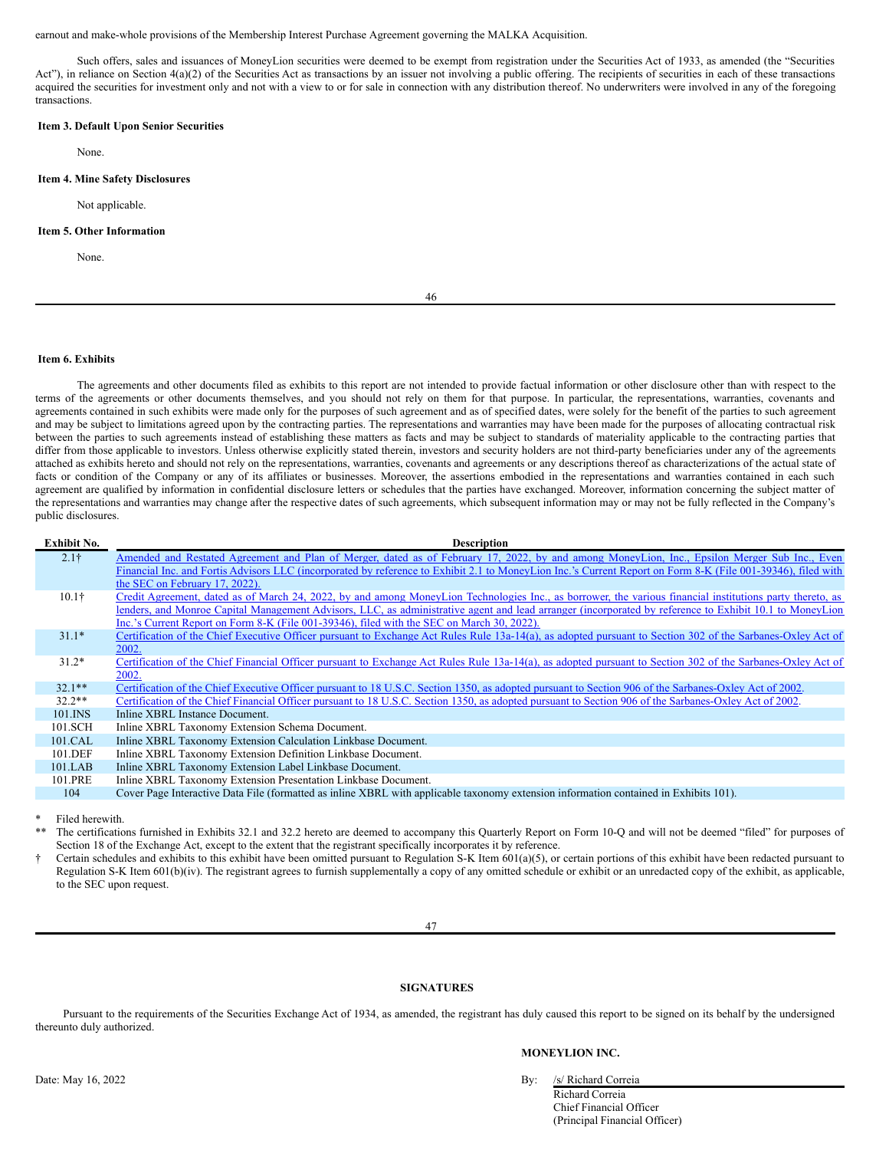earnout and make-whole provisions of the Membership Interest Purchase Agreement governing the MALKA Acquisition.

Such offers, sales and issuances of MoneyLion securities were deemed to be exempt from registration under the Securities Act of 1933, as amended (the "Securities Act"), in reliance on Section 4(a)(2) of the Securities Act as transactions by an issuer not involving a public offering. The recipients of securities in each of these transactions acquired the securities for investment only and not with a view to or for sale in connection with any distribution thereof. No underwriters were involved in any of the foregoing transactions.

## <span id="page-33-0"></span>**Item 3. Default Upon Senior Securities**

None.

#### <span id="page-33-1"></span>**Item 4. Mine Safety Disclosures**

Not applicable.

## <span id="page-33-2"></span>**Item 5. Other Information**

None.

46

### <span id="page-33-3"></span>**Item 6. Exhibits**

The agreements and other documents filed as exhibits to this report are not intended to provide factual information or other disclosure other than with respect to the terms of the agreements or other documents themselves, and you should not rely on them for that purpose. In particular, the representations, warranties, covenants and agreements contained in such exhibits were made only for the purposes of such agreement and as of specified dates, were solely for the benefit of the parties to such agreement and may be subject to limitations agreed upon by the contracting parties. The representations and warranties may have been made for the purposes of allocating contractual risk between the parties to such agreements instead of establishing these matters as facts and may be subject to standards of materiality applicable to the contracting parties that differ from those applicable to investors. Unless otherwise explicitly stated therein, investors and security holders are not third-party beneficiaries under any of the agreements attached as exhibits hereto and should not rely on the representations, warranties, covenants and agreements or any descriptions thereof as characterizations of the actual state of facts or condition of the Company or any of its affiliates or businesses. Moreover, the assertions embodied in the representations and warranties contained in each such agreement are qualified by information in confidential disclosure letters or schedules that the parties have exchanged. Moreover, information concerning the subject matter of the representations and warranties may change after the respective dates of such agreements, which subsequent information may or may not be fully reflected in the Company's public disclosures.

| <b>Exhibit No.</b> | <b>Description</b>                                                                                                                                           |
|--------------------|--------------------------------------------------------------------------------------------------------------------------------------------------------------|
| 2.1 <sub>†</sub>   | Amended and Restated Agreement and Plan of Merger, dated as of February 17, 2022, by and among MoneyLion, Inc., Epsilon Merger Sub Inc., Even                |
|                    | Financial Inc. and Fortis Advisors LLC (incorporated by reference to Exhibit 2.1 to MoneyLion Inc.'s Current Report on Form 8-K (File 001-39346), filed with |
|                    | the SEC on February 17, 2022).                                                                                                                               |
| 10.1 <sup>†</sup>  | Credit Agreement, dated as of March 24, 2022, by and among MoneyLion Technologies Inc., as borrower, the various financial institutions party thereto, as    |
|                    | lenders, and Monroe Capital Management Advisors, LLC, as administrative agent and lead arranger (incorporated by reference to Exhibit 10.1 to MoneyLion      |
|                    | Inc.'s Current Report on Form 8-K (File 001-39346), filed with the SEC on March 30, 2022).                                                                   |
| $31.1*$            | Certification of the Chief Executive Officer pursuant to Exchange Act Rules Rule 13a-14(a), as adopted pursuant to Section 302 of the Sarbanes-Oxley Act of  |
|                    | 2002.                                                                                                                                                        |
| $31.2*$            | Certification of the Chief Financial Officer pursuant to Exchange Act Rules Rule 13a-14(a), as adopted pursuant to Section 302 of the Sarbanes-Oxley Act of  |
|                    | 2002.                                                                                                                                                        |
| $32.1**$           | Certification of the Chief Executive Officer pursuant to 18 U.S.C. Section 1350, as adopted pursuant to Section 906 of the Sarbanes-Oxley Act of 2002.       |
| $32.2**$           | Certification of the Chief Financial Officer pursuant to 18 U.S.C. Section 1350, as adopted pursuant to Section 906 of the Sarbanes-Oxley Act of 2002.       |
| 101.INS            | Inline XBRL Instance Document.                                                                                                                               |
| 101.SCH            | Inline XBRL Taxonomy Extension Schema Document.                                                                                                              |
| 101.CAL            | Inline XBRL Taxonomy Extension Calculation Linkbase Document.                                                                                                |
| 101.DEF            | Inline XBRL Taxonomy Extension Definition Linkbase Document.                                                                                                 |
| 101.LAB            | Inline XBRL Taxonomy Extension Label Linkbase Document.                                                                                                      |
| 101.PRE            | Inline XBRL Taxonomy Extension Presentation Linkbase Document.                                                                                               |
| 104                | Cover Page Interactive Data File (formatted as inline XBRL with applicable taxonomy extension information contained in Exhibits 101).                        |
|                    |                                                                                                                                                              |

Filed herewith.

The certifications furnished in Exhibits 32.1 and 32.2 hereto are deemed to accompany this Quarterly Report on Form 10-Q and will not be deemed "filed" for purposes of Section 18 of the Exchange Act, except to the extent that the registrant specifically incorporates it by reference.

† Certain schedules and exhibits to this exhibit have been omitted pursuant to Regulation S-K Item 601(a)(5), or certain portions of this exhibit have been redacted pursuant to Regulation S-K Item 601(b)(iv). The registrant agrees to furnish supplementally a copy of any omitted schedule or exhibit or an unredacted copy of the exhibit, as applicable, to the SEC upon request.

47

## <span id="page-33-4"></span>**SIGNATURES**

Pursuant to the requirements of the Securities Exchange Act of 1934, as amended, the registrant has duly caused this report to be signed on its behalf by the undersigned thereunto duly authorized.

#### **MONEYLION INC.**

Richard Correia Chief Financial Officer

(Principal Financial Officer)

Date: May 16, 2022 By: /s/ Richard Correia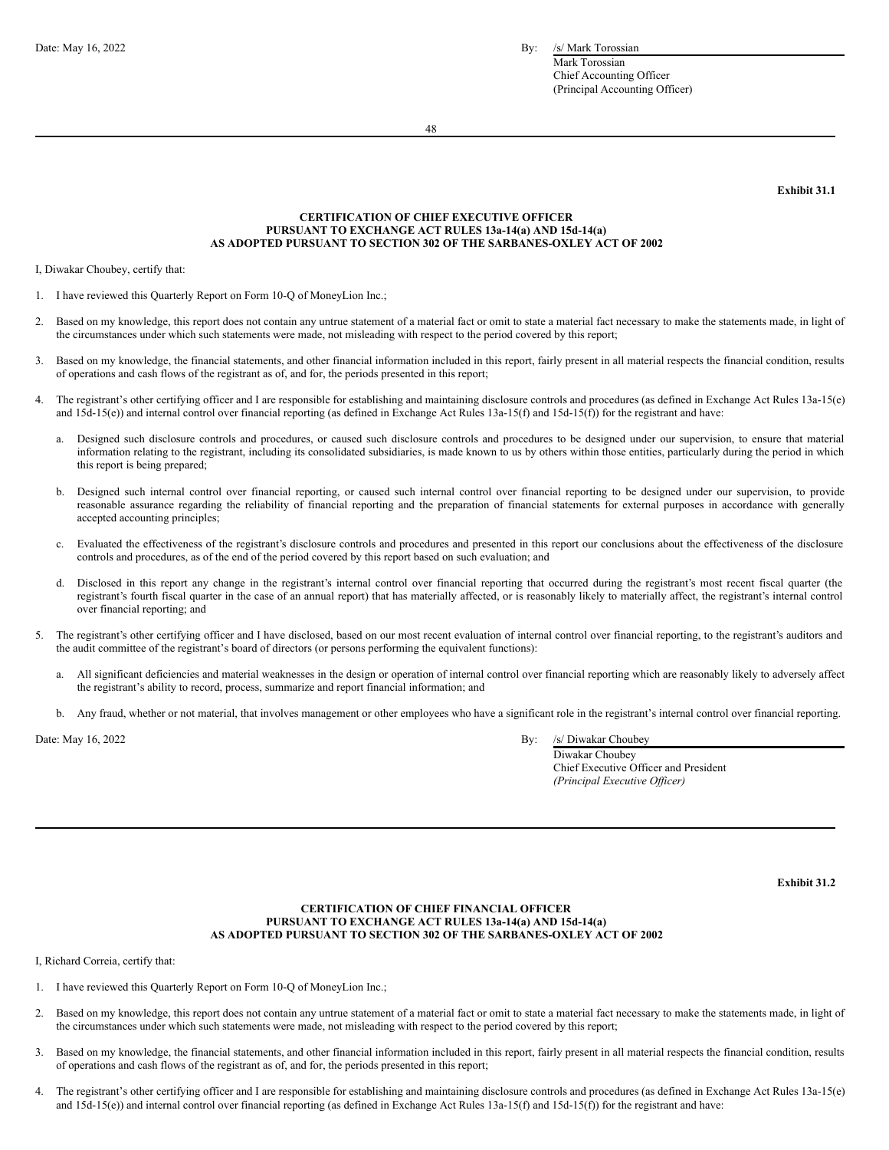Mark Torossian Chief Accounting Officer (Principal Accounting Officer)

48

<span id="page-34-0"></span>**Exhibit 31.1**

#### **CERTIFICATION OF CHIEF EXECUTIVE OFFICER PURSUANT TO EXCHANGE ACT RULES 13a-14(a) AND 15d-14(a) AS ADOPTED PURSUANT TO SECTION 302 OF THE SARBANES-OXLEY ACT OF 2002**

I, Diwakar Choubey, certify that:

- 1. I have reviewed this Quarterly Report on Form 10-Q of MoneyLion Inc.;
- 2. Based on my knowledge, this report does not contain any untrue statement of a material fact or omit to state a material fact necessary to make the statements made, in light of the circumstances under which such statements were made, not misleading with respect to the period covered by this report;
- 3. Based on my knowledge, the financial statements, and other financial information included in this report, fairly present in all material respects the financial condition, results of operations and cash flows of the registrant as of, and for, the periods presented in this report;
- 4. The registrant's other certifying officer and I are responsible for establishing and maintaining disclosure controls and procedures (as defined in Exchange Act Rules 13a-15(e) and 15d-15(e)) and internal control over financial reporting (as defined in Exchange Act Rules 13a-15(f) and 15d-15(f)) for the registrant and have:
	- Designed such disclosure controls and procedures, or caused such disclosure controls and procedures to be designed under our supervision, to ensure that material information relating to the registrant, including its consolidated subsidiaries, is made known to us by others within those entities, particularly during the period in which this report is being prepared;
	- b. Designed such internal control over financial reporting, or caused such internal control over financial reporting to be designed under our supervision, to provide reasonable assurance regarding the reliability of financial reporting and the preparation of financial statements for external purposes in accordance with generally accepted accounting principles;
	- c. Evaluated the effectiveness of the registrant's disclosure controls and procedures and presented in this report our conclusions about the effectiveness of the disclosure controls and procedures, as of the end of the period covered by this report based on such evaluation; and
	- d. Disclosed in this report any change in the registrant's internal control over financial reporting that occurred during the registrant's most recent fiscal quarter (the registrant's fourth fiscal quarter in the case of an annual report) that has materially affected, or is reasonably likely to materially affect, the registrant's internal control over financial reporting; and
- The registrant's other certifying officer and I have disclosed, based on our most recent evaluation of internal control over financial reporting, to the registrant's auditors and the audit committee of the registrant's board of directors (or persons performing the equivalent functions):
	- a. All significant deficiencies and material weaknesses in the design or operation of internal control over financial reporting which are reasonably likely to adversely affect the registrant's ability to record, process, summarize and report financial information; and
	- b. Any fraud, whether or not material, that involves management or other employees who have a significant role in the registrant's internal control over financial reporting.

Date: May  $16, 2022$  By:

| /s/ Diwakar Choubey                   |
|---------------------------------------|
| Diwakar Choubey                       |
| Chief Executive Officer and President |
| (Principal Executive Officer)         |

<span id="page-34-1"></span>**Exhibit 31.2**

## **CERTIFICATION OF CHIEF FINANCIAL OFFICER PURSUANT TO EXCHANGE ACT RULES 13a-14(a) AND 15d-14(a) AS ADOPTED PURSUANT TO SECTION 302 OF THE SARBANES-OXLEY ACT OF 2002**

I, Richard Correia, certify that:

- 1. I have reviewed this Quarterly Report on Form 10-Q of MoneyLion Inc.;
- 2. Based on my knowledge, this report does not contain any untrue statement of a material fact or omit to state a material fact necessary to make the statements made, in light of the circumstances under which such statements were made, not misleading with respect to the period covered by this report;
- 3. Based on my knowledge, the financial statements, and other financial information included in this report, fairly present in all material respects the financial condition, results of operations and cash flows of the registrant as of, and for, the periods presented in this report;
- 4. The registrant's other certifying officer and I are responsible for establishing and maintaining disclosure controls and procedures (as defined in Exchange Act Rules 13a-15(e) and 15d-15(e)) and internal control over financial reporting (as defined in Exchange Act Rules 13a-15(f) and 15d-15(f)) for the registrant and have: